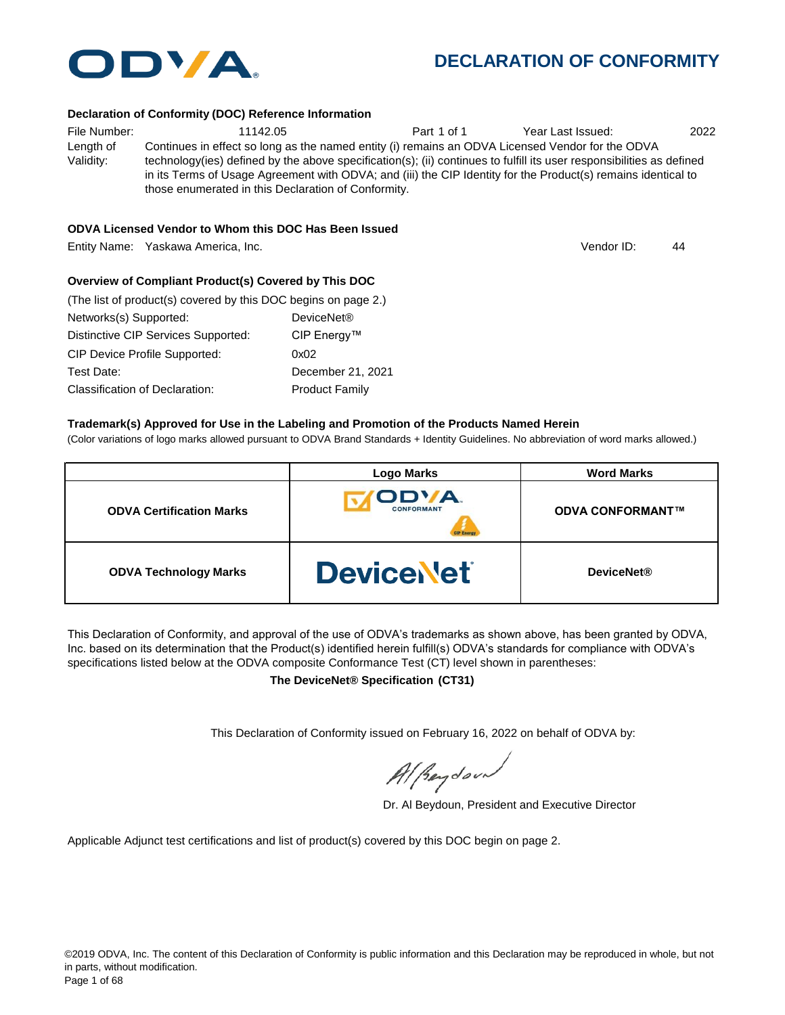

#### **Declaration of Conformity (DOC) Reference Information**

| File Number: | 11142.05                                                                                                              | Part 1 of 1 | Year Last Issued: | 2022 |
|--------------|-----------------------------------------------------------------------------------------------------------------------|-------------|-------------------|------|
| Length of    | Continues in effect so long as the named entity (i) remains an ODVA Licensed Vendor for the ODVA                      |             |                   |      |
| Validity:    | technology(ies) defined by the above specification(s); (ii) continues to fulfill its user responsibilities as defined |             |                   |      |
|              | in its Terms of Usage Agreement with ODVA; and (iii) the CIP Identity for the Product(s) remains identical to         |             |                   |      |
|              | those enumerated in this Declaration of Conformity.                                                                   |             |                   |      |

#### **ODVA Licensed Vendor to Whom this DOC Has Been Issued**

Entity Name: Yaskawa America, Inc. 44

Vendor ID:

#### **Overview of Compliant Product(s) Covered by This DOC**

| (The list of product(s) covered by this DOC begins on page 2.) |                        |  |
|----------------------------------------------------------------|------------------------|--|
| Networks(s) Supported:                                         | DeviceNet <sup>®</sup> |  |
| Distinctive CIP Services Supported:                            | CIP Energy™            |  |
| <b>CIP Device Profile Supported:</b>                           | 0x02                   |  |
| Test Date:                                                     | December 21, 2021      |  |
| Classification of Declaration:                                 | <b>Product Family</b>  |  |

#### **Trademark(s) Approved for Use in the Labeling and Promotion of the Products Named Herein**

(Color variations of logo marks allowed pursuant to ODVA Brand Standards + Identity Guidelines. No abbreviation of word marks allowed.)

|                                 | <b>Logo Marks</b>          | <b>Word Marks</b>       |
|---------------------------------|----------------------------|-------------------------|
| <b>ODVA Certification Marks</b> | ODVA.<br><b>CONFORMANT</b> | <b>ODVA CONFORMANT™</b> |
| <b>ODVA Technology Marks</b>    | <b>DeviceNet</b>           | <b>DeviceNet®</b>       |

This Declaration of Conformity, and approval of the use of ODVA's trademarks as shown above, has been granted by ODVA, Inc. based on its determination that the Product(s) identified herein fulfill(s) ODVA's standards for compliance with ODVA's specifications listed below at the ODVA composite Conformance Test (CT) level shown in parentheses:

**The DeviceNet® Specification (CT31)**

This Declaration of Conformity issued on February 16, 2022 on behalf of ODVA by:

Al Reydoor

Dr. Al Beydoun, President and Executive Director

Applicable Adjunct test certifications and list of product(s) covered by this DOC begin on page 2.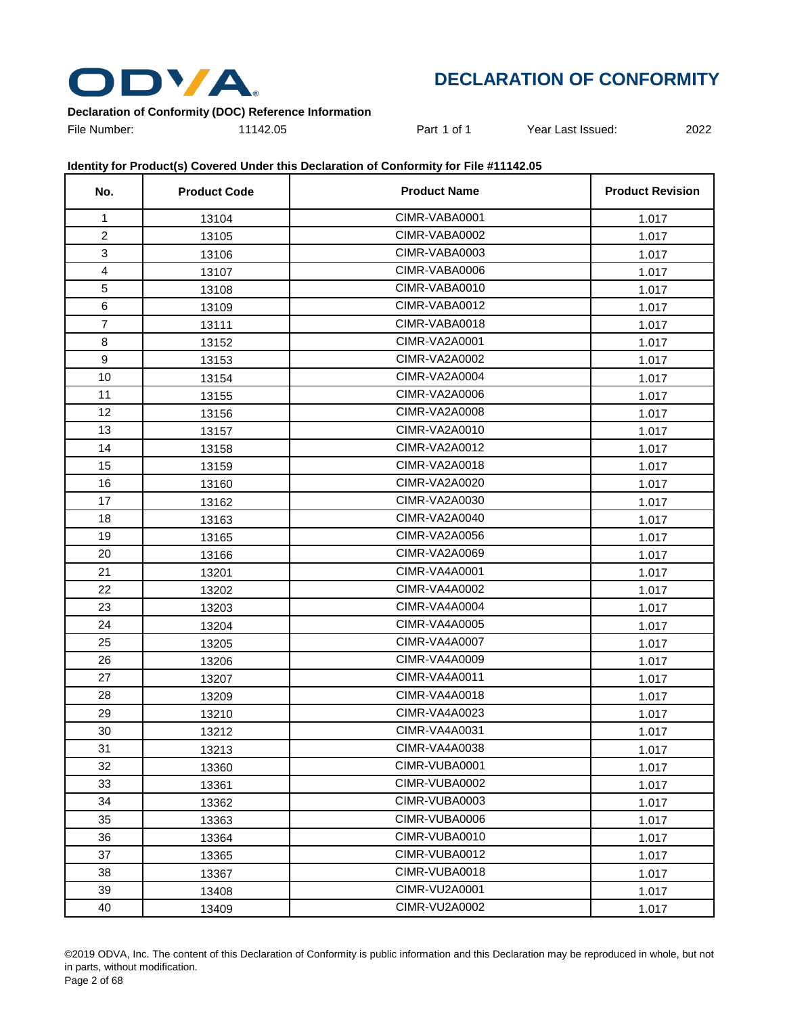

### **Declaration of Conformity (DOC) Reference Information**

File Number: 11142.05 Part 1 of 1 Year Last Issued: 2022

| No.                     | <b>Product Code</b> | <b>Product Name</b> | <b>Product Revision</b> |
|-------------------------|---------------------|---------------------|-------------------------|
| $\mathbf{1}$            | 13104               | CIMR-VABA0001       | 1.017                   |
| $\overline{2}$          | 13105               | CIMR-VABA0002       | 1.017                   |
| 3                       | 13106               | CIMR-VABA0003       | 1.017                   |
| $\overline{\mathbf{4}}$ | 13107               | CIMR-VABA0006       | 1.017                   |
| 5                       | 13108               | CIMR-VABA0010       | 1.017                   |
| 6                       | 13109               | CIMR-VABA0012       | 1.017                   |
| $\overline{7}$          | 13111               | CIMR-VABA0018       | 1.017                   |
| 8                       | 13152               | CIMR-VA2A0001       | 1.017                   |
| 9                       | 13153               | CIMR-VA2A0002       | 1.017                   |
| 10                      | 13154               | CIMR-VA2A0004       | 1.017                   |
| 11                      | 13155               | CIMR-VA2A0006       | 1.017                   |
| 12                      | 13156               | CIMR-VA2A0008       | 1.017                   |
| 13                      | 13157               | CIMR-VA2A0010       | 1.017                   |
| 14                      | 13158               | CIMR-VA2A0012       | 1.017                   |
| 15                      | 13159               | CIMR-VA2A0018       | 1.017                   |
| 16                      | 13160               | CIMR-VA2A0020       | 1.017                   |
| 17                      | 13162               | CIMR-VA2A0030       | 1.017                   |
| 18                      | 13163               | CIMR-VA2A0040       | 1.017                   |
| 19                      | 13165               | CIMR-VA2A0056       | 1.017                   |
| 20                      | 13166               | CIMR-VA2A0069       | 1.017                   |
| 21                      | 13201               | CIMR-VA4A0001       | 1.017                   |
| 22                      | 13202               | CIMR-VA4A0002       | 1.017                   |
| 23                      | 13203               | CIMR-VA4A0004       | 1.017                   |
| 24                      | 13204               | CIMR-VA4A0005       | 1.017                   |
| 25                      | 13205               | CIMR-VA4A0007       | 1.017                   |
| 26                      | 13206               | CIMR-VA4A0009       | 1.017                   |
| 27                      | 13207               | CIMR-VA4A0011       | 1.017                   |
| 28                      | 13209               | CIMR-VA4A0018       | 1.017                   |
| 29                      | 13210               | CIMR-VA4A0023       | 1.017                   |
| 30                      | 13212               | CIMR-VA4A0031       | 1.017                   |
| 31                      | 13213               | CIMR-VA4A0038       | 1.017                   |
| 32                      | 13360               | CIMR-VUBA0001       | 1.017                   |
| 33                      | 13361               | CIMR-VUBA0002       | 1.017                   |
| 34                      | 13362               | CIMR-VUBA0003       | 1.017                   |
| 35                      | 13363               | CIMR-VUBA0006       | 1.017                   |
| 36                      | 13364               | CIMR-VUBA0010       | 1.017                   |
| 37                      | 13365               | CIMR-VUBA0012       | 1.017                   |
| 38                      | 13367               | CIMR-VUBA0018       | 1.017                   |
| 39                      | 13408               | CIMR-VU2A0001       | 1.017                   |
| 40                      | 13409               | CIMR-VU2A0002       | 1.017                   |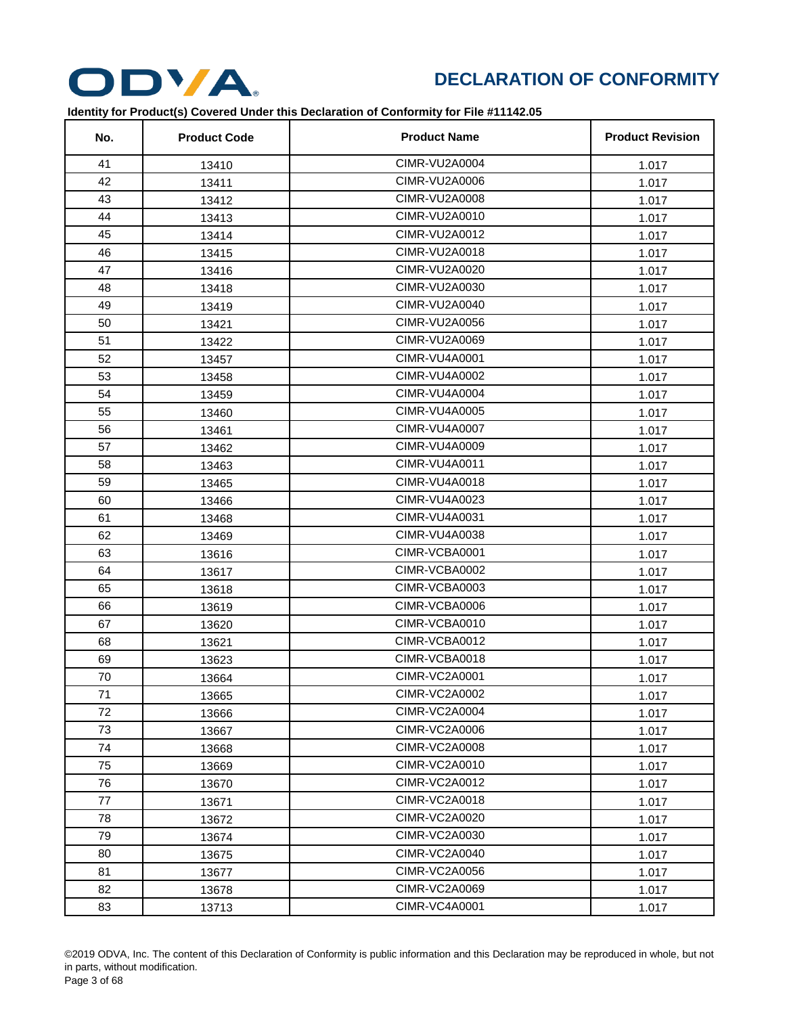

| No. | <b>Product Code</b> | <b>Product Name</b>  | <b>Product Revision</b> |
|-----|---------------------|----------------------|-------------------------|
| 41  | 13410               | CIMR-VU2A0004        | 1.017                   |
| 42  | 13411               | CIMR-VU2A0006        | 1.017                   |
| 43  | 13412               | CIMR-VU2A0008        | 1.017                   |
| 44  | 13413               | CIMR-VU2A0010        | 1.017                   |
| 45  | 13414               | CIMR-VU2A0012        | 1.017                   |
| 46  | 13415               | CIMR-VU2A0018        | 1.017                   |
| 47  | 13416               | CIMR-VU2A0020        | 1.017                   |
| 48  | 13418               | CIMR-VU2A0030        | 1.017                   |
| 49  | 13419               | CIMR-VU2A0040        | 1.017                   |
| 50  | 13421               | CIMR-VU2A0056        | 1.017                   |
| 51  | 13422               | CIMR-VU2A0069        | 1.017                   |
| 52  | 13457               | <b>CIMR-VU4A0001</b> | 1.017                   |
| 53  | 13458               | CIMR-VU4A0002        | 1.017                   |
| 54  | 13459               | <b>CIMR-VU4A0004</b> | 1.017                   |
| 55  | 13460               | <b>CIMR-VU4A0005</b> | 1.017                   |
| 56  | 13461               | <b>CIMR-VU4A0007</b> | 1.017                   |
| 57  | 13462               | CIMR-VU4A0009        | 1.017                   |
| 58  | 13463               | CIMR-VU4A0011        | 1.017                   |
| 59  | 13465               | CIMR-VU4A0018        | 1.017                   |
| 60  | 13466               | CIMR-VU4A0023        | 1.017                   |
| 61  | 13468               | <b>CIMR-VU4A0031</b> | 1.017                   |
| 62  | 13469               | CIMR-VU4A0038        | 1.017                   |
| 63  | 13616               | CIMR-VCBA0001        | 1.017                   |
| 64  | 13617               | CIMR-VCBA0002        | 1.017                   |
| 65  | 13618               | CIMR-VCBA0003        | 1.017                   |
| 66  | 13619               | CIMR-VCBA0006        | 1.017                   |
| 67  | 13620               | CIMR-VCBA0010        | 1.017                   |
| 68  | 13621               | CIMR-VCBA0012        | 1.017                   |
| 69  | 13623               | CIMR-VCBA0018        | 1.017                   |
| 70  | 13664               | <b>CIMR-VC2A0001</b> | 1.017                   |
| 71  | 13665               | CIMR-VC2A0002        | 1.017                   |
| 72  | 13666               | CIMR-VC2A0004        | 1.017                   |
| 73  | 13667               | <b>CIMR-VC2A0006</b> | 1.017                   |
| 74  | 13668               | <b>CIMR-VC2A0008</b> | 1.017                   |
| 75  | 13669               | CIMR-VC2A0010        | 1.017                   |
| 76  | 13670               | CIMR-VC2A0012        | 1.017                   |
| 77  | 13671               | <b>CIMR-VC2A0018</b> | 1.017                   |
| 78  | 13672               | CIMR-VC2A0020        | 1.017                   |
| 79  | 13674               | CIMR-VC2A0030        | 1.017                   |
| 80  | 13675               | CIMR-VC2A0040        | 1.017                   |
| 81  | 13677               | <b>CIMR-VC2A0056</b> | 1.017                   |
| 82  | 13678               | CIMR-VC2A0069        | 1.017                   |
| 83  | 13713               | <b>CIMR-VC4A0001</b> | 1.017                   |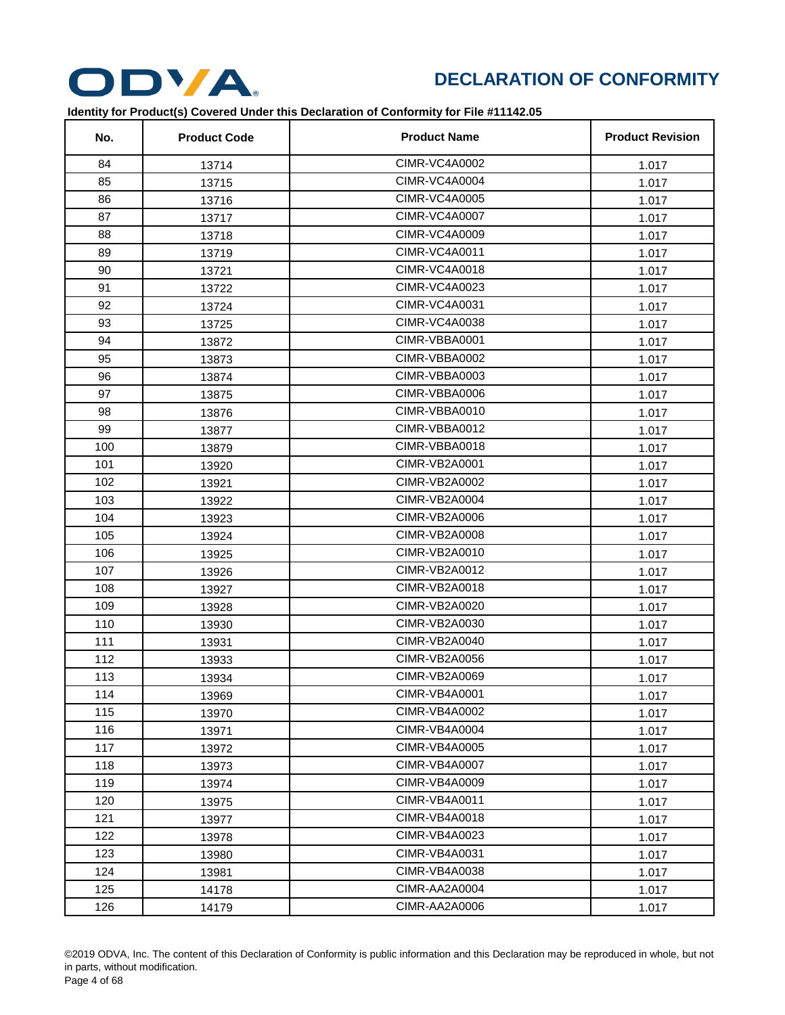

| No. | <b>Product Code</b> | <b>Product Name</b>  | <b>Product Revision</b> |
|-----|---------------------|----------------------|-------------------------|
| 84  | 13714               | CIMR-VC4A0002        | 1.017                   |
| 85  | 13715               | <b>CIMR-VC4A0004</b> | 1.017                   |
| 86  | 13716               | <b>CIMR-VC4A0005</b> | 1.017                   |
| 87  | 13717               | <b>CIMR-VC4A0007</b> | 1.017                   |
| 88  | 13718               | <b>CIMR-VC4A0009</b> | 1.017                   |
| 89  | 13719               | <b>CIMR-VC4A0011</b> | 1.017                   |
| 90  | 13721               | <b>CIMR-VC4A0018</b> | 1.017                   |
| 91  | 13722               | CIMR-VC4A0023        | 1.017                   |
| 92  | 13724               | <b>CIMR-VC4A0031</b> | 1.017                   |
| 93  | 13725               | CIMR-VC4A0038        | 1.017                   |
| 94  | 13872               | CIMR-VBBA0001        | 1.017                   |
| 95  | 13873               | CIMR-VBBA0002        | 1.017                   |
| 96  | 13874               | CIMR-VBBA0003        | 1.017                   |
| 97  | 13875               | CIMR-VBBA0006        | 1.017                   |
| 98  | 13876               | CIMR-VBBA0010        | 1.017                   |
| 99  | 13877               | CIMR-VBBA0012        | 1.017                   |
| 100 | 13879               | CIMR-VBBA0018        | 1.017                   |
| 101 | 13920               | CIMR-VB2A0001        | 1.017                   |
| 102 | 13921               | CIMR-VB2A0002        | 1.017                   |
| 103 | 13922               | CIMR-VB2A0004        | 1.017                   |
| 104 | 13923               | CIMR-VB2A0006        | 1.017                   |
| 105 | 13924               | <b>CIMR-VB2A0008</b> | 1.017                   |
| 106 | 13925               | CIMR-VB2A0010        | 1.017                   |
| 107 | 13926               | CIMR-VB2A0012        | 1.017                   |
| 108 | 13927               | CIMR-VB2A0018        | 1.017                   |
| 109 | 13928               | CIMR-VB2A0020        | 1.017                   |
| 110 | 13930               | CIMR-VB2A0030        | 1.017                   |
| 111 | 13931               | CIMR-VB2A0040        | 1.017                   |
| 112 | 13933               | CIMR-VB2A0056        | 1.017                   |
| 113 | 13934               | <b>CIMR-VB2A0069</b> | 1.017                   |
| 114 | 13969               | CIMR-VB4A0001        | 1.017                   |
| 115 | 13970               | CIMR-VB4A0002        | 1.017                   |
| 116 | 13971               | CIMR-VB4A0004        | 1.017                   |
| 117 | 13972               | <b>CIMR-VB4A0005</b> | 1.017                   |
| 118 | 13973               | CIMR-VB4A0007        | 1.017                   |
| 119 | 13974               | CIMR-VB4A0009        | 1.017                   |
| 120 | 13975               | CIMR-VB4A0011        | 1.017                   |
| 121 | 13977               | CIMR-VB4A0018        | 1.017                   |
| 122 | 13978               | CIMR-VB4A0023        | 1.017                   |
| 123 | 13980               | CIMR-VB4A0031        | 1.017                   |
| 124 | 13981               | CIMR-VB4A0038        | 1.017                   |
| 125 | 14178               | CIMR-AA2A0004        | 1.017                   |
| 126 | 14179               | CIMR-AA2A0006        | 1.017                   |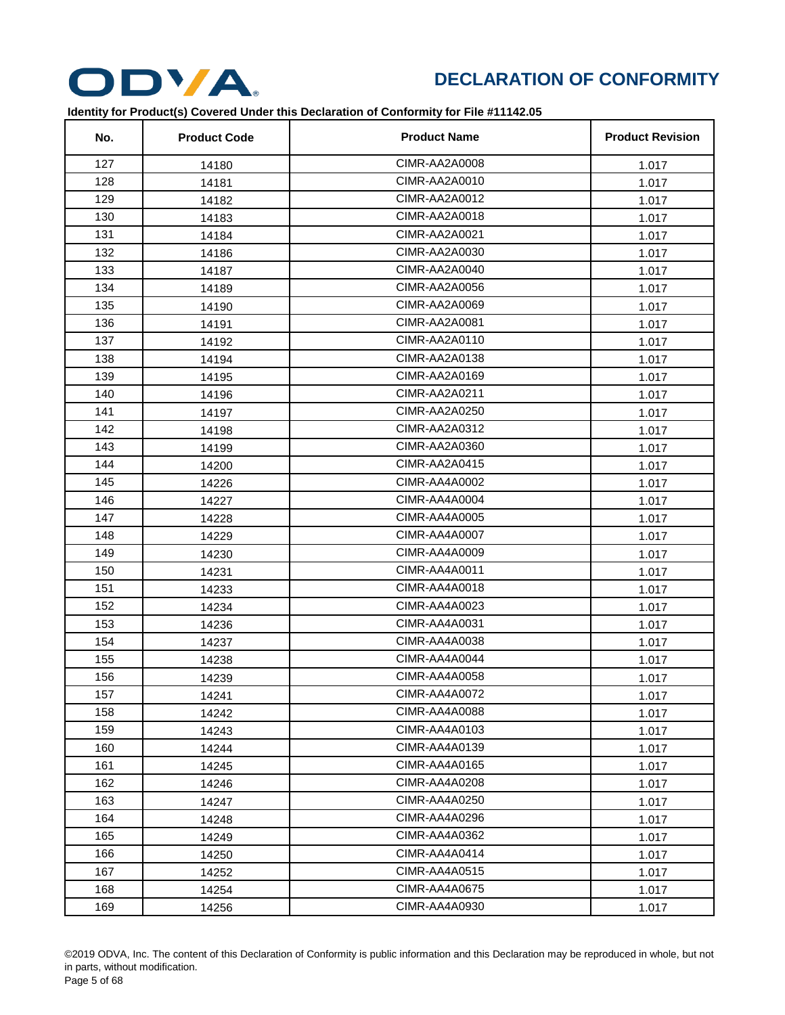

| No. | <b>Product Code</b> | <b>Product Name</b>  | <b>Product Revision</b> |
|-----|---------------------|----------------------|-------------------------|
| 127 | 14180               | CIMR-AA2A0008        | 1.017                   |
| 128 | 14181               | CIMR-AA2A0010        | 1.017                   |
| 129 | 14182               | CIMR-AA2A0012        | 1.017                   |
| 130 | 14183               | CIMR-AA2A0018        | 1.017                   |
| 131 | 14184               | CIMR-AA2A0021        | 1.017                   |
| 132 | 14186               | CIMR-AA2A0030        | 1.017                   |
| 133 | 14187               | CIMR-AA2A0040        | 1.017                   |
| 134 | 14189               | CIMR-AA2A0056        | 1.017                   |
| 135 | 14190               | CIMR-AA2A0069        | 1.017                   |
| 136 | 14191               | CIMR-AA2A0081        | 1.017                   |
| 137 | 14192               | CIMR-AA2A0110        | 1.017                   |
| 138 | 14194               | CIMR-AA2A0138        | 1.017                   |
| 139 | 14195               | CIMR-AA2A0169        | 1.017                   |
| 140 | 14196               | CIMR-AA2A0211        | 1.017                   |
| 141 | 14197               | CIMR-AA2A0250        | 1.017                   |
| 142 | 14198               | CIMR-AA2A0312        | 1.017                   |
| 143 | 14199               | CIMR-AA2A0360        | 1.017                   |
| 144 | 14200               | CIMR-AA2A0415        | 1.017                   |
| 145 | 14226               | CIMR-AA4A0002        | 1.017                   |
| 146 | 14227               | CIMR-AA4A0004        | 1.017                   |
| 147 | 14228               | CIMR-AA4A0005        | 1.017                   |
| 148 | 14229               | CIMR-AA4A0007        | 1.017                   |
| 149 | 14230               | CIMR-AA4A0009        | 1.017                   |
| 150 | 14231               | CIMR-AA4A0011        | 1.017                   |
| 151 | 14233               | CIMR-AA4A0018        | 1.017                   |
| 152 | 14234               | CIMR-AA4A0023        | 1.017                   |
| 153 | 14236               | CIMR-AA4A0031        | 1.017                   |
| 154 | 14237               | CIMR-AA4A0038        | 1.017                   |
| 155 | 14238               | CIMR-AA4A0044        | 1.017                   |
| 156 | 14239               | CIMR-AA4A0058        | 1.017                   |
| 157 | 14241               | CIMR-AA4A0072        | 1.017                   |
| 158 | 14242               | CIMR-AA4A0088        | 1.017                   |
| 159 | 14243               | CIMR-AA4A0103        | 1.017                   |
| 160 | 14244               | CIMR-AA4A0139        | 1.017                   |
| 161 | 14245               | CIMR-AA4A0165        | 1.017                   |
| 162 | 14246               | CIMR-AA4A0208        | 1.017                   |
| 163 | 14247               | CIMR-AA4A0250        | 1.017                   |
| 164 | 14248               | CIMR-AA4A0296        | 1.017                   |
| 165 | 14249               | CIMR-AA4A0362        | 1.017                   |
| 166 | 14250               | CIMR-AA4A0414        | 1.017                   |
| 167 | 14252               | <b>CIMR-AA4A0515</b> | 1.017                   |
| 168 | 14254               | CIMR-AA4A0675        | 1.017                   |
| 169 | 14256               | CIMR-AA4A0930        | 1.017                   |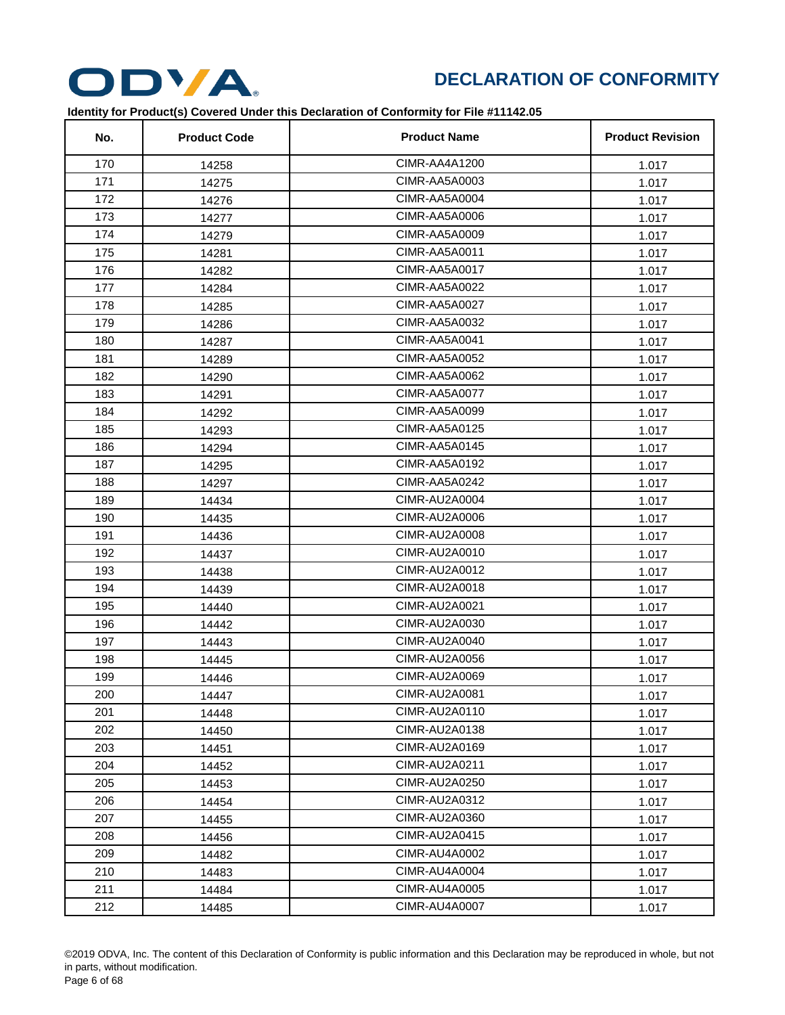

| No. | <b>Product Code</b> | <b>Product Name</b>  | <b>Product Revision</b> |
|-----|---------------------|----------------------|-------------------------|
| 170 | 14258               | CIMR-AA4A1200        | 1.017                   |
| 171 | 14275               | CIMR-AA5A0003        | 1.017                   |
| 172 | 14276               | CIMR-AA5A0004        | 1.017                   |
| 173 | 14277               | CIMR-AA5A0006        | 1.017                   |
| 174 | 14279               | CIMR-AA5A0009        | 1.017                   |
| 175 | 14281               | CIMR-AA5A0011        | 1.017                   |
| 176 | 14282               | CIMR-AA5A0017        | 1.017                   |
| 177 | 14284               | CIMR-AA5A0022        | 1.017                   |
| 178 | 14285               | CIMR-AA5A0027        | 1.017                   |
| 179 | 14286               | CIMR-AA5A0032        | 1.017                   |
| 180 | 14287               | CIMR-AA5A0041        | 1.017                   |
| 181 | 14289               | <b>CIMR-AA5A0052</b> | 1.017                   |
| 182 | 14290               | CIMR-AA5A0062        | 1.017                   |
| 183 | 14291               | CIMR-AA5A0077        | 1.017                   |
| 184 | 14292               | CIMR-AA5A0099        | 1.017                   |
| 185 | 14293               | <b>CIMR-AA5A0125</b> | 1.017                   |
| 186 | 14294               | CIMR-AA5A0145        | 1.017                   |
| 187 | 14295               | CIMR-AA5A0192        | 1.017                   |
| 188 | 14297               | CIMR-AA5A0242        | 1.017                   |
| 189 | 14434               | CIMR-AU2A0004        | 1.017                   |
| 190 | 14435               | CIMR-AU2A0006        | 1.017                   |
| 191 | 14436               | CIMR-AU2A0008        | 1.017                   |
| 192 | 14437               | CIMR-AU2A0010        | 1.017                   |
| 193 | 14438               | CIMR-AU2A0012        | 1.017                   |
| 194 | 14439               | CIMR-AU2A0018        | 1.017                   |
| 195 | 14440               | CIMR-AU2A0021        | 1.017                   |
| 196 | 14442               | CIMR-AU2A0030        | 1.017                   |
| 197 | 14443               | CIMR-AU2A0040        | 1.017                   |
| 198 | 14445               | CIMR-AU2A0056        | 1.017                   |
| 199 | 14446               | CIMR-AU2A0069        | 1.017                   |
| 200 | 14447               | <b>CIMR-AU2A0081</b> | 1.017                   |
| 201 | 14448               | CIMR-AU2A0110        | 1.017                   |
| 202 | 14450               | CIMR-AU2A0138        | 1.017                   |
| 203 | 14451               | CIMR-AU2A0169        | 1.017                   |
| 204 | 14452               | CIMR-AU2A0211        | 1.017                   |
| 205 | 14453               | CIMR-AU2A0250        | 1.017                   |
| 206 | 14454               | CIMR-AU2A0312        | 1.017                   |
| 207 | 14455               | CIMR-AU2A0360        | 1.017                   |
| 208 | 14456               | CIMR-AU2A0415        | 1.017                   |
| 209 | 14482               | CIMR-AU4A0002        | 1.017                   |
| 210 | 14483               | CIMR-AU4A0004        | 1.017                   |
| 211 | 14484               | <b>CIMR-AU4A0005</b> | 1.017                   |
| 212 | 14485               | <b>CIMR-AU4A0007</b> | 1.017                   |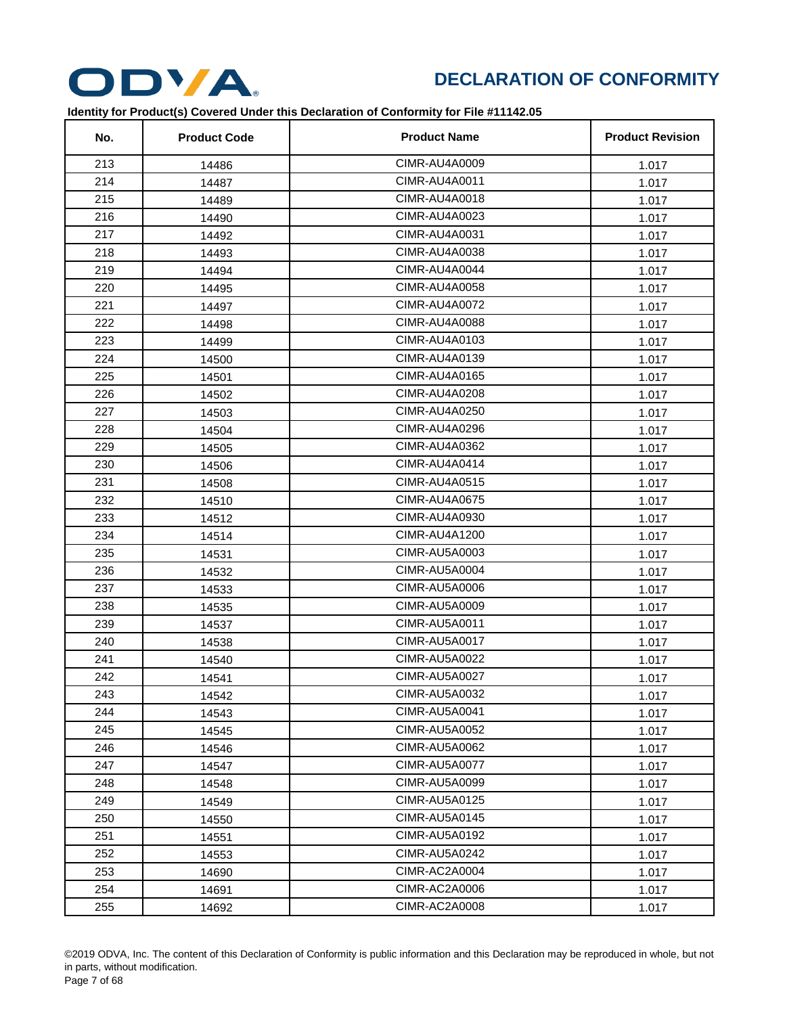

| No. | <b>Product Code</b> | <b>Product Name</b>  | <b>Product Revision</b> |
|-----|---------------------|----------------------|-------------------------|
| 213 | 14486               | CIMR-AU4A0009        | 1.017                   |
| 214 | 14487               | CIMR-AU4A0011        | 1.017                   |
| 215 | 14489               | CIMR-AU4A0018        | 1.017                   |
| 216 | 14490               | CIMR-AU4A0023        | 1.017                   |
| 217 | 14492               | CIMR-AU4A0031        | 1.017                   |
| 218 | 14493               | CIMR-AU4A0038        | 1.017                   |
| 219 | 14494               | CIMR-AU4A0044        | 1.017                   |
| 220 | 14495               | CIMR-AU4A0058        | 1.017                   |
| 221 | 14497               | CIMR-AU4A0072        | 1.017                   |
| 222 | 14498               | <b>CIMR-AU4A0088</b> | 1.017                   |
| 223 | 14499               | CIMR-AU4A0103        | 1.017                   |
| 224 | 14500               | CIMR-AU4A0139        | 1.017                   |
| 225 | 14501               | CIMR-AU4A0165        | 1.017                   |
| 226 | 14502               | CIMR-AU4A0208        | 1.017                   |
| 227 | 14503               | CIMR-AU4A0250        | 1.017                   |
| 228 | 14504               | CIMR-AU4A0296        | 1.017                   |
| 229 | 14505               | CIMR-AU4A0362        | 1.017                   |
| 230 | 14506               | CIMR-AU4A0414        | 1.017                   |
| 231 | 14508               | <b>CIMR-AU4A0515</b> | 1.017                   |
| 232 | 14510               | <b>CIMR-AU4A0675</b> | 1.017                   |
| 233 | 14512               | CIMR-AU4A0930        | 1.017                   |
| 234 | 14514               | CIMR-AU4A1200        | 1.017                   |
| 235 | 14531               | <b>CIMR-AU5A0003</b> | 1.017                   |
| 236 | 14532               | CIMR-AU5A0004        | 1.017                   |
| 237 | 14533               | CIMR-AU5A0006        | 1.017                   |
| 238 | 14535               | <b>CIMR-AU5A0009</b> | 1.017                   |
| 239 | 14537               | CIMR-AU5A0011        | 1.017                   |
| 240 | 14538               | CIMR-AU5A0017        | 1.017                   |
| 241 | 14540               | CIMR-AU5A0022        | 1.017                   |
| 242 | 14541               | CIMR-AU5A0027        | 1.017                   |
| 243 | 14542               | CIMR-AU5A0032        | 1.017                   |
| 244 | 14543               | CIMR-AU5A0041        | 1.017                   |
| 245 | 14545               | <b>CIMR-AU5A0052</b> | 1.017                   |
| 246 | 14546               | <b>CIMR-AU5A0062</b> | 1.017                   |
| 247 | 14547               | CIMR-AU5A0077        | 1.017                   |
| 248 | 14548               | CIMR-AU5A0099        | 1.017                   |
| 249 | 14549               | <b>CIMR-AU5A0125</b> | 1.017                   |
| 250 | 14550               | CIMR-AU5A0145        | 1.017                   |
| 251 | 14551               | CIMR-AU5A0192        | 1.017                   |
| 252 | 14553               | CIMR-AU5A0242        | 1.017                   |
| 253 | 14690               | CIMR-AC2A0004        | 1.017                   |
| 254 | 14691               | <b>CIMR-AC2A0006</b> | 1.017                   |
| 255 | 14692               | <b>CIMR-AC2A0008</b> | 1.017                   |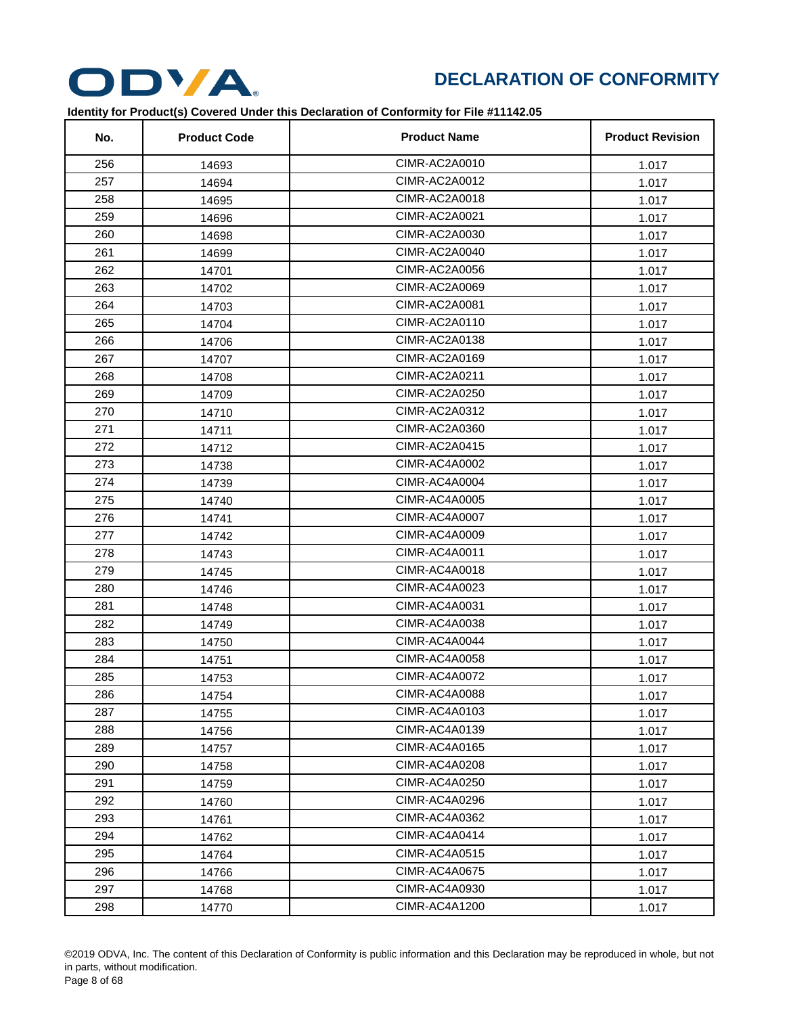

| No. | <b>Product Code</b> | <b>Product Name</b>  | <b>Product Revision</b> |
|-----|---------------------|----------------------|-------------------------|
| 256 | 14693               | CIMR-AC2A0010        | 1.017                   |
| 257 | 14694               | CIMR-AC2A0012        | 1.017                   |
| 258 | 14695               | CIMR-AC2A0018        | 1.017                   |
| 259 | 14696               | CIMR-AC2A0021        | 1.017                   |
| 260 | 14698               | CIMR-AC2A0030        | 1.017                   |
| 261 | 14699               | CIMR-AC2A0040        | 1.017                   |
| 262 | 14701               | CIMR-AC2A0056        | 1.017                   |
| 263 | 14702               | CIMR-AC2A0069        | 1.017                   |
| 264 | 14703               | CIMR-AC2A0081        | 1.017                   |
| 265 | 14704               | CIMR-AC2A0110        | 1.017                   |
| 266 | 14706               | CIMR-AC2A0138        | 1.017                   |
| 267 | 14707               | CIMR-AC2A0169        | 1.017                   |
| 268 | 14708               | CIMR-AC2A0211        | 1.017                   |
| 269 | 14709               | CIMR-AC2A0250        | 1.017                   |
| 270 | 14710               | CIMR-AC2A0312        | 1.017                   |
| 271 | 14711               | CIMR-AC2A0360        | 1.017                   |
| 272 | 14712               | CIMR-AC2A0415        | 1.017                   |
| 273 | 14738               | CIMR-AC4A0002        | 1.017                   |
| 274 | 14739               | CIMR-AC4A0004        | 1.017                   |
| 275 | 14740               | <b>CIMR-AC4A0005</b> | 1.017                   |
| 276 | 14741               | CIMR-AC4A0007        | 1.017                   |
| 277 | 14742               | CIMR-AC4A0009        | 1.017                   |
| 278 | 14743               | CIMR-AC4A0011        | 1.017                   |
| 279 | 14745               | CIMR-AC4A0018        | 1.017                   |
| 280 | 14746               | CIMR-AC4A0023        | 1.017                   |
| 281 | 14748               | CIMR-AC4A0031        | 1.017                   |
| 282 | 14749               | CIMR-AC4A0038        | 1.017                   |
| 283 | 14750               | CIMR-AC4A0044        | 1.017                   |
| 284 | 14751               | CIMR-AC4A0058        | 1.017                   |
| 285 | 14753               | CIMR-AC4A0072        | 1.017                   |
| 286 | 14754               | CIMR-AC4A0088        | 1.017                   |
| 287 | 14755               | CIMR-AC4A0103        | 1.017                   |
| 288 | 14756               | CIMR-AC4A0139        | 1.017                   |
| 289 | 14757               | CIMR-AC4A0165        | 1.017                   |
| 290 | 14758               | CIMR-AC4A0208        | 1.017                   |
| 291 | 14759               | CIMR-AC4A0250        | 1.017                   |
| 292 | 14760               | CIMR-AC4A0296        | 1.017                   |
| 293 | 14761               | CIMR-AC4A0362        | 1.017                   |
| 294 | 14762               | CIMR-AC4A0414        | 1.017                   |
| 295 | 14764               | <b>CIMR-AC4A0515</b> | 1.017                   |
| 296 | 14766               | CIMR-AC4A0675        | 1.017                   |
| 297 | 14768               | CIMR-AC4A0930        | 1.017                   |
| 298 | 14770               | CIMR-AC4A1200        | 1.017                   |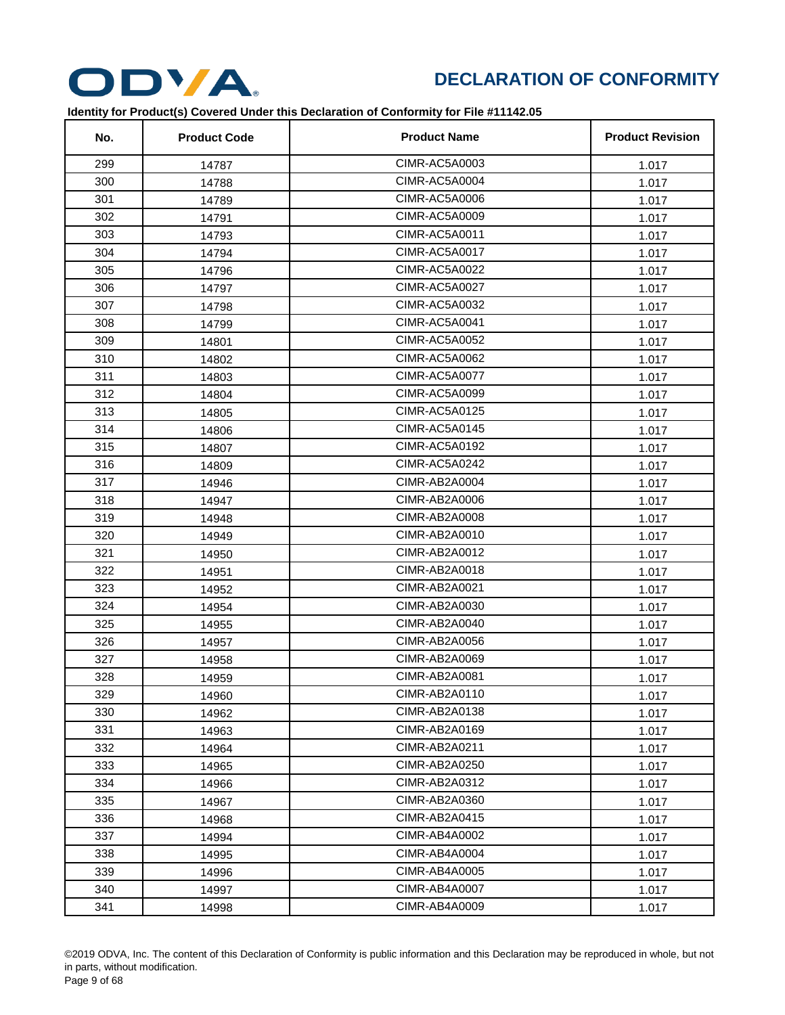

| No. | <b>Product Code</b> | <b>Product Name</b> | <b>Product Revision</b> |
|-----|---------------------|---------------------|-------------------------|
| 299 | 14787               | CIMR-AC5A0003       | 1.017                   |
| 300 | 14788               | CIMR-AC5A0004       | 1.017                   |
| 301 | 14789               | CIMR-AC5A0006       | 1.017                   |
| 302 | 14791               | CIMR-AC5A0009       | 1.017                   |
| 303 | 14793               | CIMR-AC5A0011       | 1.017                   |
| 304 | 14794               | CIMR-AC5A0017       | 1.017                   |
| 305 | 14796               | CIMR-AC5A0022       | 1.017                   |
| 306 | 14797               | CIMR-AC5A0027       | 1.017                   |
| 307 | 14798               | CIMR-AC5A0032       | 1.017                   |
| 308 | 14799               | CIMR-AC5A0041       | 1.017                   |
| 309 | 14801               | CIMR-AC5A0052       | 1.017                   |
| 310 | 14802               | CIMR-AC5A0062       | 1.017                   |
| 311 | 14803               | CIMR-AC5A0077       | 1.017                   |
| 312 | 14804               | CIMR-AC5A0099       | 1.017                   |
| 313 | 14805               | CIMR-AC5A0125       | 1.017                   |
| 314 | 14806               | CIMR-AC5A0145       | 1.017                   |
| 315 | 14807               | CIMR-AC5A0192       | 1.017                   |
| 316 | 14809               | CIMR-AC5A0242       | 1.017                   |
| 317 | 14946               | CIMR-AB2A0004       | 1.017                   |
| 318 | 14947               | CIMR-AB2A0006       | 1.017                   |
| 319 | 14948               | CIMR-AB2A0008       | 1.017                   |
| 320 | 14949               | CIMR-AB2A0010       | 1.017                   |
| 321 | 14950               | CIMR-AB2A0012       | 1.017                   |
| 322 | 14951               | CIMR-AB2A0018       | 1.017                   |
| 323 | 14952               | CIMR-AB2A0021       | 1.017                   |
| 324 | 14954               | CIMR-AB2A0030       | 1.017                   |
| 325 | 14955               | CIMR-AB2A0040       | 1.017                   |
| 326 | 14957               | CIMR-AB2A0056       | 1.017                   |
| 327 | 14958               | CIMR-AB2A0069       | 1.017                   |
| 328 | 14959               | CIMR-AB2A0081       | 1.017                   |
| 329 | 14960               | CIMR-AB2A0110       | 1.017                   |
| 330 | 14962               | CIMR-AB2A0138       | 1.017                   |
| 331 | 14963               | CIMR-AB2A0169       | 1.017                   |
| 332 | 14964               | CIMR-AB2A0211       | 1.017                   |
| 333 | 14965               | CIMR-AB2A0250       | 1.017                   |
| 334 | 14966               | CIMR-AB2A0312       | 1.017                   |
| 335 | 14967               | CIMR-AB2A0360       | 1.017                   |
| 336 | 14968               | CIMR-AB2A0415       | 1.017                   |
| 337 | 14994               | CIMR-AB4A0002       | 1.017                   |
| 338 | 14995               | CIMR-AB4A0004       | 1.017                   |
| 339 | 14996               | CIMR-AB4A0005       | 1.017                   |
| 340 | 14997               | CIMR-AB4A0007       | 1.017                   |
| 341 | 14998               | CIMR-AB4A0009       | 1.017                   |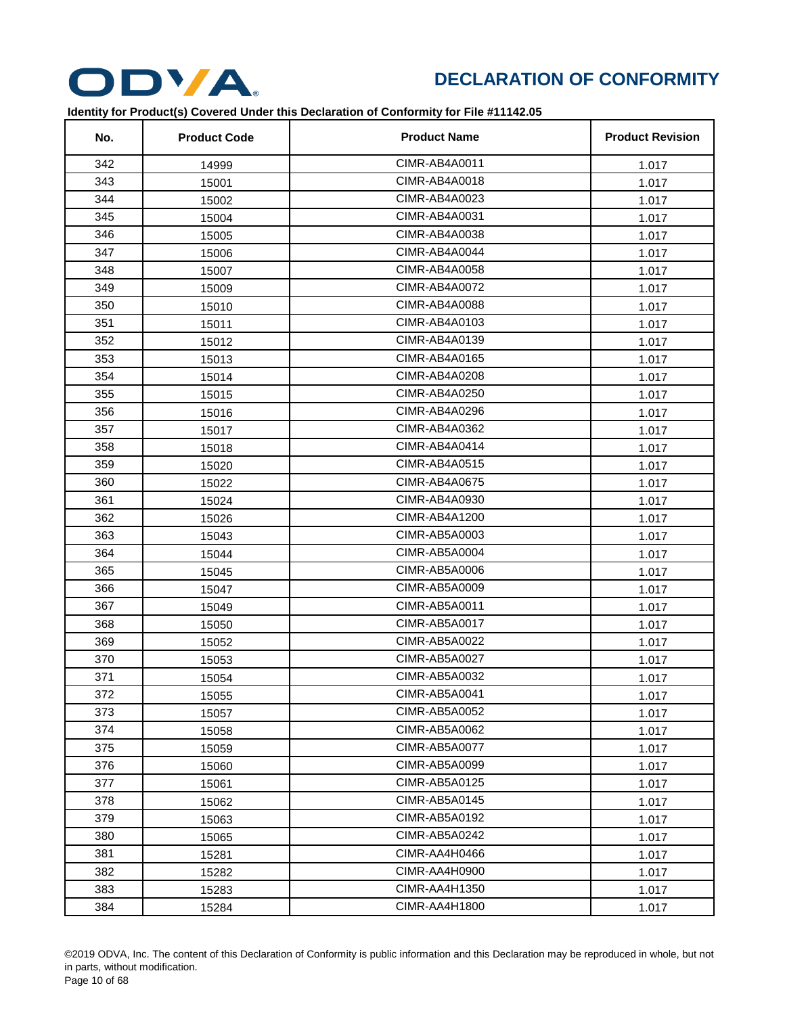

| No. | <b>Product Code</b> | <b>Product Name</b> | <b>Product Revision</b> |
|-----|---------------------|---------------------|-------------------------|
| 342 | 14999               | CIMR-AB4A0011       | 1.017                   |
| 343 | 15001               | CIMR-AB4A0018       | 1.017                   |
| 344 | 15002               | CIMR-AB4A0023       | 1.017                   |
| 345 | 15004               | CIMR-AB4A0031       | 1.017                   |
| 346 | 15005               | CIMR-AB4A0038       | 1.017                   |
| 347 | 15006               | CIMR-AB4A0044       | 1.017                   |
| 348 | 15007               | CIMR-AB4A0058       | 1.017                   |
| 349 | 15009               | CIMR-AB4A0072       | 1.017                   |
| 350 | 15010               | CIMR-AB4A0088       | 1.017                   |
| 351 | 15011               | CIMR-AB4A0103       | 1.017                   |
| 352 | 15012               | CIMR-AB4A0139       | 1.017                   |
| 353 | 15013               | CIMR-AB4A0165       | 1.017                   |
| 354 | 15014               | CIMR-AB4A0208       | 1.017                   |
| 355 | 15015               | CIMR-AB4A0250       | 1.017                   |
| 356 | 15016               | CIMR-AB4A0296       | 1.017                   |
| 357 | 15017               | CIMR-AB4A0362       | 1.017                   |
| 358 | 15018               | CIMR-AB4A0414       | 1.017                   |
| 359 | 15020               | CIMR-AB4A0515       | 1.017                   |
| 360 | 15022               | CIMR-AB4A0675       | 1.017                   |
| 361 | 15024               | CIMR-AB4A0930       | 1.017                   |
| 362 | 15026               | CIMR-AB4A1200       | 1.017                   |
| 363 | 15043               | CIMR-AB5A0003       | 1.017                   |
| 364 | 15044               | CIMR-AB5A0004       | 1.017                   |
| 365 | 15045               | CIMR-AB5A0006       | 1.017                   |
| 366 | 15047               | CIMR-AB5A0009       | 1.017                   |
| 367 | 15049               | CIMR-AB5A0011       | 1.017                   |
| 368 | 15050               | CIMR-AB5A0017       | 1.017                   |
| 369 | 15052               | CIMR-AB5A0022       | 1.017                   |
| 370 | 15053               | CIMR-AB5A0027       | 1.017                   |
| 371 | 15054               | CIMR-AB5A0032       | 1.017                   |
| 372 | 15055               | CIMR-AB5A0041       | 1.017                   |
| 373 | 15057               | CIMR-AB5A0052       | 1.017                   |
| 374 | 15058               | CIMR-AB5A0062       | 1.017                   |
| 375 | 15059               | CIMR-AB5A0077       | 1.017                   |
| 376 | 15060               | CIMR-AB5A0099       | 1.017                   |
| 377 | 15061               | CIMR-AB5A0125       | 1.017                   |
| 378 | 15062               | CIMR-AB5A0145       | 1.017                   |
| 379 | 15063               | CIMR-AB5A0192       | 1.017                   |
| 380 | 15065               | CIMR-AB5A0242       | 1.017                   |
| 381 | 15281               | CIMR-AA4H0466       | 1.017                   |
| 382 | 15282               | CIMR-AA4H0900       | 1.017                   |
| 383 | 15283               | CIMR-AA4H1350       | 1.017                   |
| 384 | 15284               | CIMR-AA4H1800       | 1.017                   |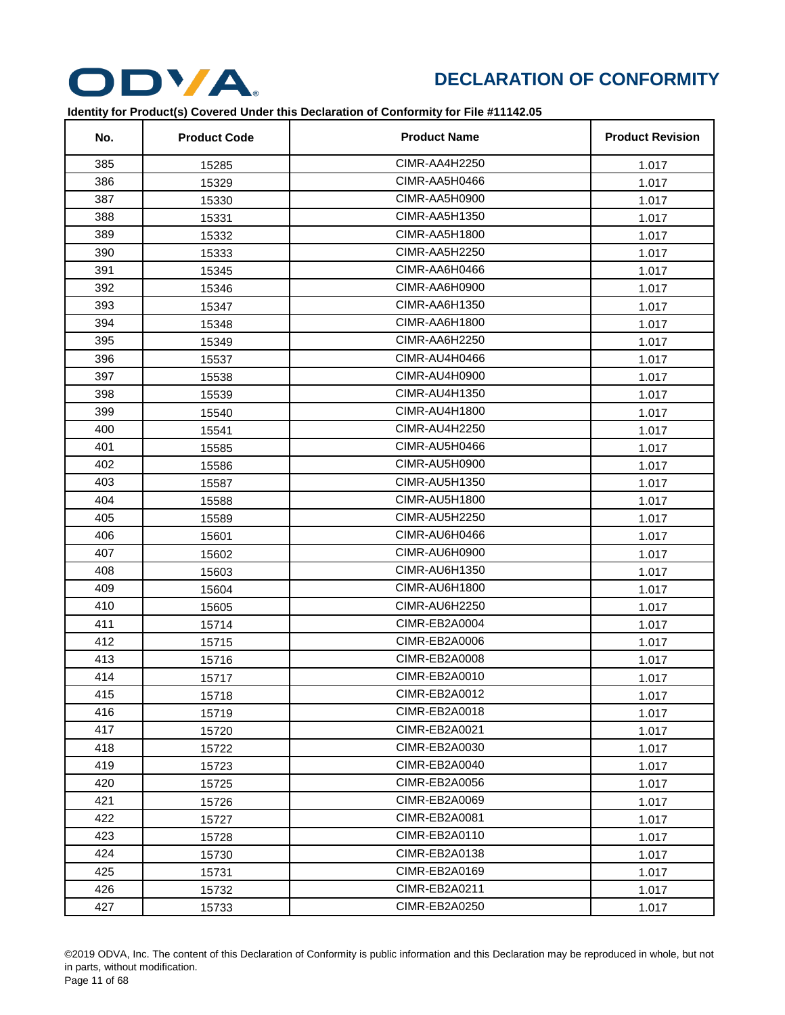

| No. | <b>Product Code</b> | <b>Product Name</b> | <b>Product Revision</b> |
|-----|---------------------|---------------------|-------------------------|
| 385 | 15285               | CIMR-AA4H2250       | 1.017                   |
| 386 | 15329               | CIMR-AA5H0466       | 1.017                   |
| 387 | 15330               | CIMR-AA5H0900       | 1.017                   |
| 388 | 15331               | CIMR-AA5H1350       | 1.017                   |
| 389 | 15332               | CIMR-AA5H1800       | 1.017                   |
| 390 | 15333               | CIMR-AA5H2250       | 1.017                   |
| 391 | 15345               | CIMR-AA6H0466       | 1.017                   |
| 392 | 15346               | CIMR-AA6H0900       | 1.017                   |
| 393 | 15347               | CIMR-AA6H1350       | 1.017                   |
| 394 | 15348               | CIMR-AA6H1800       | 1.017                   |
| 395 | 15349               | CIMR-AA6H2250       | 1.017                   |
| 396 | 15537               | CIMR-AU4H0466       | 1.017                   |
| 397 | 15538               | CIMR-AU4H0900       | 1.017                   |
| 398 | 15539               | CIMR-AU4H1350       | 1.017                   |
| 399 | 15540               | CIMR-AU4H1800       | 1.017                   |
| 400 | 15541               | CIMR-AU4H2250       | 1.017                   |
| 401 | 15585               | CIMR-AU5H0466       | 1.017                   |
| 402 | 15586               | CIMR-AU5H0900       | 1.017                   |
| 403 | 15587               | CIMR-AU5H1350       | 1.017                   |
| 404 | 15588               | CIMR-AU5H1800       | 1.017                   |
| 405 | 15589               | CIMR-AU5H2250       | 1.017                   |
| 406 | 15601               | CIMR-AU6H0466       | 1.017                   |
| 407 | 15602               | CIMR-AU6H0900       | 1.017                   |
| 408 | 15603               | CIMR-AU6H1350       | 1.017                   |
| 409 | 15604               | CIMR-AU6H1800       | 1.017                   |
| 410 | 15605               | CIMR-AU6H2250       | 1.017                   |
| 411 | 15714               | CIMR-EB2A0004       | 1.017                   |
| 412 | 15715               | CIMR-EB2A0006       | 1.017                   |
| 413 | 15716               | CIMR-EB2A0008       | 1.017                   |
| 414 | 15717               | CIMR-EB2A0010       | 1.017                   |
| 415 | 15718               | CIMR-EB2A0012       | 1.017                   |
| 416 | 15719               | CIMR-EB2A0018       | 1.017                   |
| 417 | 15720               | CIMR-EB2A0021       | 1.017                   |
| 418 | 15722               | CIMR-EB2A0030       | 1.017                   |
| 419 | 15723               | CIMR-EB2A0040       | 1.017                   |
| 420 | 15725               | CIMR-EB2A0056       | 1.017                   |
| 421 | 15726               | CIMR-EB2A0069       | 1.017                   |
| 422 | 15727               | CIMR-EB2A0081       | 1.017                   |
| 423 | 15728               | CIMR-EB2A0110       | 1.017                   |
| 424 | 15730               | CIMR-EB2A0138       | 1.017                   |
| 425 | 15731               | CIMR-EB2A0169       | 1.017                   |
| 426 | 15732               | CIMR-EB2A0211       | 1.017                   |
| 427 | 15733               | CIMR-EB2A0250       | 1.017                   |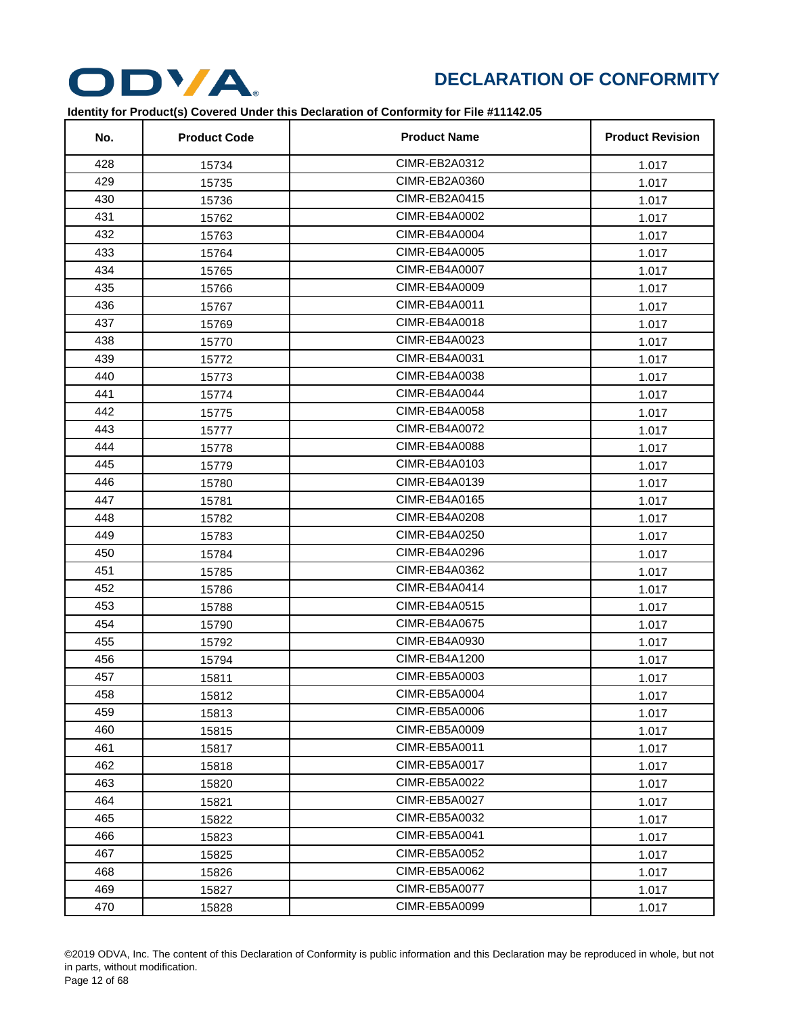

| No. | <b>Product Code</b> | <b>Product Name</b>  | <b>Product Revision</b> |
|-----|---------------------|----------------------|-------------------------|
| 428 | 15734               | CIMR-EB2A0312        | 1.017                   |
| 429 | 15735               | CIMR-EB2A0360        | 1.017                   |
| 430 | 15736               | CIMR-EB2A0415        | 1.017                   |
| 431 | 15762               | CIMR-EB4A0002        | 1.017                   |
| 432 | 15763               | CIMR-EB4A0004        | 1.017                   |
| 433 | 15764               | CIMR-EB4A0005        | 1.017                   |
| 434 | 15765               | CIMR-EB4A0007        | 1.017                   |
| 435 | 15766               | CIMR-EB4A0009        | 1.017                   |
| 436 | 15767               | CIMR-EB4A0011        | 1.017                   |
| 437 | 15769               | CIMR-EB4A0018        | 1.017                   |
| 438 | 15770               | CIMR-EB4A0023        | 1.017                   |
| 439 | 15772               | CIMR-EB4A0031        | 1.017                   |
| 440 | 15773               | CIMR-EB4A0038        | 1.017                   |
| 441 | 15774               | CIMR-EB4A0044        | 1.017                   |
| 442 | 15775               | CIMR-EB4A0058        | 1.017                   |
| 443 | 15777               | CIMR-EB4A0072        | 1.017                   |
| 444 | 15778               | CIMR-EB4A0088        | 1.017                   |
| 445 | 15779               | CIMR-EB4A0103        | 1.017                   |
| 446 | 15780               | CIMR-EB4A0139        | 1.017                   |
| 447 | 15781               | CIMR-EB4A0165        | 1.017                   |
| 448 | 15782               | CIMR-EB4A0208        | 1.017                   |
| 449 | 15783               | CIMR-EB4A0250        | 1.017                   |
| 450 | 15784               | CIMR-EB4A0296        | 1.017                   |
| 451 | 15785               | CIMR-EB4A0362        | 1.017                   |
| 452 | 15786               | CIMR-EB4A0414        | 1.017                   |
| 453 | 15788               | CIMR-EB4A0515        | 1.017                   |
| 454 | 15790               | <b>CIMR-EB4A0675</b> | 1.017                   |
| 455 | 15792               | CIMR-EB4A0930        | 1.017                   |
| 456 | 15794               | CIMR-EB4A1200        | 1.017                   |
| 457 | 15811               | CIMR-EB5A0003        | 1.017                   |
| 458 | 15812               | CIMR-EB5A0004        | 1.017                   |
| 459 | 15813               | CIMR-EB5A0006        | 1.017                   |
| 460 | 15815               | CIMR-EB5A0009        | 1.017                   |
| 461 | 15817               | CIMR-EB5A0011        | 1.017                   |
| 462 | 15818               | CIMR-EB5A0017        | 1.017                   |
| 463 | 15820               | CIMR-EB5A0022        | 1.017                   |
| 464 | 15821               | CIMR-EB5A0027        | 1.017                   |
| 465 | 15822               | CIMR-EB5A0032        | 1.017                   |
| 466 | 15823               | CIMR-EB5A0041        | 1.017                   |
| 467 | 15825               | CIMR-EB5A0052        | 1.017                   |
| 468 | 15826               | CIMR-EB5A0062        | 1.017                   |
| 469 | 15827               | CIMR-EB5A0077        | 1.017                   |
| 470 | 15828               | CIMR-EB5A0099        | 1.017                   |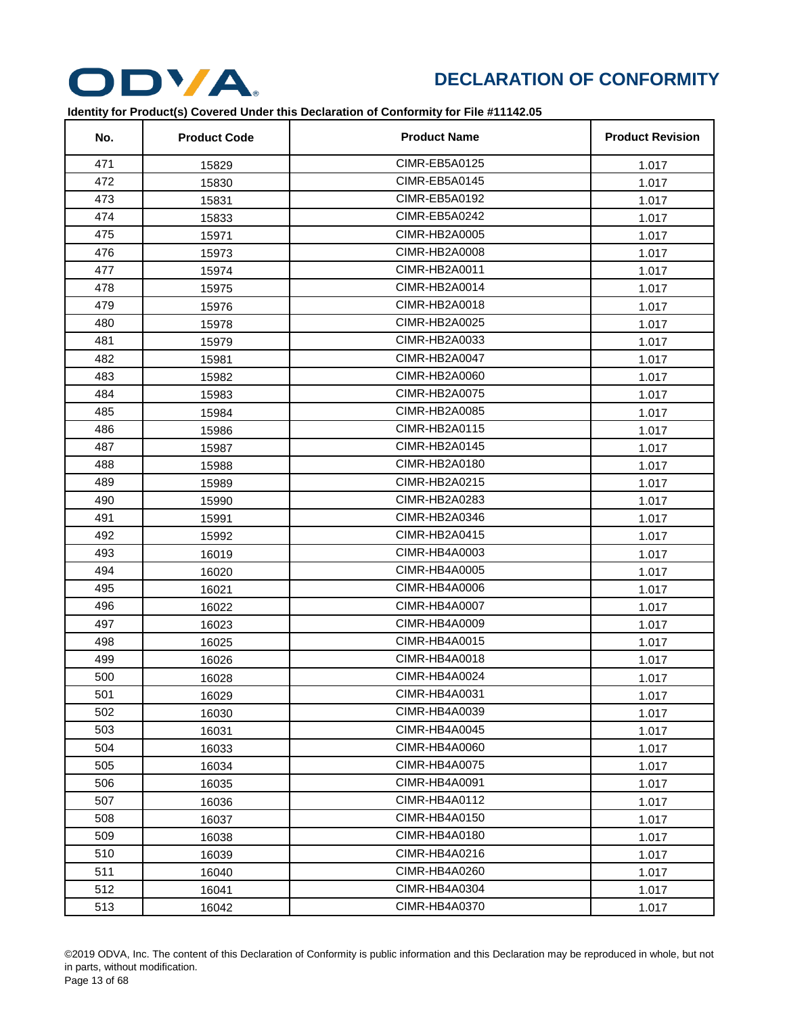

| No. | <b>Product Code</b> | <b>Product Name</b>  | <b>Product Revision</b> |
|-----|---------------------|----------------------|-------------------------|
| 471 | 15829               | CIMR-EB5A0125        | 1.017                   |
| 472 | 15830               | CIMR-EB5A0145        | 1.017                   |
| 473 | 15831               | CIMR-EB5A0192        | 1.017                   |
| 474 | 15833               | CIMR-EB5A0242        | 1.017                   |
| 475 | 15971               | CIMR-HB2A0005        | 1.017                   |
| 476 | 15973               | CIMR-HB2A0008        | 1.017                   |
| 477 | 15974               | CIMR-HB2A0011        | 1.017                   |
| 478 | 15975               | CIMR-HB2A0014        | 1.017                   |
| 479 | 15976               | CIMR-HB2A0018        | 1.017                   |
| 480 | 15978               | CIMR-HB2A0025        | 1.017                   |
| 481 | 15979               | CIMR-HB2A0033        | 1.017                   |
| 482 | 15981               | CIMR-HB2A0047        | 1.017                   |
| 483 | 15982               | CIMR-HB2A0060        | 1.017                   |
| 484 | 15983               | CIMR-HB2A0075        | 1.017                   |
| 485 | 15984               | CIMR-HB2A0085        | 1.017                   |
| 486 | 15986               | CIMR-HB2A0115        | 1.017                   |
| 487 | 15987               | CIMR-HB2A0145        | 1.017                   |
| 488 | 15988               | CIMR-HB2A0180        | 1.017                   |
| 489 | 15989               | CIMR-HB2A0215        | 1.017                   |
| 490 | 15990               | CIMR-HB2A0283        | 1.017                   |
| 491 | 15991               | CIMR-HB2A0346        | 1.017                   |
| 492 | 15992               | CIMR-HB2A0415        | 1.017                   |
| 493 | 16019               | CIMR-HB4A0003        | 1.017                   |
| 494 | 16020               | CIMR-HB4A0005        | 1.017                   |
| 495 | 16021               | CIMR-HB4A0006        | 1.017                   |
| 496 | 16022               | <b>CIMR-HB4A0007</b> | 1.017                   |
| 497 | 16023               | CIMR-HB4A0009        | 1.017                   |
| 498 | 16025               | CIMR-HB4A0015        | 1.017                   |
| 499 | 16026               | CIMR-HB4A0018        | 1.017                   |
| 500 | 16028               | CIMR-HB4A0024        | 1.017                   |
| 501 | 16029               | CIMR-HB4A0031        | 1.017                   |
| 502 | 16030               | CIMR-HB4A0039        | 1.017                   |
| 503 | 16031               | CIMR-HB4A0045        | 1.017                   |
| 504 | 16033               | CIMR-HB4A0060        | 1.017                   |
| 505 | 16034               | CIMR-HB4A0075        | 1.017                   |
| 506 | 16035               | CIMR-HB4A0091        | 1.017                   |
| 507 | 16036               | CIMR-HB4A0112        | 1.017                   |
| 508 | 16037               | CIMR-HB4A0150        | 1.017                   |
| 509 | 16038               | CIMR-HB4A0180        | 1.017                   |
| 510 | 16039               | CIMR-HB4A0216        | 1.017                   |
| 511 | 16040               | CIMR-HB4A0260        | 1.017                   |
| 512 | 16041               | CIMR-HB4A0304        | 1.017                   |
| 513 | 16042               | CIMR-HB4A0370        | 1.017                   |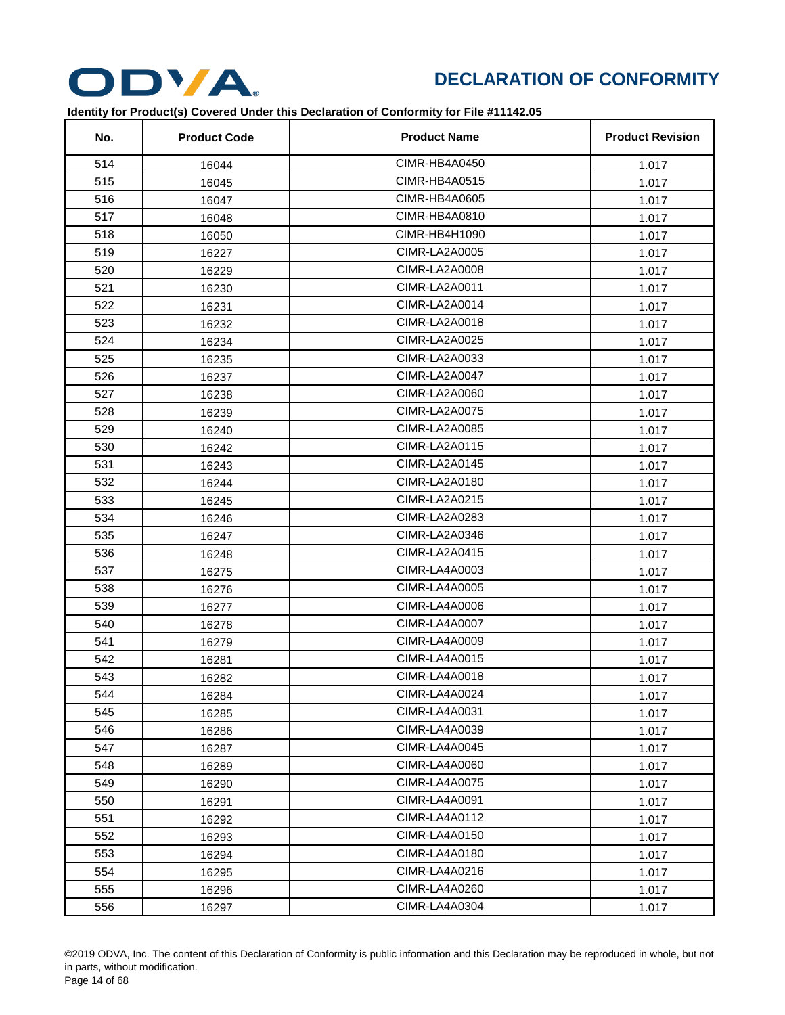

| No. | <b>Product Code</b> | <b>Product Name</b>  | <b>Product Revision</b> |
|-----|---------------------|----------------------|-------------------------|
| 514 | 16044               | CIMR-HB4A0450        | 1.017                   |
| 515 | 16045               | CIMR-HB4A0515        | 1.017                   |
| 516 | 16047               | CIMR-HB4A0605        | 1.017                   |
| 517 | 16048               | CIMR-HB4A0810        | 1.017                   |
| 518 | 16050               | CIMR-HB4H1090        | 1.017                   |
| 519 | 16227               | CIMR-LA2A0005        | 1.017                   |
| 520 | 16229               | CIMR-LA2A0008        | 1.017                   |
| 521 | 16230               | CIMR-LA2A0011        | 1.017                   |
| 522 | 16231               | CIMR-LA2A0014        | 1.017                   |
| 523 | 16232               | CIMR-LA2A0018        | 1.017                   |
| 524 | 16234               | CIMR-LA2A0025        | 1.017                   |
| 525 | 16235               | CIMR-LA2A0033        | 1.017                   |
| 526 | 16237               | CIMR-LA2A0047        | 1.017                   |
| 527 | 16238               | CIMR-LA2A0060        | 1.017                   |
| 528 | 16239               | <b>CIMR-LA2A0075</b> | 1.017                   |
| 529 | 16240               | CIMR-LA2A0085        | 1.017                   |
| 530 | 16242               | <b>CIMR-LA2A0115</b> | 1.017                   |
| 531 | 16243               | CIMR-LA2A0145        | 1.017                   |
| 532 | 16244               | CIMR-LA2A0180        | 1.017                   |
| 533 | 16245               | CIMR-LA2A0215        | 1.017                   |
| 534 | 16246               | CIMR-LA2A0283        | 1.017                   |
| 535 | 16247               | CIMR-LA2A0346        | 1.017                   |
| 536 | 16248               | <b>CIMR-LA2A0415</b> | 1.017                   |
| 537 | 16275               | CIMR-LA4A0003        | 1.017                   |
| 538 | 16276               | <b>CIMR-LA4A0005</b> | 1.017                   |
| 539 | 16277               | CIMR-LA4A0006        | 1.017                   |
| 540 | 16278               | CIMR-LA4A0007        | 1.017                   |
| 541 | 16279               | CIMR-LA4A0009        | 1.017                   |
| 542 | 16281               | CIMR-LA4A0015        | 1.017                   |
| 543 | 16282               | CIMR-LA4A0018        | 1.017                   |
| 544 | 16284               | CIMR-LA4A0024        | 1.017                   |
| 545 | 16285               | CIMR-LA4A0031        | 1.017                   |
| 546 | 16286               | CIMR-LA4A0039        | 1.017                   |
| 547 | 16287               | CIMR-LA4A0045        | 1.017                   |
| 548 | 16289               | CIMR-LA4A0060        | 1.017                   |
| 549 | 16290               | CIMR-LA4A0075        | 1.017                   |
| 550 | 16291               | CIMR-LA4A0091        | 1.017                   |
| 551 | 16292               | CIMR-LA4A0112        | 1.017                   |
| 552 | 16293               | <b>CIMR-LA4A0150</b> | 1.017                   |
| 553 | 16294               | CIMR-LA4A0180        | 1.017                   |
| 554 | 16295               | CIMR-LA4A0216        | 1.017                   |
| 555 | 16296               | CIMR-LA4A0260        | 1.017                   |
| 556 | 16297               | CIMR-LA4A0304        | 1.017                   |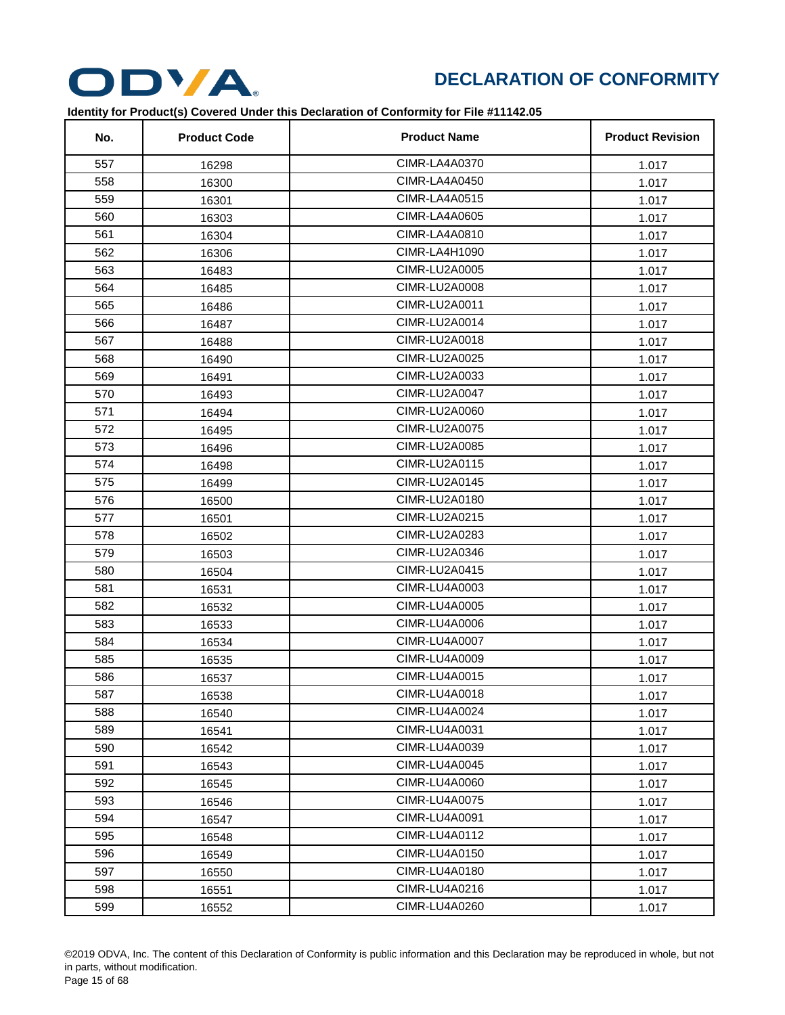

| No. | <b>Product Code</b> | <b>Product Name</b>  | <b>Product Revision</b> |
|-----|---------------------|----------------------|-------------------------|
| 557 | 16298               | CIMR-LA4A0370        | 1.017                   |
| 558 | 16300               | CIMR-LA4A0450        | 1.017                   |
| 559 | 16301               | <b>CIMR-LA4A0515</b> | 1.017                   |
| 560 | 16303               | <b>CIMR-LA4A0605</b> | 1.017                   |
| 561 | 16304               | CIMR-LA4A0810        | 1.017                   |
| 562 | 16306               | CIMR-LA4H1090        | 1.017                   |
| 563 | 16483               | <b>CIMR-LU2A0005</b> | 1.017                   |
| 564 | 16485               | CIMR-LU2A0008        | 1.017                   |
| 565 | 16486               | CIMR-LU2A0011        | 1.017                   |
| 566 | 16487               | CIMR-LU2A0014        | 1.017                   |
| 567 | 16488               | CIMR-LU2A0018        | 1.017                   |
| 568 | 16490               | CIMR-LU2A0025        | 1.017                   |
| 569 | 16491               | CIMR-LU2A0033        | 1.017                   |
| 570 | 16493               | CIMR-LU2A0047        | 1.017                   |
| 571 | 16494               | CIMR-LU2A0060        | 1.017                   |
| 572 | 16495               | <b>CIMR-LU2A0075</b> | 1.017                   |
| 573 | 16496               | CIMR-LU2A0085        | 1.017                   |
| 574 | 16498               | CIMR-LU2A0115        | 1.017                   |
| 575 | 16499               | CIMR-LU2A0145        | 1.017                   |
| 576 | 16500               | CIMR-LU2A0180        | 1.017                   |
| 577 | 16501               | CIMR-LU2A0215        | 1.017                   |
| 578 | 16502               | CIMR-LU2A0283        | 1.017                   |
| 579 | 16503               | CIMR-LU2A0346        | 1.017                   |
| 580 | 16504               | CIMR-LU2A0415        | 1.017                   |
| 581 | 16531               | CIMR-LU4A0003        | 1.017                   |
| 582 | 16532               | CIMR-LU4A0005        | 1.017                   |
| 583 | 16533               | <b>CIMR-LU4A0006</b> | 1.017                   |
| 584 | 16534               | <b>CIMR-LU4A0007</b> | 1.017                   |
| 585 | 16535               | <b>CIMR-LU4A0009</b> | 1.017                   |
| 586 | 16537               | CIMR-LU4A0015        | 1.017                   |
| 587 | 16538               | CIMR-LU4A0018        | 1.017                   |
| 588 | 16540               | CIMR-LU4A0024        | 1.017                   |
| 589 | 16541               | CIMR-LU4A0031        | 1.017                   |
| 590 | 16542               | CIMR-LU4A0039        | 1.017                   |
| 591 | 16543               | CIMR-LU4A0045        | 1.017                   |
| 592 | 16545               | CIMR-LU4A0060        | 1.017                   |
| 593 | 16546               | <b>CIMR-LU4A0075</b> | 1.017                   |
| 594 | 16547               | CIMR-LU4A0091        | 1.017                   |
| 595 | 16548               | CIMR-LU4A0112        | 1.017                   |
| 596 | 16549               | CIMR-LU4A0150        | 1.017                   |
| 597 | 16550               | CIMR-LU4A0180        | 1.017                   |
| 598 | 16551               | CIMR-LU4A0216        | 1.017                   |
| 599 | 16552               | CIMR-LU4A0260        | 1.017                   |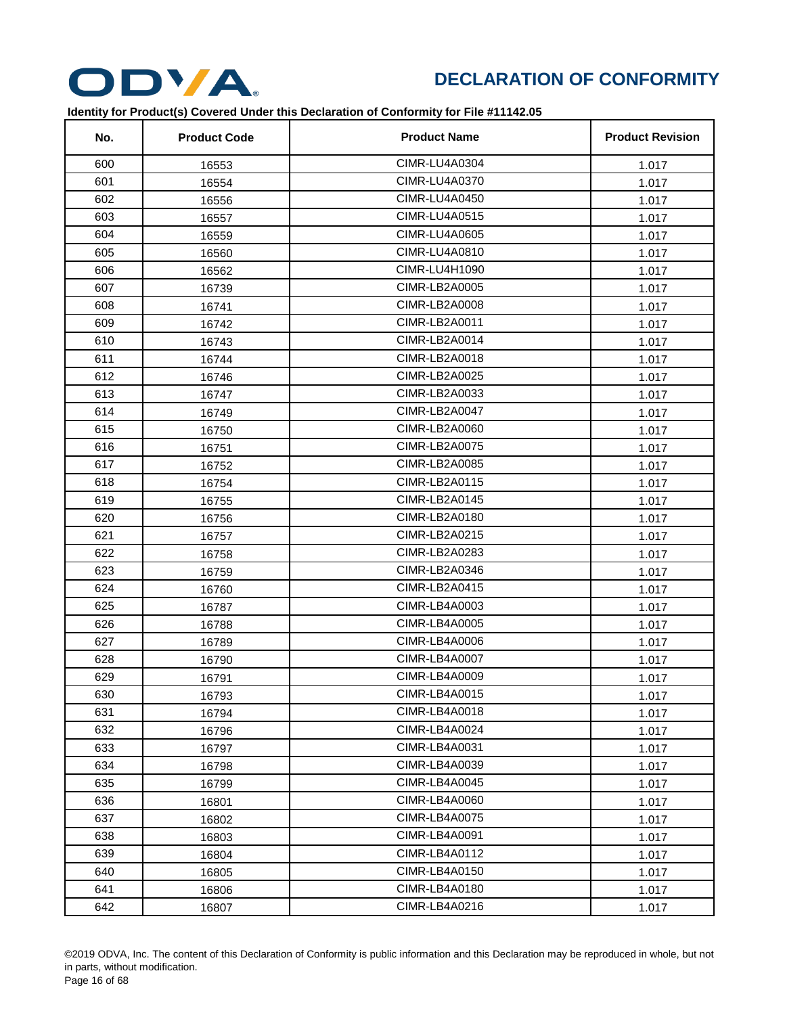

| No. | <b>Product Code</b> | <b>Product Name</b>  | <b>Product Revision</b> |
|-----|---------------------|----------------------|-------------------------|
| 600 | 16553               | CIMR-LU4A0304        | 1.017                   |
| 601 | 16554               | <b>CIMR-LU4A0370</b> | 1.017                   |
| 602 | 16556               | <b>CIMR-LU4A0450</b> | 1.017                   |
| 603 | 16557               | CIMR-LU4A0515        | 1.017                   |
| 604 | 16559               | <b>CIMR-LU4A0605</b> | 1.017                   |
| 605 | 16560               | CIMR-LU4A0810        | 1.017                   |
| 606 | 16562               | CIMR-LU4H1090        | 1.017                   |
| 607 | 16739               | CIMR-LB2A0005        | 1.017                   |
| 608 | 16741               | <b>CIMR-LB2A0008</b> | 1.017                   |
| 609 | 16742               | CIMR-LB2A0011        | 1.017                   |
| 610 | 16743               | CIMR-LB2A0014        | 1.017                   |
| 611 | 16744               | CIMR-LB2A0018        | 1.017                   |
| 612 | 16746               | CIMR-LB2A0025        | 1.017                   |
| 613 | 16747               | CIMR-LB2A0033        | 1.017                   |
| 614 | 16749               | CIMR-LB2A0047        | 1.017                   |
| 615 | 16750               | CIMR-LB2A0060        | 1.017                   |
| 616 | 16751               | <b>CIMR-LB2A0075</b> | 1.017                   |
| 617 | 16752               | CIMR-LB2A0085        | 1.017                   |
| 618 | 16754               | CIMR-LB2A0115        | 1.017                   |
| 619 | 16755               | CIMR-LB2A0145        | 1.017                   |
| 620 | 16756               | CIMR-LB2A0180        | 1.017                   |
| 621 | 16757               | CIMR-LB2A0215        | 1.017                   |
| 622 | 16758               | CIMR-LB2A0283        | 1.017                   |
| 623 | 16759               | CIMR-LB2A0346        | 1.017                   |
| 624 | 16760               | CIMR-LB2A0415        | 1.017                   |
| 625 | 16787               | CIMR-LB4A0003        | 1.017                   |
| 626 | 16788               | <b>CIMR-LB4A0005</b> | 1.017                   |
| 627 | 16789               | CIMR-LB4A0006        | 1.017                   |
| 628 | 16790               | <b>CIMR-LB4A0007</b> | 1.017                   |
| 629 | 16791               | CIMR-LB4A0009        | 1.017                   |
| 630 | 16793               | CIMR-LB4A0015        | 1.017                   |
| 631 | 16794               | CIMR-LB4A0018        | 1.017                   |
| 632 | 16796               | CIMR-LB4A0024        | 1.017                   |
| 633 | 16797               | CIMR-LB4A0031        | 1.017                   |
| 634 | 16798               | CIMR-LB4A0039        | 1.017                   |
| 635 | 16799               | CIMR-LB4A0045        | 1.017                   |
| 636 | 16801               | CIMR-LB4A0060        | 1.017                   |
| 637 | 16802               | CIMR-LB4A0075        | 1.017                   |
| 638 | 16803               | CIMR-LB4A0091        | 1.017                   |
| 639 | 16804               | CIMR-LB4A0112        | 1.017                   |
| 640 | 16805               | CIMR-LB4A0150        | 1.017                   |
| 641 | 16806               | CIMR-LB4A0180        | 1.017                   |
| 642 | 16807               | CIMR-LB4A0216        | 1.017                   |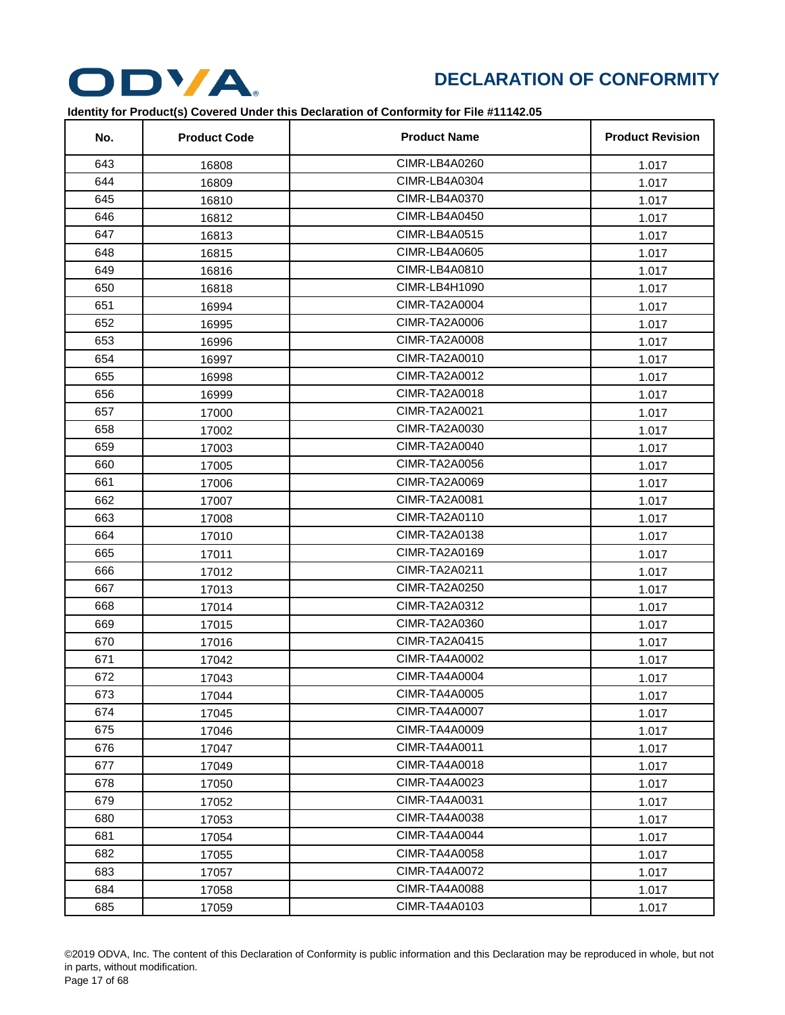

| No. | <b>Product Code</b> | <b>Product Name</b>  | <b>Product Revision</b> |
|-----|---------------------|----------------------|-------------------------|
| 643 | 16808               | CIMR-LB4A0260        | 1.017                   |
| 644 | 16809               | CIMR-LB4A0304        | 1.017                   |
| 645 | 16810               | CIMR-LB4A0370        | 1.017                   |
| 646 | 16812               | <b>CIMR-LB4A0450</b> | 1.017                   |
| 647 | 16813               | CIMR-LB4A0515        | 1.017                   |
| 648 | 16815               | CIMR-LB4A0605        | 1.017                   |
| 649 | 16816               | CIMR-LB4A0810        | 1.017                   |
| 650 | 16818               | CIMR-LB4H1090        | 1.017                   |
| 651 | 16994               | CIMR-TA2A0004        | 1.017                   |
| 652 | 16995               | CIMR-TA2A0006        | 1.017                   |
| 653 | 16996               | <b>CIMR-TA2A0008</b> | 1.017                   |
| 654 | 16997               | CIMR-TA2A0010        | 1.017                   |
| 655 | 16998               | CIMR-TA2A0012        | 1.017                   |
| 656 | 16999               | CIMR-TA2A0018        | 1.017                   |
| 657 | 17000               | CIMR-TA2A0021        | 1.017                   |
| 658 | 17002               | CIMR-TA2A0030        | 1.017                   |
| 659 | 17003               | CIMR-TA2A0040        | 1.017                   |
| 660 | 17005               | CIMR-TA2A0056        | 1.017                   |
| 661 | 17006               | CIMR-TA2A0069        | 1.017                   |
| 662 | 17007               | CIMR-TA2A0081        | 1.017                   |
| 663 | 17008               | CIMR-TA2A0110        | 1.017                   |
| 664 | 17010               | CIMR-TA2A0138        | 1.017                   |
| 665 | 17011               | CIMR-TA2A0169        | 1.017                   |
| 666 | 17012               | CIMR-TA2A0211        | 1.017                   |
| 667 | 17013               | CIMR-TA2A0250        | 1.017                   |
| 668 | 17014               | CIMR-TA2A0312        | 1.017                   |
| 669 | 17015               | CIMR-TA2A0360        | 1.017                   |
| 670 | 17016               | CIMR-TA2A0415        | 1.017                   |
| 671 | 17042               | CIMR-TA4A0002        | 1.017                   |
| 672 | 17043               | CIMR-TA4A0004        | 1.017                   |
| 673 | 17044               | CIMR-TA4A0005        | 1.017                   |
| 674 | 17045               | CIMR-TA4A0007        | 1.017                   |
| 675 | 17046               | CIMR-TA4A0009        | 1.017                   |
| 676 | 17047               | CIMR-TA4A0011        | 1.017                   |
| 677 | 17049               | CIMR-TA4A0018        | 1.017                   |
| 678 | 17050               | CIMR-TA4A0023        | 1.017                   |
| 679 | 17052               | CIMR-TA4A0031        | 1.017                   |
| 680 | 17053               | CIMR-TA4A0038        | 1.017                   |
| 681 | 17054               | CIMR-TA4A0044        | 1.017                   |
| 682 | 17055               | CIMR-TA4A0058        | 1.017                   |
| 683 | 17057               | <b>CIMR-TA4A0072</b> | 1.017                   |
| 684 | 17058               | CIMR-TA4A0088        | 1.017                   |
| 685 | 17059               | CIMR-TA4A0103        | 1.017                   |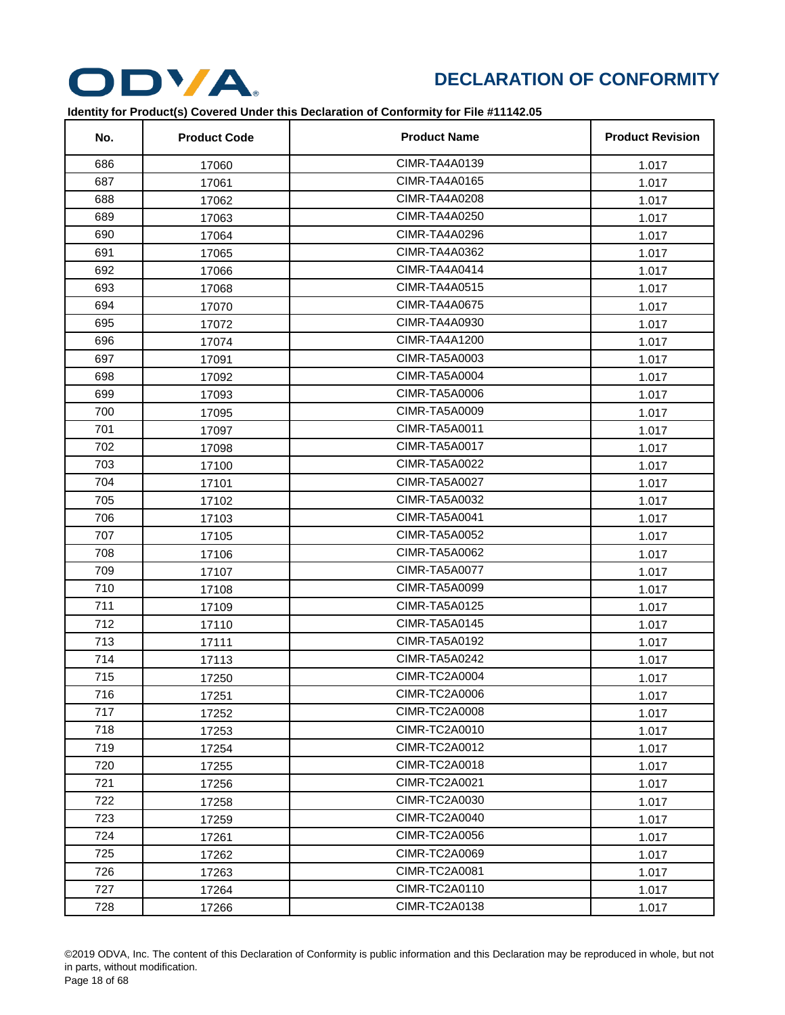

| No. | <b>Product Code</b> | <b>Product Name</b>  | <b>Product Revision</b> |
|-----|---------------------|----------------------|-------------------------|
| 686 | 17060               | CIMR-TA4A0139        | 1.017                   |
| 687 | 17061               | CIMR-TA4A0165        | 1.017                   |
| 688 | 17062               | CIMR-TA4A0208        | 1.017                   |
| 689 | 17063               | CIMR-TA4A0250        | 1.017                   |
| 690 | 17064               | CIMR-TA4A0296        | 1.017                   |
| 691 | 17065               | CIMR-TA4A0362        | 1.017                   |
| 692 | 17066               | CIMR-TA4A0414        | 1.017                   |
| 693 | 17068               | CIMR-TA4A0515        | 1.017                   |
| 694 | 17070               | CIMR-TA4A0675        | 1.017                   |
| 695 | 17072               | CIMR-TA4A0930        | 1.017                   |
| 696 | 17074               | CIMR-TA4A1200        | 1.017                   |
| 697 | 17091               | CIMR-TA5A0003        | 1.017                   |
| 698 | 17092               | CIMR-TA5A0004        | 1.017                   |
| 699 | 17093               | CIMR-TA5A0006        | 1.017                   |
| 700 | 17095               | CIMR-TA5A0009        | 1.017                   |
| 701 | 17097               | CIMR-TA5A0011        | 1.017                   |
| 702 | 17098               | CIMR-TA5A0017        | 1.017                   |
| 703 | 17100               | CIMR-TA5A0022        | 1.017                   |
| 704 | 17101               | CIMR-TA5A0027        | 1.017                   |
| 705 | 17102               | CIMR-TA5A0032        | 1.017                   |
| 706 | 17103               | CIMR-TA5A0041        | 1.017                   |
| 707 | 17105               | CIMR-TA5A0052        | 1.017                   |
| 708 | 17106               | CIMR-TA5A0062        | 1.017                   |
| 709 | 17107               | CIMR-TA5A0077        | 1.017                   |
| 710 | 17108               | CIMR-TA5A0099        | 1.017                   |
| 711 | 17109               | CIMR-TA5A0125        | 1.017                   |
| 712 | 17110               | CIMR-TA5A0145        | 1.017                   |
| 713 | 17111               | CIMR-TA5A0192        | 1.017                   |
| 714 | 17113               | CIMR-TA5A0242        | 1.017                   |
| 715 | 17250               | CIMR-TC2A0004        | 1.017                   |
| 716 | 17251               | CIMR-TC2A0006        | 1.017                   |
| 717 | 17252               | CIMR-TC2A0008        | 1.017                   |
| 718 | 17253               | CIMR-TC2A0010        | 1.017                   |
| 719 | 17254               | CIMR-TC2A0012        | 1.017                   |
| 720 | 17255               | CIMR-TC2A0018        | 1.017                   |
| 721 | 17256               | CIMR-TC2A0021        | 1.017                   |
| 722 | 17258               | CIMR-TC2A0030        | 1.017                   |
| 723 | 17259               | CIMR-TC2A0040        | 1.017                   |
| 724 | 17261               | <b>CIMR-TC2A0056</b> | 1.017                   |
| 725 | 17262               | CIMR-TC2A0069        | 1.017                   |
| 726 | 17263               | <b>CIMR-TC2A0081</b> | 1.017                   |
| 727 | 17264               | CIMR-TC2A0110        | 1.017                   |
| 728 | 17266               | <b>CIMR-TC2A0138</b> | 1.017                   |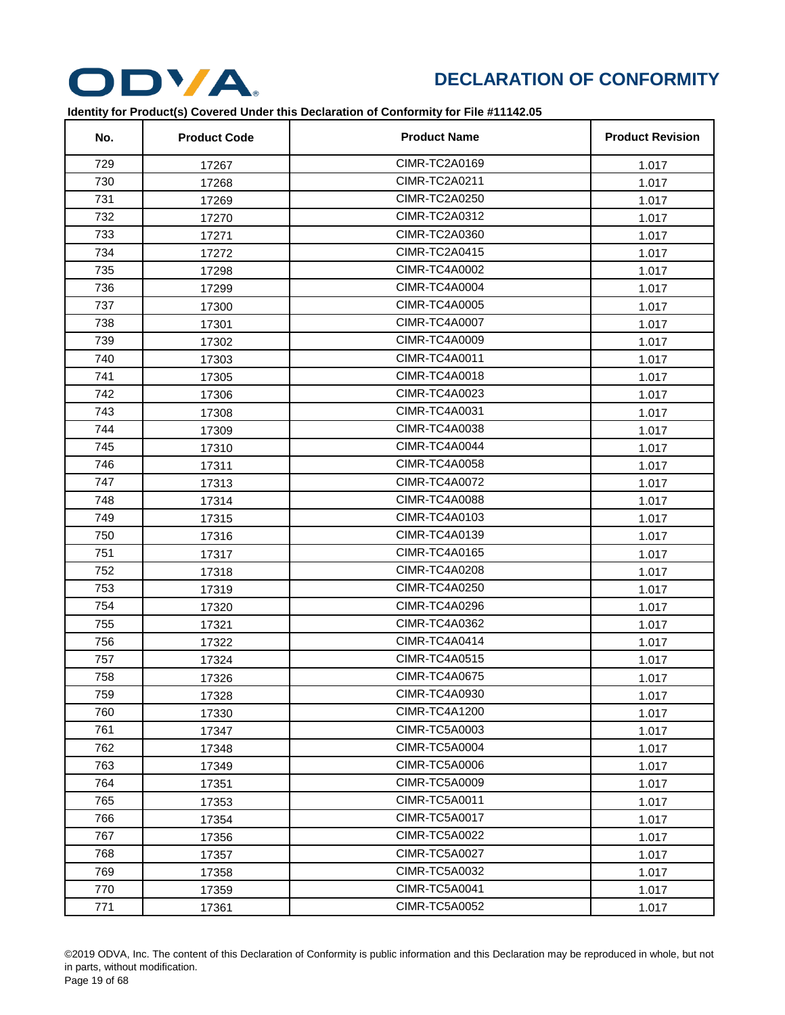

| No. | <b>Product Code</b> | <b>Product Name</b>  | <b>Product Revision</b> |
|-----|---------------------|----------------------|-------------------------|
| 729 | 17267               | CIMR-TC2A0169        | 1.017                   |
| 730 | 17268               | <b>CIMR-TC2A0211</b> | 1.017                   |
| 731 | 17269               | CIMR-TC2A0250        | 1.017                   |
| 732 | 17270               | CIMR-TC2A0312        | 1.017                   |
| 733 | 17271               | CIMR-TC2A0360        | 1.017                   |
| 734 | 17272               | <b>CIMR-TC2A0415</b> | 1.017                   |
| 735 | 17298               | <b>CIMR-TC4A0002</b> | 1.017                   |
| 736 | 17299               | CIMR-TC4A0004        | 1.017                   |
| 737 | 17300               | <b>CIMR-TC4A0005</b> | 1.017                   |
| 738 | 17301               | <b>CIMR-TC4A0007</b> | 1.017                   |
| 739 | 17302               | CIMR-TC4A0009        | 1.017                   |
| 740 | 17303               | <b>CIMR-TC4A0011</b> | 1.017                   |
| 741 | 17305               | CIMR-TC4A0018        | 1.017                   |
| 742 | 17306               | <b>CIMR-TC4A0023</b> | 1.017                   |
| 743 | 17308               | <b>CIMR-TC4A0031</b> | 1.017                   |
| 744 | 17309               | <b>CIMR-TC4A0038</b> | 1.017                   |
| 745 | 17310               | CIMR-TC4A0044        | 1.017                   |
| 746 | 17311               | <b>CIMR-TC4A0058</b> | 1.017                   |
| 747 | 17313               | CIMR-TC4A0072        | 1.017                   |
| 748 | 17314               | <b>CIMR-TC4A0088</b> | 1.017                   |
| 749 | 17315               | CIMR-TC4A0103        | 1.017                   |
| 750 | 17316               | CIMR-TC4A0139        | 1.017                   |
| 751 | 17317               | CIMR-TC4A0165        | 1.017                   |
| 752 | 17318               | <b>CIMR-TC4A0208</b> | 1.017                   |
| 753 | 17319               | <b>CIMR-TC4A0250</b> | 1.017                   |
| 754 | 17320               | CIMR-TC4A0296        | 1.017                   |
| 755 | 17321               | <b>CIMR-TC4A0362</b> | 1.017                   |
| 756 | 17322               | CIMR-TC4A0414        | 1.017                   |
| 757 | 17324               | <b>CIMR-TC4A0515</b> | 1.017                   |
| 758 | 17326               | <b>CIMR-TC4A0675</b> | 1.017                   |
| 759 | 17328               | CIMR-TC4A0930        | 1.017                   |
| 760 | 17330               | CIMR-TC4A1200        | 1.017                   |
| 761 | 17347               | <b>CIMR-TC5A0003</b> | 1.017                   |
| 762 | 17348               | CIMR-TC5A0004        | 1.017                   |
| 763 | 17349               | <b>CIMR-TC5A0006</b> | 1.017                   |
| 764 | 17351               | <b>CIMR-TC5A0009</b> | 1.017                   |
| 765 | 17353               | CIMR-TC5A0011        | 1.017                   |
| 766 | 17354               | CIMR-TC5A0017        | 1.017                   |
| 767 | 17356               | <b>CIMR-TC5A0022</b> | 1.017                   |
| 768 | 17357               | <b>CIMR-TC5A0027</b> | 1.017                   |
| 769 | 17358               | <b>CIMR-TC5A0032</b> | 1.017                   |
| 770 | 17359               | CIMR-TC5A0041        | 1.017                   |
| 771 | 17361               | <b>CIMR-TC5A0052</b> | 1.017                   |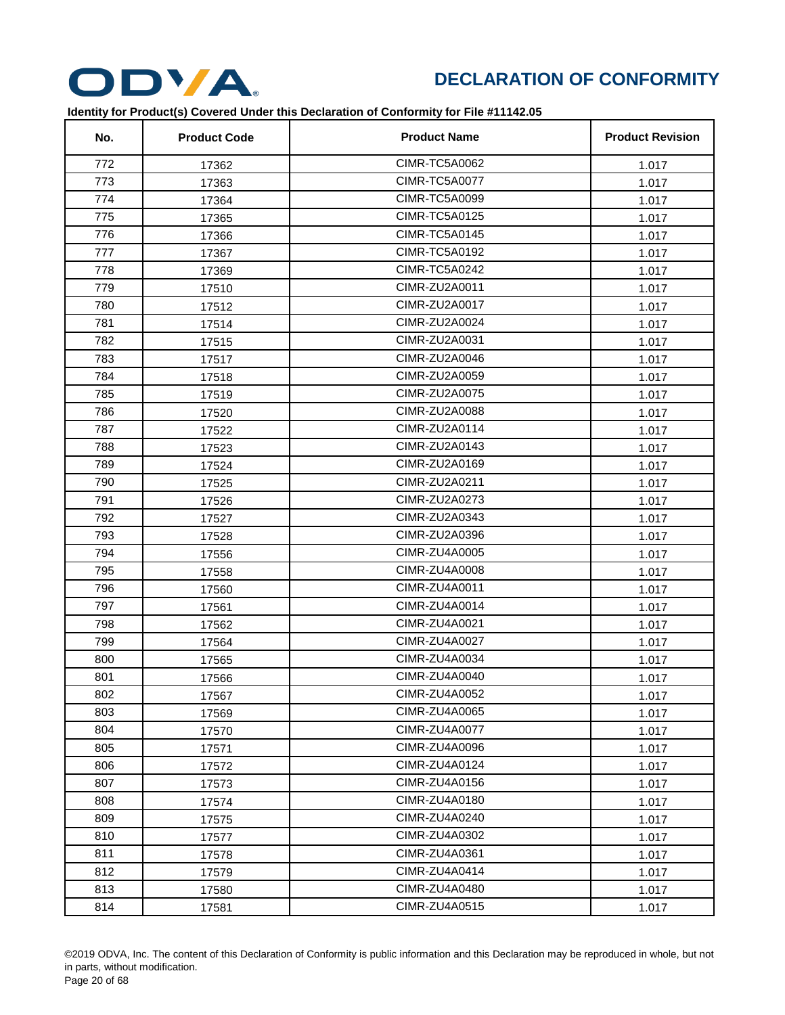

| No. | <b>Product Code</b> | <b>Product Name</b>  | <b>Product Revision</b> |
|-----|---------------------|----------------------|-------------------------|
| 772 | 17362               | <b>CIMR-TC5A0062</b> | 1.017                   |
| 773 | 17363               | CIMR-TC5A0077        | 1.017                   |
| 774 | 17364               | <b>CIMR-TC5A0099</b> | 1.017                   |
| 775 | 17365               | <b>CIMR-TC5A0125</b> | 1.017                   |
| 776 | 17366               | CIMR-TC5A0145        | 1.017                   |
| 777 | 17367               | CIMR-TC5A0192        | 1.017                   |
| 778 | 17369               | CIMR-TC5A0242        | 1.017                   |
| 779 | 17510               | CIMR-ZU2A0011        | 1.017                   |
| 780 | 17512               | CIMR-ZU2A0017        | 1.017                   |
| 781 | 17514               | CIMR-ZU2A0024        | 1.017                   |
| 782 | 17515               | CIMR-ZU2A0031        | 1.017                   |
| 783 | 17517               | CIMR-ZU2A0046        | 1.017                   |
| 784 | 17518               | CIMR-ZU2A0059        | 1.017                   |
| 785 | 17519               | CIMR-ZU2A0075        | 1.017                   |
| 786 | 17520               | <b>CIMR-ZU2A0088</b> | 1.017                   |
| 787 | 17522               | CIMR-ZU2A0114        | 1.017                   |
| 788 | 17523               | CIMR-ZU2A0143        | 1.017                   |
| 789 | 17524               | CIMR-ZU2A0169        | 1.017                   |
| 790 | 17525               | CIMR-ZU2A0211        | 1.017                   |
| 791 | 17526               | CIMR-ZU2A0273        | 1.017                   |
| 792 | 17527               | CIMR-ZU2A0343        | 1.017                   |
| 793 | 17528               | CIMR-ZU2A0396        | 1.017                   |
| 794 | 17556               | CIMR-ZU4A0005        | 1.017                   |
| 795 | 17558               | CIMR-ZU4A0008        | 1.017                   |
| 796 | 17560               | CIMR-ZU4A0011        | 1.017                   |
| 797 | 17561               | CIMR-ZU4A0014        | 1.017                   |
| 798 | 17562               | CIMR-ZU4A0021        | 1.017                   |
| 799 | 17564               | CIMR-ZU4A0027        | 1.017                   |
| 800 | 17565               | CIMR-ZU4A0034        | 1.017                   |
| 801 | 17566               | CIMR-ZU4A0040        | 1.017                   |
| 802 | 17567               | CIMR-ZU4A0052        | 1.017                   |
| 803 | 17569               | CIMR-ZU4A0065        | 1.017                   |
| 804 | 17570               | CIMR-ZU4A0077        | 1.017                   |
| 805 | 17571               | CIMR-ZU4A0096        | 1.017                   |
| 806 | 17572               | CIMR-ZU4A0124        | 1.017                   |
| 807 | 17573               | CIMR-ZU4A0156        | 1.017                   |
| 808 | 17574               | CIMR-ZU4A0180        | 1.017                   |
| 809 | 17575               | CIMR-ZU4A0240        | 1.017                   |
| 810 | 17577               | CIMR-ZU4A0302        | 1.017                   |
| 811 | 17578               | CIMR-ZU4A0361        | 1.017                   |
| 812 | 17579               | CIMR-ZU4A0414        | 1.017                   |
| 813 | 17580               | CIMR-ZU4A0480        | 1.017                   |
| 814 | 17581               | CIMR-ZU4A0515        | 1.017                   |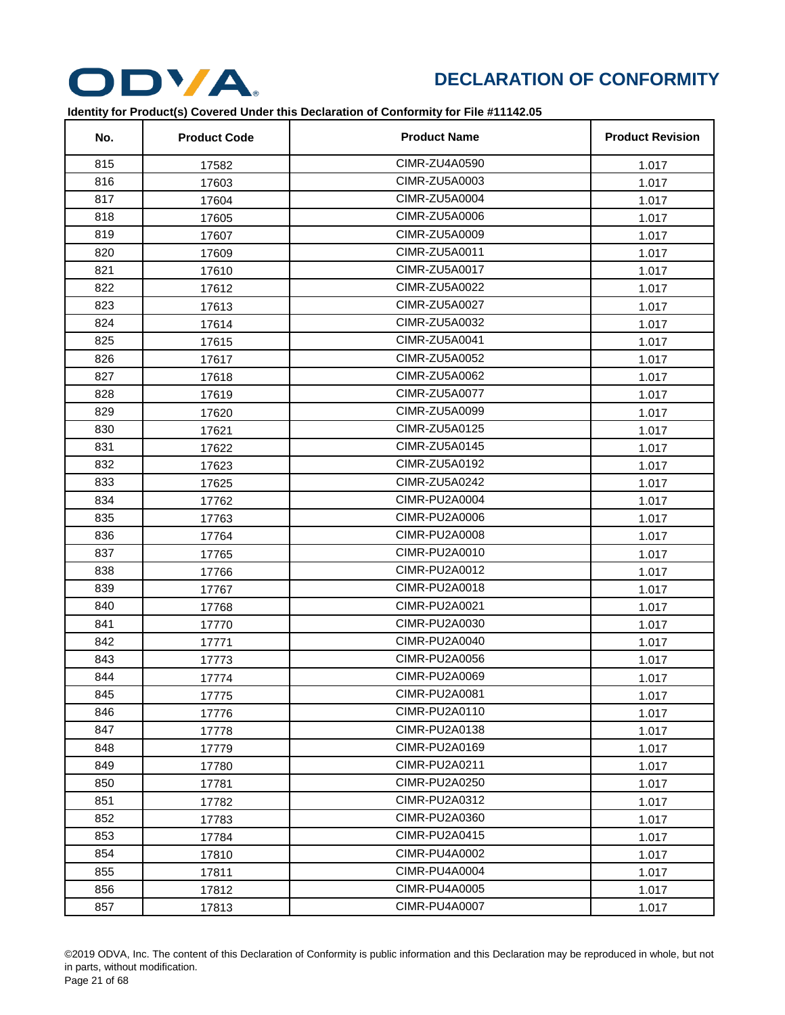

| No. | <b>Product Code</b> | <b>Product Name</b>  | <b>Product Revision</b> |
|-----|---------------------|----------------------|-------------------------|
| 815 | 17582               | CIMR-ZU4A0590        | 1.017                   |
| 816 | 17603               | CIMR-ZU5A0003        | 1.017                   |
| 817 | 17604               | CIMR-ZU5A0004        | 1.017                   |
| 818 | 17605               | <b>CIMR-ZU5A0006</b> | 1.017                   |
| 819 | 17607               | CIMR-ZU5A0009        | 1.017                   |
| 820 | 17609               | CIMR-ZU5A0011        | 1.017                   |
| 821 | 17610               | CIMR-ZU5A0017        | 1.017                   |
| 822 | 17612               | CIMR-ZU5A0022        | 1.017                   |
| 823 | 17613               | CIMR-ZU5A0027        | 1.017                   |
| 824 | 17614               | CIMR-ZU5A0032        | 1.017                   |
| 825 | 17615               | CIMR-ZU5A0041        | 1.017                   |
| 826 | 17617               | CIMR-ZU5A0052        | 1.017                   |
| 827 | 17618               | CIMR-ZU5A0062        | 1.017                   |
| 828 | 17619               | <b>CIMR-ZU5A0077</b> | 1.017                   |
| 829 | 17620               | CIMR-ZU5A0099        | 1.017                   |
| 830 | 17621               | CIMR-ZU5A0125        | 1.017                   |
| 831 | 17622               | CIMR-ZU5A0145        | 1.017                   |
| 832 | 17623               | CIMR-ZU5A0192        | 1.017                   |
| 833 | 17625               | CIMR-ZU5A0242        | 1.017                   |
| 834 | 17762               | <b>CIMR-PU2A0004</b> | 1.017                   |
| 835 | 17763               | CIMR-PU2A0006        | 1.017                   |
| 836 | 17764               | <b>CIMR-PU2A0008</b> | 1.017                   |
| 837 | 17765               | CIMR-PU2A0010        | 1.017                   |
| 838 | 17766               | CIMR-PU2A0012        | 1.017                   |
| 839 | 17767               | CIMR-PU2A0018        | 1.017                   |
| 840 | 17768               | CIMR-PU2A0021        | 1.017                   |
| 841 | 17770               | CIMR-PU2A0030        | 1.017                   |
| 842 | 17771               | CIMR-PU2A0040        | 1.017                   |
| 843 | 17773               | CIMR-PU2A0056        | 1.017                   |
| 844 | 17774               | CIMR-PU2A0069        | 1.017                   |
| 845 | 17775               | CIMR-PU2A0081        | 1.017                   |
| 846 | 17776               | CIMR-PU2A0110        | 1.017                   |
| 847 | 17778               | CIMR-PU2A0138        | 1.017                   |
| 848 | 17779               | CIMR-PU2A0169        | 1.017                   |
| 849 | 17780               | CIMR-PU2A0211        | 1.017                   |
| 850 | 17781               | CIMR-PU2A0250        | 1.017                   |
| 851 | 17782               | CIMR-PU2A0312        | 1.017                   |
| 852 | 17783               | CIMR-PU2A0360        | 1.017                   |
| 853 | 17784               | CIMR-PU2A0415        | 1.017                   |
| 854 | 17810               | CIMR-PU4A0002        | 1.017                   |
| 855 | 17811               | CIMR-PU4A0004        | 1.017                   |
| 856 | 17812               | CIMR-PU4A0005        | 1.017                   |
| 857 | 17813               | <b>CIMR-PU4A0007</b> | 1.017                   |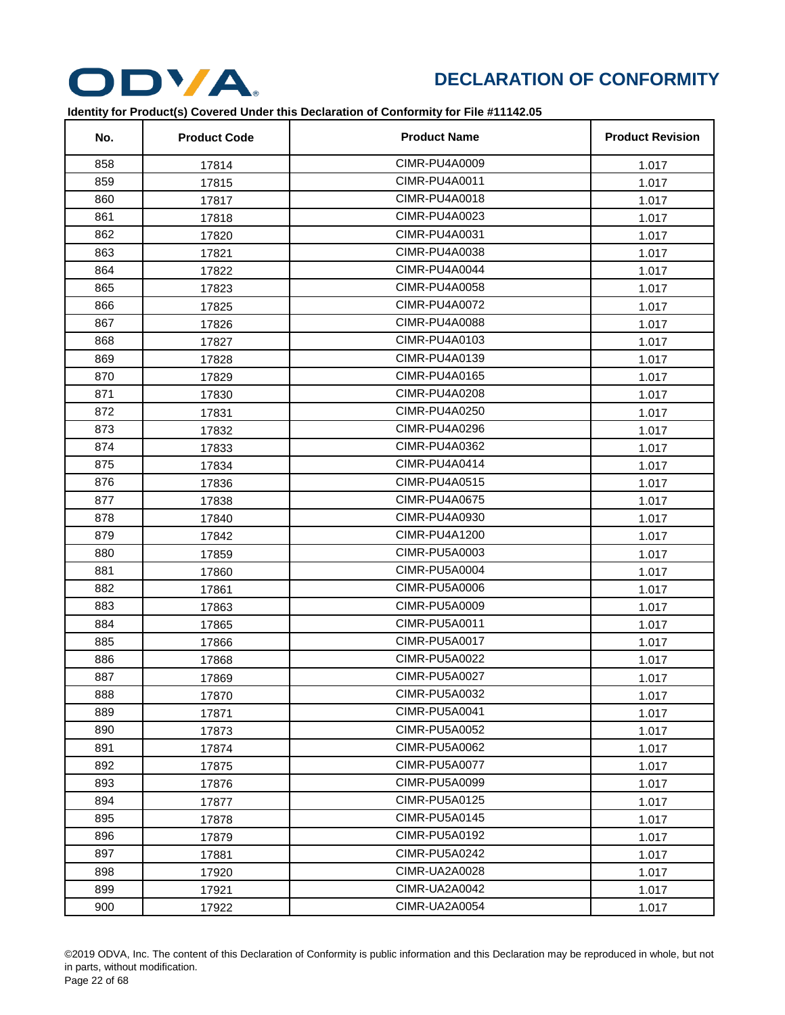

| No. | <b>Product Code</b> | <b>Product Name</b>  | <b>Product Revision</b> |
|-----|---------------------|----------------------|-------------------------|
| 858 | 17814               | CIMR-PU4A0009        | 1.017                   |
| 859 | 17815               | CIMR-PU4A0011        | 1.017                   |
| 860 | 17817               | CIMR-PU4A0018        | 1.017                   |
| 861 | 17818               | CIMR-PU4A0023        | 1.017                   |
| 862 | 17820               | CIMR-PU4A0031        | 1.017                   |
| 863 | 17821               | CIMR-PU4A0038        | 1.017                   |
| 864 | 17822               | CIMR-PU4A0044        | 1.017                   |
| 865 | 17823               | CIMR-PU4A0058        | 1.017                   |
| 866 | 17825               | CIMR-PU4A0072        | 1.017                   |
| 867 | 17826               | <b>CIMR-PU4A0088</b> | 1.017                   |
| 868 | 17827               | CIMR-PU4A0103        | 1.017                   |
| 869 | 17828               | CIMR-PU4A0139        | 1.017                   |
| 870 | 17829               | CIMR-PU4A0165        | 1.017                   |
| 871 | 17830               | CIMR-PU4A0208        | 1.017                   |
| 872 | 17831               | CIMR-PU4A0250        | 1.017                   |
| 873 | 17832               | CIMR-PU4A0296        | 1.017                   |
| 874 | 17833               | CIMR-PU4A0362        | 1.017                   |
| 875 | 17834               | CIMR-PU4A0414        | 1.017                   |
| 876 | 17836               | <b>CIMR-PU4A0515</b> | 1.017                   |
| 877 | 17838               | <b>CIMR-PU4A0675</b> | 1.017                   |
| 878 | 17840               | CIMR-PU4A0930        | 1.017                   |
| 879 | 17842               | CIMR-PU4A1200        | 1.017                   |
| 880 | 17859               | CIMR-PU5A0003        | 1.017                   |
| 881 | 17860               | <b>CIMR-PU5A0004</b> | 1.017                   |
| 882 | 17861               | <b>CIMR-PU5A0006</b> | 1.017                   |
| 883 | 17863               | <b>CIMR-PU5A0009</b> | 1.017                   |
| 884 | 17865               | CIMR-PU5A0011        | 1.017                   |
| 885 | 17866               | CIMR-PU5A0017        | 1.017                   |
| 886 | 17868               | <b>CIMR-PU5A0022</b> | 1.017                   |
| 887 | 17869               | CIMR-PU5A0027        | 1.017                   |
| 888 | 17870               | CIMR-PU5A0032        | 1.017                   |
| 889 | 17871               | CIMR-PU5A0041        | 1.017                   |
| 890 | 17873               | <b>CIMR-PU5A0052</b> | 1.017                   |
| 891 | 17874               | <b>CIMR-PU5A0062</b> | 1.017                   |
| 892 | 17875               | CIMR-PU5A0077        | 1.017                   |
| 893 | 17876               | CIMR-PU5A0099        | 1.017                   |
| 894 | 17877               | CIMR-PU5A0125        | 1.017                   |
| 895 | 17878               | CIMR-PU5A0145        | 1.017                   |
| 896 | 17879               | CIMR-PU5A0192        | 1.017                   |
| 897 | 17881               | CIMR-PU5A0242        | 1.017                   |
| 898 | 17920               | CIMR-UA2A0028        | 1.017                   |
| 899 | 17921               | CIMR-UA2A0042        | 1.017                   |
| 900 | 17922               | CIMR-UA2A0054        | 1.017                   |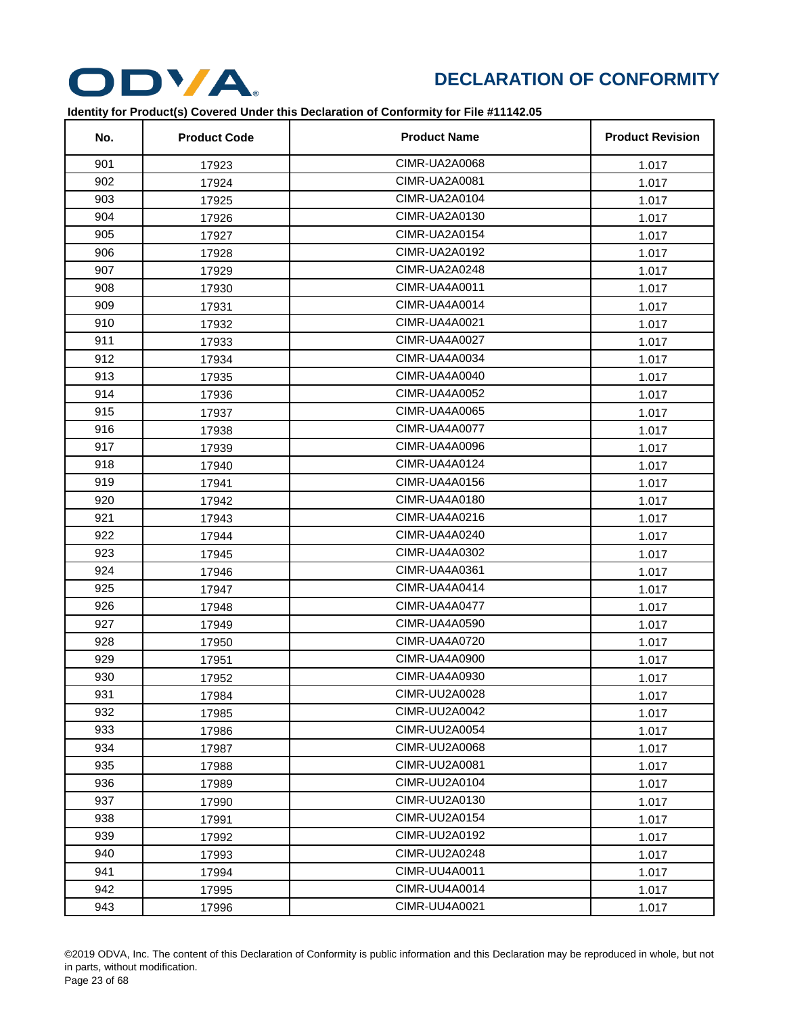

| No. | <b>Product Code</b> | <b>Product Name</b>  | <b>Product Revision</b> |
|-----|---------------------|----------------------|-------------------------|
| 901 | 17923               | CIMR-UA2A0068        | 1.017                   |
| 902 | 17924               | CIMR-UA2A0081        | 1.017                   |
| 903 | 17925               | CIMR-UA2A0104        | 1.017                   |
| 904 | 17926               | CIMR-UA2A0130        | 1.017                   |
| 905 | 17927               | CIMR-UA2A0154        | 1.017                   |
| 906 | 17928               | CIMR-UA2A0192        | 1.017                   |
| 907 | 17929               | CIMR-UA2A0248        | 1.017                   |
| 908 | 17930               | CIMR-UA4A0011        | 1.017                   |
| 909 | 17931               | CIMR-UA4A0014        | 1.017                   |
| 910 | 17932               | CIMR-UA4A0021        | 1.017                   |
| 911 | 17933               | CIMR-UA4A0027        | 1.017                   |
| 912 | 17934               | CIMR-UA4A0034        | 1.017                   |
| 913 | 17935               | CIMR-UA4A0040        | 1.017                   |
| 914 | 17936               | <b>CIMR-UA4A0052</b> | 1.017                   |
| 915 | 17937               | CIMR-UA4A0065        | 1.017                   |
| 916 | 17938               | CIMR-UA4A0077        | 1.017                   |
| 917 | 17939               | CIMR-UA4A0096        | 1.017                   |
| 918 | 17940               | CIMR-UA4A0124        | 1.017                   |
| 919 | 17941               | CIMR-UA4A0156        | 1.017                   |
| 920 | 17942               | CIMR-UA4A0180        | 1.017                   |
| 921 | 17943               | CIMR-UA4A0216        | 1.017                   |
| 922 | 17944               | CIMR-UA4A0240        | 1.017                   |
| 923 | 17945               | <b>CIMR-UA4A0302</b> | 1.017                   |
| 924 | 17946               | CIMR-UA4A0361        | 1.017                   |
| 925 | 17947               | CIMR-UA4A0414        | 1.017                   |
| 926 | 17948               | CIMR-UA4A0477        | 1.017                   |
| 927 | 17949               | CIMR-UA4A0590        | 1.017                   |
| 928 | 17950               | CIMR-UA4A0720        | 1.017                   |
| 929 | 17951               | CIMR-UA4A0900        | 1.017                   |
| 930 | 17952               | CIMR-UA4A0930        | 1.017                   |
| 931 | 17984               | CIMR-UU2A0028        | 1.017                   |
| 932 | 17985               | CIMR-UU2A0042        | 1.017                   |
| 933 | 17986               | <b>CIMR-UU2A0054</b> | 1.017                   |
| 934 | 17987               | <b>CIMR-UU2A0068</b> | 1.017                   |
| 935 | 17988               | CIMR-UU2A0081        | 1.017                   |
| 936 | 17989               | CIMR-UU2A0104        | 1.017                   |
| 937 | 17990               | CIMR-UU2A0130        | 1.017                   |
| 938 | 17991               | CIMR-UU2A0154        | 1.017                   |
| 939 | 17992               | <b>CIMR-UU2A0192</b> | 1.017                   |
| 940 | 17993               | CIMR-UU2A0248        | 1.017                   |
| 941 | 17994               | <b>CIMR-UU4A0011</b> | 1.017                   |
| 942 | 17995               | CIMR-UU4A0014        | 1.017                   |
| 943 | 17996               | CIMR-UU4A0021        | 1.017                   |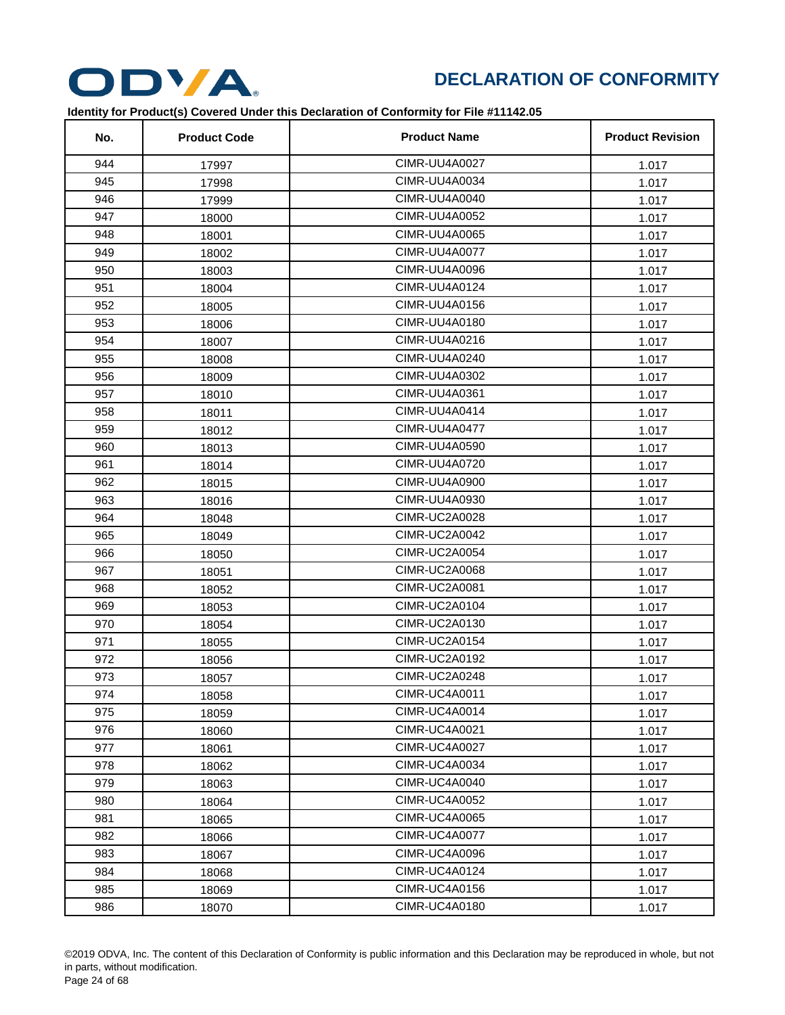

| No. | <b>Product Code</b> | <b>Product Name</b>  | <b>Product Revision</b> |
|-----|---------------------|----------------------|-------------------------|
| 944 | 17997               | <b>CIMR-UU4A0027</b> | 1.017                   |
| 945 | 17998               | CIMR-UU4A0034        | 1.017                   |
| 946 | 17999               | CIMR-UU4A0040        | 1.017                   |
| 947 | 18000               | <b>CIMR-UU4A0052</b> | 1.017                   |
| 948 | 18001               | <b>CIMR-UU4A0065</b> | 1.017                   |
| 949 | 18002               | <b>CIMR-UU4A0077</b> | 1.017                   |
| 950 | 18003               | <b>CIMR-UU4A0096</b> | 1.017                   |
| 951 | 18004               | CIMR-UU4A0124        | 1.017                   |
| 952 | 18005               | CIMR-UU4A0156        | 1.017                   |
| 953 | 18006               | CIMR-UU4A0180        | 1.017                   |
| 954 | 18007               | CIMR-UU4A0216        | 1.017                   |
| 955 | 18008               | CIMR-UU4A0240        | 1.017                   |
| 956 | 18009               | <b>CIMR-UU4A0302</b> | 1.017                   |
| 957 | 18010               | <b>CIMR-UU4A0361</b> | 1.017                   |
| 958 | 18011               | CIMR-UU4A0414        | 1.017                   |
| 959 | 18012               | <b>CIMR-UU4A0477</b> | 1.017                   |
| 960 | 18013               | <b>CIMR-UU4A0590</b> | 1.017                   |
| 961 | 18014               | CIMR-UU4A0720        | 1.017                   |
| 962 | 18015               | CIMR-UU4A0900        | 1.017                   |
| 963 | 18016               | CIMR-UU4A0930        | 1.017                   |
| 964 | 18048               | CIMR-UC2A0028        | 1.017                   |
| 965 | 18049               | CIMR-UC2A0042        | 1.017                   |
| 966 | 18050               | <b>CIMR-UC2A0054</b> | 1.017                   |
| 967 | 18051               | CIMR-UC2A0068        | 1.017                   |
| 968 | 18052               | CIMR-UC2A0081        | 1.017                   |
| 969 | 18053               | CIMR-UC2A0104        | 1.017                   |
| 970 | 18054               | <b>CIMR-UC2A0130</b> | 1.017                   |
| 971 | 18055               | CIMR-UC2A0154        | 1.017                   |
| 972 | 18056               | <b>CIMR-UC2A0192</b> | 1.017                   |
| 973 | 18057               | CIMR-UC2A0248        | 1.017                   |
| 974 | 18058               | CIMR-UC4A0011        | 1.017                   |
| 975 | 18059               | CIMR-UC4A0014        | 1.017                   |
| 976 | 18060               | CIMR-UC4A0021        | 1.017                   |
| 977 | 18061               | <b>CIMR-UC4A0027</b> | 1.017                   |
| 978 | 18062               | CIMR-UC4A0034        | 1.017                   |
| 979 | 18063               | <b>CIMR-UC4A0040</b> | 1.017                   |
| 980 | 18064               | <b>CIMR-UC4A0052</b> | 1.017                   |
| 981 | 18065               | <b>CIMR-UC4A0065</b> | 1.017                   |
| 982 | 18066               | <b>CIMR-UC4A0077</b> | 1.017                   |
| 983 | 18067               | <b>CIMR-UC4A0096</b> | 1.017                   |
| 984 | 18068               | <b>CIMR-UC4A0124</b> | 1.017                   |
| 985 | 18069               | CIMR-UC4A0156        | 1.017                   |
| 986 | 18070               | <b>CIMR-UC4A0180</b> | 1.017                   |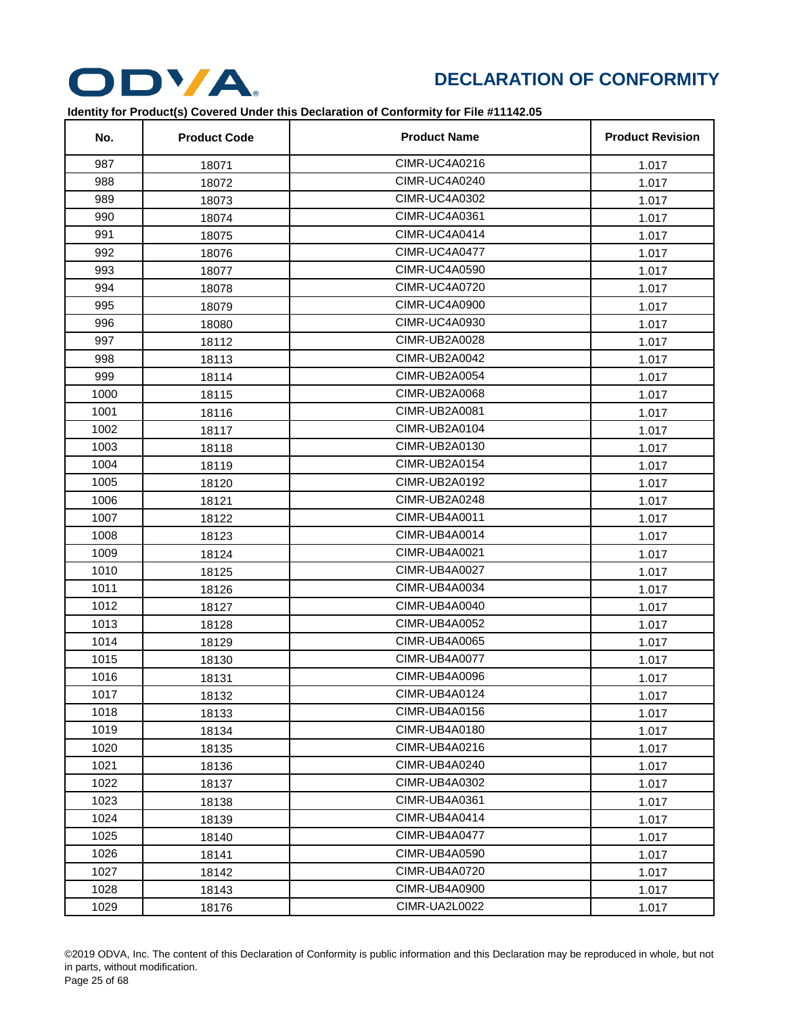

| No.  | <b>Product Code</b> | <b>Product Name</b>  | <b>Product Revision</b> |
|------|---------------------|----------------------|-------------------------|
| 987  | 18071               | CIMR-UC4A0216        | 1.017                   |
| 988  | 18072               | CIMR-UC4A0240        | 1.017                   |
| 989  | 18073               | <b>CIMR-UC4A0302</b> | 1.017                   |
| 990  | 18074               | CIMR-UC4A0361        | 1.017                   |
| 991  | 18075               | CIMR-UC4A0414        | 1.017                   |
| 992  | 18076               | CIMR-UC4A0477        | 1.017                   |
| 993  | 18077               | <b>CIMR-UC4A0590</b> | 1.017                   |
| 994  | 18078               | <b>CIMR-UC4A0720</b> | 1.017                   |
| 995  | 18079               | <b>CIMR-UC4A0900</b> | 1.017                   |
| 996  | 18080               | <b>CIMR-UC4A0930</b> | 1.017                   |
| 997  | 18112               | CIMR-UB2A0028        | 1.017                   |
| 998  | 18113               | <b>CIMR-UB2A0042</b> | 1.017                   |
| 999  | 18114               | <b>CIMR-UB2A0054</b> | 1.017                   |
| 1000 | 18115               | <b>CIMR-UB2A0068</b> | 1.017                   |
| 1001 | 18116               | CIMR-UB2A0081        | 1.017                   |
| 1002 | 18117               | <b>CIMR-UB2A0104</b> | 1.017                   |
| 1003 | 18118               | CIMR-UB2A0130        | 1.017                   |
| 1004 | 18119               | <b>CIMR-UB2A0154</b> | 1.017                   |
| 1005 | 18120               | <b>CIMR-UB2A0192</b> | 1.017                   |
| 1006 | 18121               | CIMR-UB2A0248        | 1.017                   |
| 1007 | 18122               | <b>CIMR-UB4A0011</b> | 1.017                   |
| 1008 | 18123               | CIMR-UB4A0014        | 1.017                   |
| 1009 | 18124               | <b>CIMR-UB4A0021</b> | 1.017                   |
| 1010 | 18125               | CIMR-UB4A0027        | 1.017                   |
| 1011 | 18126               | <b>CIMR-UB4A0034</b> | 1.017                   |
| 1012 | 18127               | <b>CIMR-UB4A0040</b> | 1.017                   |
| 1013 | 18128               | <b>CIMR-UB4A0052</b> | 1.017                   |
| 1014 | 18129               | CIMR-UB4A0065        | 1.017                   |
| 1015 | 18130               | <b>CIMR-UB4A0077</b> | 1.017                   |
| 1016 | 18131               | CIMR-UB4A0096        | 1.017                   |
| 1017 | 18132               | CIMR-UB4A0124        | 1.017                   |
| 1018 | 18133               | CIMR-UB4A0156        | 1.017                   |
| 1019 | 18134               | CIMR-UB4A0180        | 1.017                   |
| 1020 | 18135               | CIMR-UB4A0216        | 1.017                   |
| 1021 | 18136               | CIMR-UB4A0240        | 1.017                   |
| 1022 | 18137               | CIMR-UB4A0302        | 1.017                   |
| 1023 | 18138               | CIMR-UB4A0361        | 1.017                   |
| 1024 | 18139               | CIMR-UB4A0414        | 1.017                   |
| 1025 | 18140               | CIMR-UB4A0477        | 1.017                   |
| 1026 | 18141               | <b>CIMR-UB4A0590</b> | 1.017                   |
| 1027 | 18142               | <b>CIMR-UB4A0720</b> | 1.017                   |
| 1028 | 18143               | CIMR-UB4A0900        | 1.017                   |
| 1029 | 18176               | CIMR-UA2L0022        | 1.017                   |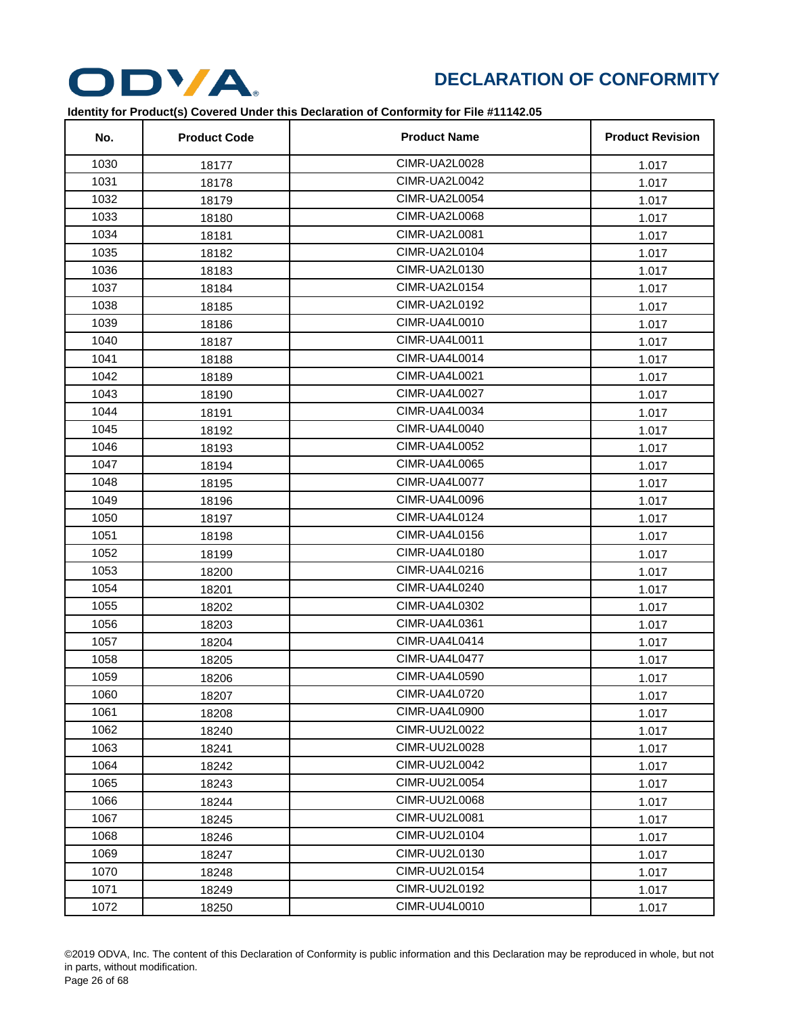

| No.  | <b>Product Code</b> | <b>Product Name</b>  | <b>Product Revision</b> |
|------|---------------------|----------------------|-------------------------|
| 1030 | 18177               | CIMR-UA2L0028        | 1.017                   |
| 1031 | 18178               | CIMR-UA2L0042        | 1.017                   |
| 1032 | 18179               | CIMR-UA2L0054        | 1.017                   |
| 1033 | 18180               | CIMR-UA2L0068        | 1.017                   |
| 1034 | 18181               | CIMR-UA2L0081        | 1.017                   |
| 1035 | 18182               | CIMR-UA2L0104        | 1.017                   |
| 1036 | 18183               | CIMR-UA2L0130        | 1.017                   |
| 1037 | 18184               | CIMR-UA2L0154        | 1.017                   |
| 1038 | 18185               | CIMR-UA2L0192        | 1.017                   |
| 1039 | 18186               | CIMR-UA4L0010        | 1.017                   |
| 1040 | 18187               | CIMR-UA4L0011        | 1.017                   |
| 1041 | 18188               | CIMR-UA4L0014        | 1.017                   |
| 1042 | 18189               | CIMR-UA4L0021        | 1.017                   |
| 1043 | 18190               | CIMR-UA4L0027        | 1.017                   |
| 1044 | 18191               | CIMR-UA4L0034        | 1.017                   |
| 1045 | 18192               | CIMR-UA4L0040        | 1.017                   |
| 1046 | 18193               | <b>CIMR-UA4L0052</b> | 1.017                   |
| 1047 | 18194               | CIMR-UA4L0065        | 1.017                   |
| 1048 | 18195               | CIMR-UA4L0077        | 1.017                   |
| 1049 | 18196               | CIMR-UA4L0096        | 1.017                   |
| 1050 | 18197               | CIMR-UA4L0124        | 1.017                   |
| 1051 | 18198               | CIMR-UA4L0156        | 1.017                   |
| 1052 | 18199               | CIMR-UA4L0180        | 1.017                   |
| 1053 | 18200               | CIMR-UA4L0216        | 1.017                   |
| 1054 | 18201               | CIMR-UA4L0240        | 1.017                   |
| 1055 | 18202               | CIMR-UA4L0302        | 1.017                   |
| 1056 | 18203               | CIMR-UA4L0361        | 1.017                   |
| 1057 | 18204               | CIMR-UA4L0414        | 1.017                   |
| 1058 | 18205               | CIMR-UA4L0477        | 1.017                   |
| 1059 | 18206               | CIMR-UA4L0590        | 1.017                   |
| 1060 | 18207               | CIMR-UA4L0720        | 1.017                   |
| 1061 | 18208               | CIMR-UA4L0900        | 1.017                   |
| 1062 | 18240               | CIMR-UU2L0022        | 1.017                   |
| 1063 | 18241               | CIMR-UU2L0028        | 1.017                   |
| 1064 | 18242               | CIMR-UU2L0042        | 1.017                   |
| 1065 | 18243               | CIMR-UU2L0054        | 1.017                   |
| 1066 | 18244               | CIMR-UU2L0068        | 1.017                   |
| 1067 | 18245               | CIMR-UU2L0081        | 1.017                   |
| 1068 | 18246               | CIMR-UU2L0104        | 1.017                   |
| 1069 | 18247               | CIMR-UU2L0130        | 1.017                   |
| 1070 | 18248               | CIMR-UU2L0154        | 1.017                   |
| 1071 | 18249               | CIMR-UU2L0192        | 1.017                   |
| 1072 | 18250               | CIMR-UU4L0010        | 1.017                   |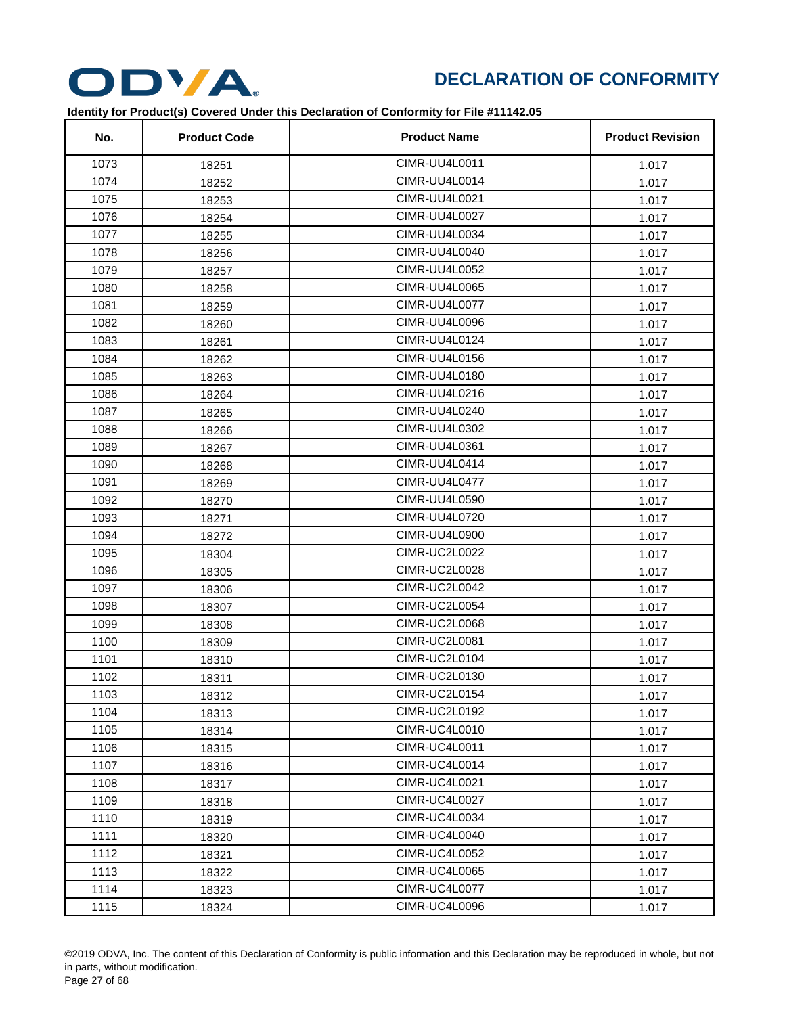

| No.  | <b>Product Code</b> | <b>Product Name</b>  | <b>Product Revision</b> |
|------|---------------------|----------------------|-------------------------|
| 1073 | 18251               | CIMR-UU4L0011        | 1.017                   |
| 1074 | 18252               | CIMR-UU4L0014        | 1.017                   |
| 1075 | 18253               | CIMR-UU4L0021        | 1.017                   |
| 1076 | 18254               | CIMR-UU4L0027        | 1.017                   |
| 1077 | 18255               | CIMR-UU4L0034        | 1.017                   |
| 1078 | 18256               | CIMR-UU4L0040        | 1.017                   |
| 1079 | 18257               | CIMR-UU4L0052        | 1.017                   |
| 1080 | 18258               | <b>CIMR-UU4L0065</b> | 1.017                   |
| 1081 | 18259               | CIMR-UU4L0077        | 1.017                   |
| 1082 | 18260               | CIMR-UU4L0096        | 1.017                   |
| 1083 | 18261               | CIMR-UU4L0124        | 1.017                   |
| 1084 | 18262               | CIMR-UU4L0156        | 1.017                   |
| 1085 | 18263               | <b>CIMR-UU4L0180</b> | 1.017                   |
| 1086 | 18264               | CIMR-UU4L0216        | 1.017                   |
| 1087 | 18265               | CIMR-UU4L0240        | 1.017                   |
| 1088 | 18266               | CIMR-UU4L0302        | 1.017                   |
| 1089 | 18267               | CIMR-UU4L0361        | 1.017                   |
| 1090 | 18268               | CIMR-UU4L0414        | 1.017                   |
| 1091 | 18269               | CIMR-UU4L0477        | 1.017                   |
| 1092 | 18270               | CIMR-UU4L0590        | 1.017                   |
| 1093 | 18271               | CIMR-UU4L0720        | 1.017                   |
| 1094 | 18272               | CIMR-UU4L0900        | 1.017                   |
| 1095 | 18304               | CIMR-UC2L0022        | 1.017                   |
| 1096 | 18305               | CIMR-UC2L0028        | 1.017                   |
| 1097 | 18306               | CIMR-UC2L0042        | 1.017                   |
| 1098 | 18307               | CIMR-UC2L0054        | 1.017                   |
| 1099 | 18308               | CIMR-UC2L0068        | 1.017                   |
| 1100 | 18309               | CIMR-UC2L0081        | 1.017                   |
| 1101 | 18310               | CIMR-UC2L0104        | 1.017                   |
| 1102 | 18311               | CIMR-UC2L0130        | 1.017                   |
| 1103 | 18312               | CIMR-UC2L0154        | 1.017                   |
| 1104 | 18313               | CIMR-UC2L0192        | 1.017                   |
| 1105 | 18314               | CIMR-UC4L0010        | 1.017                   |
| 1106 | 18315               | CIMR-UC4L0011        | 1.017                   |
| 1107 | 18316               | CIMR-UC4L0014        | 1.017                   |
| 1108 | 18317               | CIMR-UC4L0021        | 1.017                   |
| 1109 | 18318               | CIMR-UC4L0027        | 1.017                   |
| 1110 | 18319               | CIMR-UC4L0034        | 1.017                   |
| 1111 | 18320               | CIMR-UC4L0040        | 1.017                   |
| 1112 | 18321               | CIMR-UC4L0052        | 1.017                   |
| 1113 | 18322               | <b>CIMR-UC4L0065</b> | 1.017                   |
| 1114 | 18323               | CIMR-UC4L0077        | 1.017                   |
| 1115 | 18324               | CIMR-UC4L0096        | 1.017                   |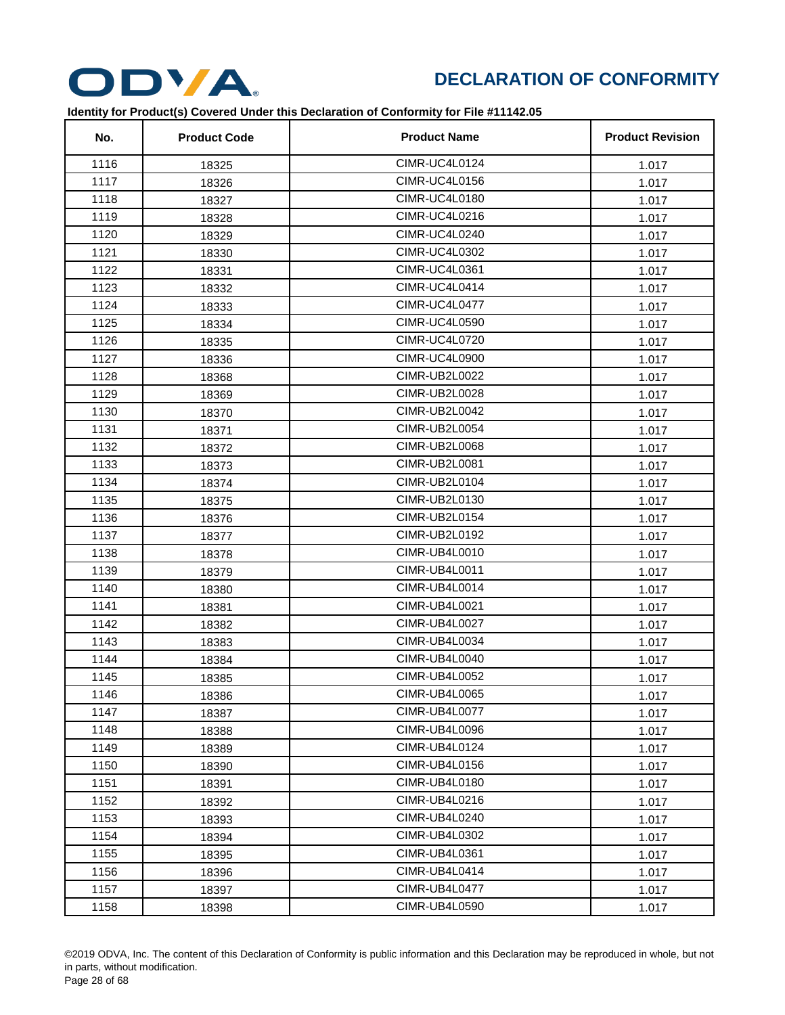

| No.  | <b>Product Code</b> | <b>Product Name</b>  | <b>Product Revision</b> |
|------|---------------------|----------------------|-------------------------|
| 1116 | 18325               | <b>CIMR-UC4L0124</b> | 1.017                   |
| 1117 | 18326               | <b>CIMR-UC4L0156</b> | 1.017                   |
| 1118 | 18327               | CIMR-UC4L0180        | 1.017                   |
| 1119 | 18328               | CIMR-UC4L0216        | 1.017                   |
| 1120 | 18329               | CIMR-UC4L0240        | 1.017                   |
| 1121 | 18330               | CIMR-UC4L0302        | 1.017                   |
| 1122 | 18331               | CIMR-UC4L0361        | 1.017                   |
| 1123 | 18332               | CIMR-UC4L0414        | 1.017                   |
| 1124 | 18333               | CIMR-UC4L0477        | 1.017                   |
| 1125 | 18334               | CIMR-UC4L0590        | 1.017                   |
| 1126 | 18335               | <b>CIMR-UC4L0720</b> | 1.017                   |
| 1127 | 18336               | <b>CIMR-UC4L0900</b> | 1.017                   |
| 1128 | 18368               | <b>CIMR-UB2L0022</b> | 1.017                   |
| 1129 | 18369               | CIMR-UB2L0028        | 1.017                   |
| 1130 | 18370               | CIMR-UB2L0042        | 1.017                   |
| 1131 | 18371               | CIMR-UB2L0054        | 1.017                   |
| 1132 | 18372               | CIMR-UB2L0068        | 1.017                   |
| 1133 | 18373               | CIMR-UB2L0081        | 1.017                   |
| 1134 | 18374               | CIMR-UB2L0104        | 1.017                   |
| 1135 | 18375               | CIMR-UB2L0130        | 1.017                   |
| 1136 | 18376               | <b>CIMR-UB2L0154</b> | 1.017                   |
| 1137 | 18377               | CIMR-UB2L0192        | 1.017                   |
| 1138 | 18378               | CIMR-UB4L0010        | 1.017                   |
| 1139 | 18379               | CIMR-UB4L0011        | 1.017                   |
| 1140 | 18380               | CIMR-UB4L0014        | 1.017                   |
| 1141 | 18381               | <b>CIMR-UB4L0021</b> | 1.017                   |
| 1142 | 18382               | CIMR-UB4L0027        | 1.017                   |
| 1143 | 18383               | CIMR-UB4L0034        | 1.017                   |
| 1144 | 18384               | CIMR-UB4L0040        | 1.017                   |
| 1145 | 18385               | <b>CIMR-UB4L0052</b> | 1.017                   |
| 1146 | 18386               | CIMR-UB4L0065        | 1.017                   |
| 1147 | 18387               | CIMR-UB4L0077        | 1.017                   |
| 1148 | 18388               | CIMR-UB4L0096        | 1.017                   |
| 1149 | 18389               | CIMR-UB4L0124        | 1.017                   |
| 1150 | 18390               | CIMR-UB4L0156        | 1.017                   |
| 1151 | 18391               | CIMR-UB4L0180        | 1.017                   |
| 1152 | 18392               | CIMR-UB4L0216        | 1.017                   |
| 1153 | 18393               | CIMR-UB4L0240        | 1.017                   |
| 1154 | 18394               | CIMR-UB4L0302        | 1.017                   |
| 1155 | 18395               | CIMR-UB4L0361        | 1.017                   |
| 1156 | 18396               | CIMR-UB4L0414        | 1.017                   |
| 1157 | 18397               | CIMR-UB4L0477        | 1.017                   |
| 1158 | 18398               | CIMR-UB4L0590        | 1.017                   |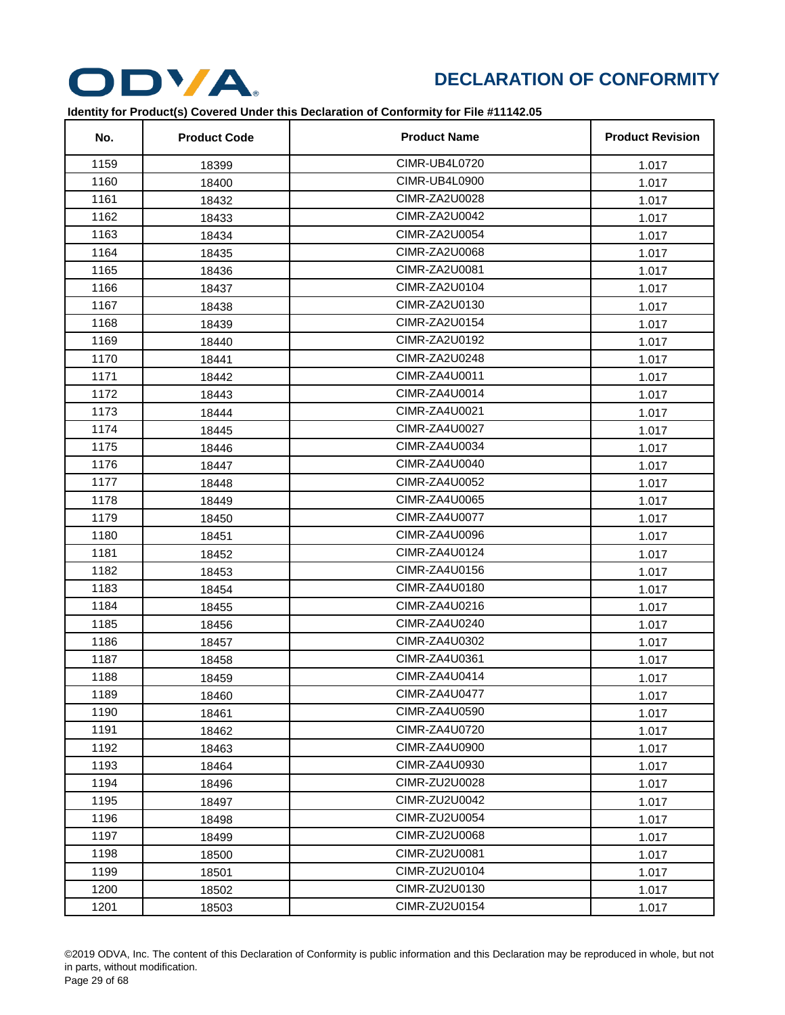

| No.  | <b>Product Code</b> | <b>Product Name</b> | <b>Product Revision</b> |
|------|---------------------|---------------------|-------------------------|
| 1159 | 18399               | CIMR-UB4L0720       | 1.017                   |
| 1160 | 18400               | CIMR-UB4L0900       | 1.017                   |
| 1161 | 18432               | CIMR-ZA2U0028       | 1.017                   |
| 1162 | 18433               | CIMR-ZA2U0042       | 1.017                   |
| 1163 | 18434               | CIMR-ZA2U0054       | 1.017                   |
| 1164 | 18435               | CIMR-ZA2U0068       | 1.017                   |
| 1165 | 18436               | CIMR-ZA2U0081       | 1.017                   |
| 1166 | 18437               | CIMR-ZA2U0104       | 1.017                   |
| 1167 | 18438               | CIMR-ZA2U0130       | 1.017                   |
| 1168 | 18439               | CIMR-ZA2U0154       | 1.017                   |
| 1169 | 18440               | CIMR-ZA2U0192       | 1.017                   |
| 1170 | 18441               | CIMR-ZA2U0248       | 1.017                   |
| 1171 | 18442               | CIMR-ZA4U0011       | 1.017                   |
| 1172 | 18443               | CIMR-ZA4U0014       | 1.017                   |
| 1173 | 18444               | CIMR-ZA4U0021       | 1.017                   |
| 1174 | 18445               | CIMR-ZA4U0027       | 1.017                   |
| 1175 | 18446               | CIMR-ZA4U0034       | 1.017                   |
| 1176 | 18447               | CIMR-ZA4U0040       | 1.017                   |
| 1177 | 18448               | CIMR-ZA4U0052       | 1.017                   |
| 1178 | 18449               | CIMR-ZA4U0065       | 1.017                   |
| 1179 | 18450               | CIMR-ZA4U0077       | 1.017                   |
| 1180 | 18451               | CIMR-ZA4U0096       | 1.017                   |
| 1181 | 18452               | CIMR-ZA4U0124       | 1.017                   |
| 1182 | 18453               | CIMR-ZA4U0156       | 1.017                   |
| 1183 | 18454               | CIMR-ZA4U0180       | 1.017                   |
| 1184 | 18455               | CIMR-ZA4U0216       | 1.017                   |
| 1185 | 18456               | CIMR-ZA4U0240       | 1.017                   |
| 1186 | 18457               | CIMR-ZA4U0302       | 1.017                   |
| 1187 | 18458               | CIMR-ZA4U0361       | 1.017                   |
| 1188 | 18459               | CIMR-ZA4U0414       | 1.017                   |
| 1189 | 18460               | CIMR-ZA4U0477       | 1.017                   |
| 1190 | 18461               | CIMR-ZA4U0590       | 1.017                   |
| 1191 | 18462               | CIMR-ZA4U0720       | 1.017                   |
| 1192 | 18463               | CIMR-ZA4U0900       | 1.017                   |
| 1193 | 18464               | CIMR-ZA4U0930       | 1.017                   |
| 1194 | 18496               | CIMR-ZU2U0028       | 1.017                   |
| 1195 | 18497               | CIMR-ZU2U0042       | 1.017                   |
| 1196 | 18498               | CIMR-ZU2U0054       | 1.017                   |
| 1197 | 18499               | CIMR-ZU2U0068       | 1.017                   |
| 1198 | 18500               | CIMR-ZU2U0081       | 1.017                   |
| 1199 | 18501               | CIMR-ZU2U0104       | 1.017                   |
| 1200 | 18502               | CIMR-ZU2U0130       | 1.017                   |
| 1201 | 18503               | CIMR-ZU2U0154       | 1.017                   |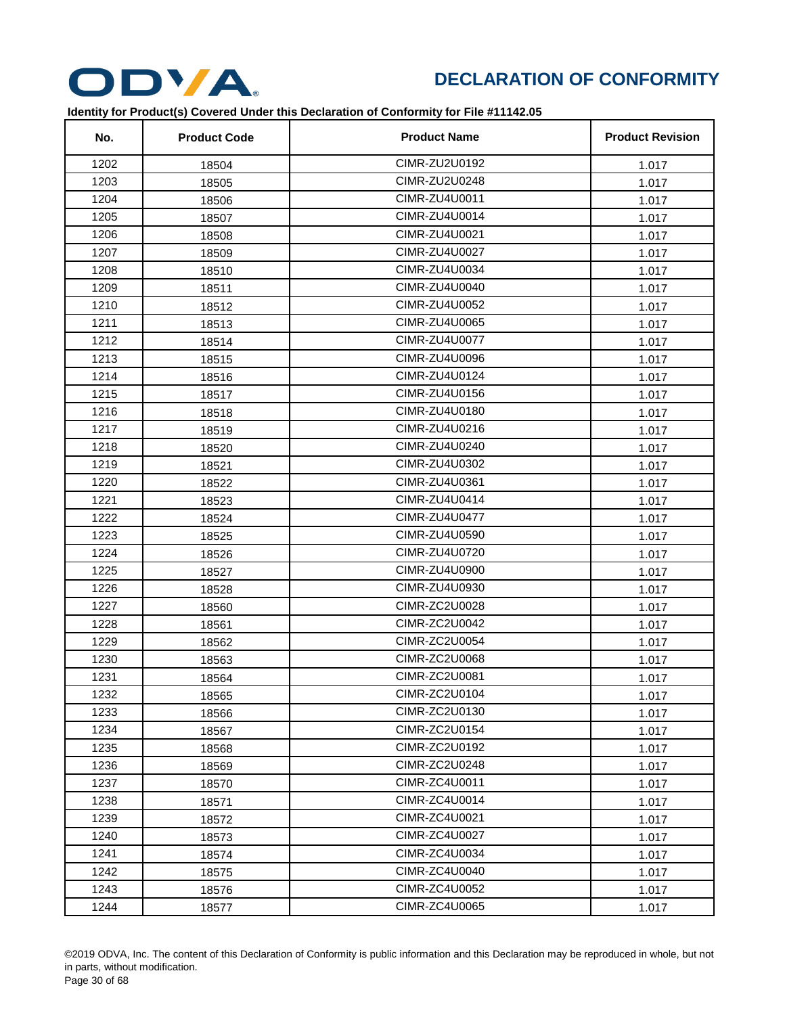

| No.  | <b>Product Code</b> | <b>Product Name</b>  | <b>Product Revision</b> |
|------|---------------------|----------------------|-------------------------|
| 1202 | 18504               | CIMR-ZU2U0192        | 1.017                   |
| 1203 | 18505               | CIMR-ZU2U0248        | 1.017                   |
| 1204 | 18506               | CIMR-ZU4U0011        | 1.017                   |
| 1205 | 18507               | CIMR-ZU4U0014        | 1.017                   |
| 1206 | 18508               | CIMR-ZU4U0021        | 1.017                   |
| 1207 | 18509               | CIMR-ZU4U0027        | 1.017                   |
| 1208 | 18510               | CIMR-ZU4U0034        | 1.017                   |
| 1209 | 18511               | CIMR-ZU4U0040        | 1.017                   |
| 1210 | 18512               | CIMR-ZU4U0052        | 1.017                   |
| 1211 | 18513               | CIMR-ZU4U0065        | 1.017                   |
| 1212 | 18514               | CIMR-ZU4U0077        | 1.017                   |
| 1213 | 18515               | CIMR-ZU4U0096        | 1.017                   |
| 1214 | 18516               | CIMR-ZU4U0124        | 1.017                   |
| 1215 | 18517               | CIMR-ZU4U0156        | 1.017                   |
| 1216 | 18518               | CIMR-ZU4U0180        | 1.017                   |
| 1217 | 18519               | CIMR-ZU4U0216        | 1.017                   |
| 1218 | 18520               | CIMR-ZU4U0240        | 1.017                   |
| 1219 | 18521               | CIMR-ZU4U0302        | 1.017                   |
| 1220 | 18522               | CIMR-ZU4U0361        | 1.017                   |
| 1221 | 18523               | CIMR-ZU4U0414        | 1.017                   |
| 1222 | 18524               | CIMR-ZU4U0477        | 1.017                   |
| 1223 | 18525               | CIMR-ZU4U0590        | 1.017                   |
| 1224 | 18526               | CIMR-ZU4U0720        | 1.017                   |
| 1225 | 18527               | CIMR-ZU4U0900        | 1.017                   |
| 1226 | 18528               | CIMR-ZU4U0930        | 1.017                   |
| 1227 | 18560               | <b>CIMR-ZC2U0028</b> | 1.017                   |
| 1228 | 18561               | CIMR-ZC2U0042        | 1.017                   |
| 1229 | 18562               | CIMR-ZC2U0054        | 1.017                   |
| 1230 | 18563               | <b>CIMR-ZC2U0068</b> | 1.017                   |
| 1231 | 18564               | CIMR-ZC2U0081        | 1.017                   |
| 1232 | 18565               | CIMR-ZC2U0104        | 1.017                   |
| 1233 | 18566               | CIMR-ZC2U0130        | 1.017                   |
| 1234 | 18567               | CIMR-ZC2U0154        | 1.017                   |
| 1235 | 18568               | CIMR-ZC2U0192        | 1.017                   |
| 1236 | 18569               | CIMR-ZC2U0248        | 1.017                   |
| 1237 | 18570               | CIMR-ZC4U0011        | 1.017                   |
| 1238 | 18571               | CIMR-ZC4U0014        | 1.017                   |
| 1239 | 18572               | CIMR-ZC4U0021        | 1.017                   |
| 1240 | 18573               | <b>CIMR-ZC4U0027</b> | 1.017                   |
| 1241 | 18574               | CIMR-ZC4U0034        | 1.017                   |
| 1242 | 18575               | CIMR-ZC4U0040        | 1.017                   |
| 1243 | 18576               | CIMR-ZC4U0052        | 1.017                   |
| 1244 | 18577               | CIMR-ZC4U0065        | 1.017                   |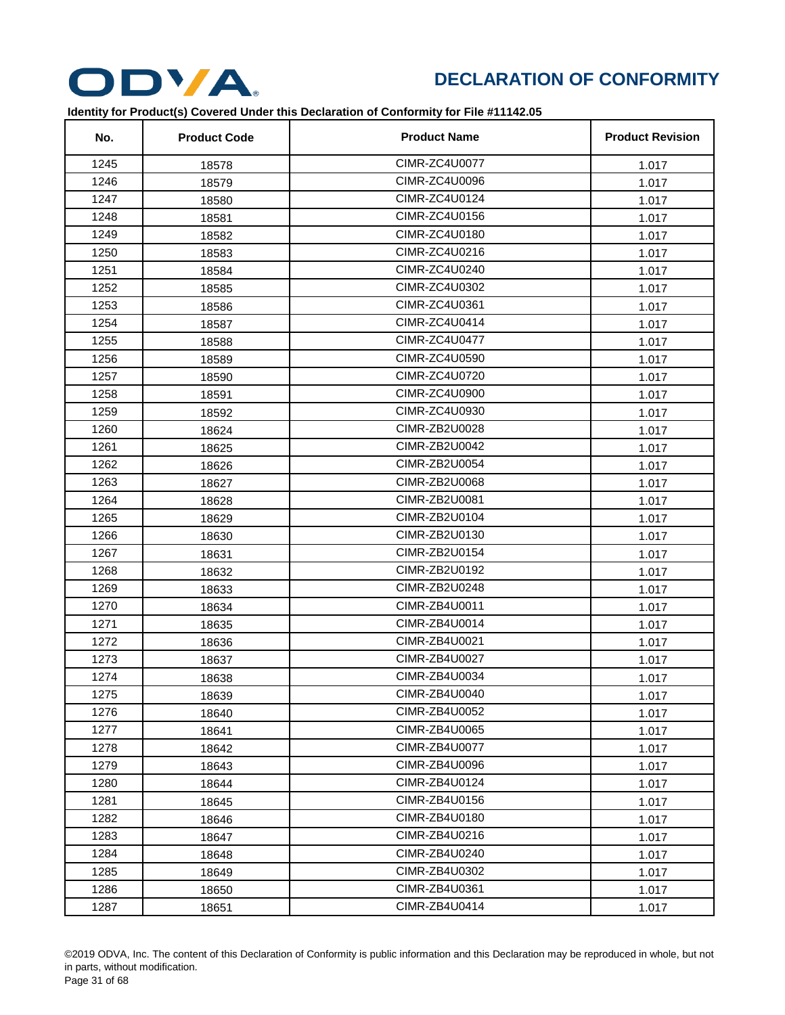

| No.  | <b>Product Code</b> | <b>Product Name</b>  | <b>Product Revision</b> |
|------|---------------------|----------------------|-------------------------|
| 1245 | 18578               | CIMR-ZC4U0077        | 1.017                   |
| 1246 | 18579               | CIMR-ZC4U0096        | 1.017                   |
| 1247 | 18580               | CIMR-ZC4U0124        | 1.017                   |
| 1248 | 18581               | CIMR-ZC4U0156        | 1.017                   |
| 1249 | 18582               | CIMR-ZC4U0180        | 1.017                   |
| 1250 | 18583               | CIMR-ZC4U0216        | 1.017                   |
| 1251 | 18584               | CIMR-ZC4U0240        | 1.017                   |
| 1252 | 18585               | CIMR-ZC4U0302        | 1.017                   |
| 1253 | 18586               | CIMR-ZC4U0361        | 1.017                   |
| 1254 | 18587               | CIMR-ZC4U0414        | 1.017                   |
| 1255 | 18588               | <b>CIMR-ZC4U0477</b> | 1.017                   |
| 1256 | 18589               | CIMR-ZC4U0590        | 1.017                   |
| 1257 | 18590               | CIMR-ZC4U0720        | 1.017                   |
| 1258 | 18591               | CIMR-ZC4U0900        | 1.017                   |
| 1259 | 18592               | CIMR-ZC4U0930        | 1.017                   |
| 1260 | 18624               | CIMR-ZB2U0028        | 1.017                   |
| 1261 | 18625               | CIMR-ZB2U0042        | 1.017                   |
| 1262 | 18626               | CIMR-ZB2U0054        | 1.017                   |
| 1263 | 18627               | CIMR-ZB2U0068        | 1.017                   |
| 1264 | 18628               | CIMR-ZB2U0081        | 1.017                   |
| 1265 | 18629               | CIMR-ZB2U0104        | 1.017                   |
| 1266 | 18630               | CIMR-ZB2U0130        | 1.017                   |
| 1267 | 18631               | CIMR-ZB2U0154        | 1.017                   |
| 1268 | 18632               | CIMR-ZB2U0192        | 1.017                   |
| 1269 | 18633               | CIMR-ZB2U0248        | 1.017                   |
| 1270 | 18634               | CIMR-ZB4U0011        | 1.017                   |
| 1271 | 18635               | CIMR-ZB4U0014        | 1.017                   |
| 1272 | 18636               | CIMR-ZB4U0021        | 1.017                   |
| 1273 | 18637               | CIMR-ZB4U0027        | 1.017                   |
| 1274 | 18638               | CIMR-ZB4U0034        | 1.017                   |
| 1275 | 18639               | CIMR-ZB4U0040        | 1.017                   |
| 1276 | 18640               | CIMR-ZB4U0052        | 1.017                   |
| 1277 | 18641               | CIMR-ZB4U0065        | 1.017                   |
| 1278 | 18642               | CIMR-ZB4U0077        | 1.017                   |
| 1279 | 18643               | CIMR-ZB4U0096        | 1.017                   |
| 1280 | 18644               | CIMR-ZB4U0124        | 1.017                   |
| 1281 | 18645               | CIMR-ZB4U0156        | 1.017                   |
| 1282 | 18646               | CIMR-ZB4U0180        | 1.017                   |
| 1283 | 18647               | CIMR-ZB4U0216        | 1.017                   |
| 1284 | 18648               | CIMR-ZB4U0240        | 1.017                   |
| 1285 | 18649               | CIMR-ZB4U0302        | 1.017                   |
| 1286 | 18650               | CIMR-ZB4U0361        | 1.017                   |
| 1287 | 18651               | CIMR-ZB4U0414        | 1.017                   |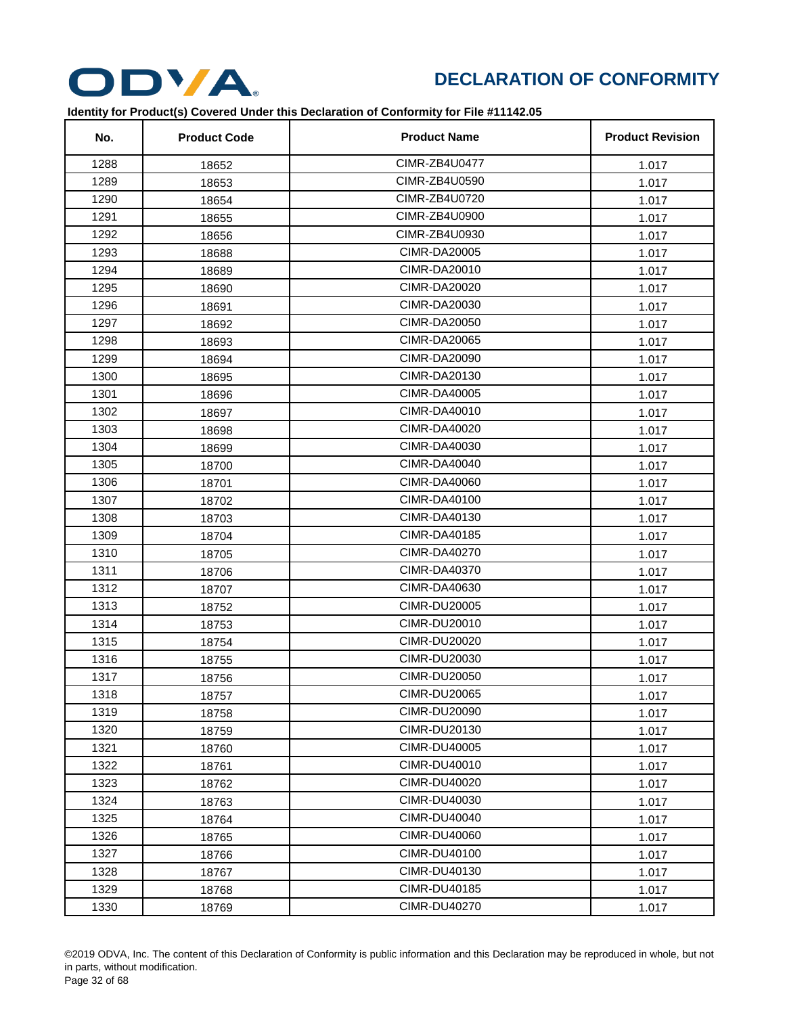

| No.  | <b>Product Code</b> | <b>Product Name</b> | <b>Product Revision</b> |
|------|---------------------|---------------------|-------------------------|
| 1288 | 18652               | CIMR-ZB4U0477       | 1.017                   |
| 1289 | 18653               | CIMR-ZB4U0590       | 1.017                   |
| 1290 | 18654               | CIMR-ZB4U0720       | 1.017                   |
| 1291 | 18655               | CIMR-ZB4U0900       | 1.017                   |
| 1292 | 18656               | CIMR-ZB4U0930       | 1.017                   |
| 1293 | 18688               | <b>CIMR-DA20005</b> | 1.017                   |
| 1294 | 18689               | <b>CIMR-DA20010</b> | 1.017                   |
| 1295 | 18690               | <b>CIMR-DA20020</b> | 1.017                   |
| 1296 | 18691               | CIMR-DA20030        | 1.017                   |
| 1297 | 18692               | <b>CIMR-DA20050</b> | 1.017                   |
| 1298 | 18693               | <b>CIMR-DA20065</b> | 1.017                   |
| 1299 | 18694               | <b>CIMR-DA20090</b> | 1.017                   |
| 1300 | 18695               | CIMR-DA20130        | 1.017                   |
| 1301 | 18696               | CIMR-DA40005        | 1.017                   |
| 1302 | 18697               | <b>CIMR-DA40010</b> | 1.017                   |
| 1303 | 18698               | CIMR-DA40020        | 1.017                   |
| 1304 | 18699               | <b>CIMR-DA40030</b> | 1.017                   |
| 1305 | 18700               | <b>CIMR-DA40040</b> | 1.017                   |
| 1306 | 18701               | CIMR-DA40060        | 1.017                   |
| 1307 | 18702               | CIMR-DA40100        | 1.017                   |
| 1308 | 18703               | <b>CIMR-DA40130</b> | 1.017                   |
| 1309 | 18704               | <b>CIMR-DA40185</b> | 1.017                   |
| 1310 | 18705               | <b>CIMR-DA40270</b> | 1.017                   |
| 1311 | 18706               | <b>CIMR-DA40370</b> | 1.017                   |
| 1312 | 18707               | CIMR-DA40630        | 1.017                   |
| 1313 | 18752               | <b>CIMR-DU20005</b> | 1.017                   |
| 1314 | 18753               | <b>CIMR-DU20010</b> | 1.017                   |
| 1315 | 18754               | <b>CIMR-DU20020</b> | 1.017                   |
| 1316 | 18755               | CIMR-DU20030        | 1.017                   |
| 1317 | 18756               | <b>CIMR-DU20050</b> | 1.017                   |
| 1318 | 18757               | <b>CIMR-DU20065</b> | 1.017                   |
| 1319 | 18758               | <b>CIMR-DU20090</b> | 1.017                   |
| 1320 | 18759               | CIMR-DU20130        | 1.017                   |
| 1321 | 18760               | <b>CIMR-DU40005</b> | 1.017                   |
| 1322 | 18761               | CIMR-DU40010        | 1.017                   |
| 1323 | 18762               | <b>CIMR-DU40020</b> | 1.017                   |
| 1324 | 18763               | CIMR-DU40030        | 1.017                   |
| 1325 | 18764               | <b>CIMR-DU40040</b> | 1.017                   |
| 1326 | 18765               | <b>CIMR-DU40060</b> | 1.017                   |
| 1327 | 18766               | <b>CIMR-DU40100</b> | 1.017                   |
| 1328 | 18767               | CIMR-DU40130        | 1.017                   |
| 1329 | 18768               | <b>CIMR-DU40185</b> | 1.017                   |
| 1330 | 18769               | <b>CIMR-DU40270</b> | 1.017                   |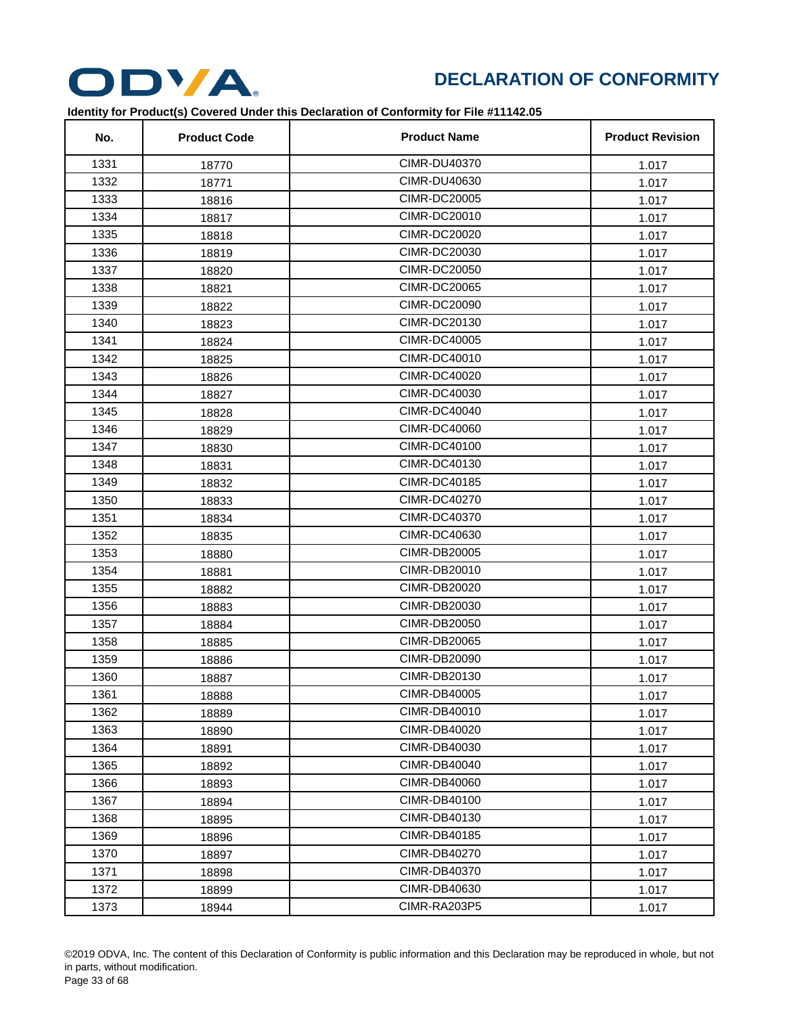

| No.  | <b>Product Code</b> | <b>Product Name</b> | <b>Product Revision</b> |
|------|---------------------|---------------------|-------------------------|
| 1331 | 18770               | <b>CIMR-DU40370</b> | 1.017                   |
| 1332 | 18771               | CIMR-DU40630        | 1.017                   |
| 1333 | 18816               | <b>CIMR-DC20005</b> | 1.017                   |
| 1334 | 18817               | <b>CIMR-DC20010</b> | 1.017                   |
| 1335 | 18818               | <b>CIMR-DC20020</b> | 1.017                   |
| 1336 | 18819               | <b>CIMR-DC20030</b> | 1.017                   |
| 1337 | 18820               | <b>CIMR-DC20050</b> | 1.017                   |
| 1338 | 18821               | <b>CIMR-DC20065</b> | 1.017                   |
| 1339 | 18822               | CIMR-DC20090        | 1.017                   |
| 1340 | 18823               | <b>CIMR-DC20130</b> | 1.017                   |
| 1341 | 18824               | <b>CIMR-DC40005</b> | 1.017                   |
| 1342 | 18825               | <b>CIMR-DC40010</b> | 1.017                   |
| 1343 | 18826               | <b>CIMR-DC40020</b> | 1.017                   |
| 1344 | 18827               | <b>CIMR-DC40030</b> | 1.017                   |
| 1345 | 18828               | <b>CIMR-DC40040</b> | 1.017                   |
| 1346 | 18829               | <b>CIMR-DC40060</b> | 1.017                   |
| 1347 | 18830               | <b>CIMR-DC40100</b> | 1.017                   |
| 1348 | 18831               | <b>CIMR-DC40130</b> | 1.017                   |
| 1349 | 18832               | <b>CIMR-DC40185</b> | 1.017                   |
| 1350 | 18833               | <b>CIMR-DC40270</b> | 1.017                   |
| 1351 | 18834               | <b>CIMR-DC40370</b> | 1.017                   |
| 1352 | 18835               | <b>CIMR-DC40630</b> | 1.017                   |
| 1353 | 18880               | <b>CIMR-DB20005</b> | 1.017                   |
| 1354 | 18881               | <b>CIMR-DB20010</b> | 1.017                   |
| 1355 | 18882               | <b>CIMR-DB20020</b> | 1.017                   |
| 1356 | 18883               | CIMR-DB20030        | 1.017                   |
| 1357 | 18884               | CIMR-DB20050        | 1.017                   |
| 1358 | 18885               | <b>CIMR-DB20065</b> | 1.017                   |
| 1359 | 18886               | <b>CIMR-DB20090</b> | 1.017                   |
| 1360 | 18887               | CIMR-DB20130        | 1.017                   |
| 1361 | 18888               | CIMR-DB40005        | 1.017                   |
| 1362 | 18889               | <b>CIMR-DB40010</b> | 1.017                   |
| 1363 | 18890               | CIMR-DB40020        | 1.017                   |
| 1364 | 18891               | CIMR-DB40030        | 1.017                   |
| 1365 | 18892               | <b>CIMR-DB40040</b> | 1.017                   |
| 1366 | 18893               | <b>CIMR-DB40060</b> | 1.017                   |
| 1367 | 18894               | CIMR-DB40100        | 1.017                   |
| 1368 | 18895               | CIMR-DB40130        | 1.017                   |
| 1369 | 18896               | <b>CIMR-DB40185</b> | 1.017                   |
| 1370 | 18897               | <b>CIMR-DB40270</b> | 1.017                   |
| 1371 | 18898               | CIMR-DB40370        | 1.017                   |
| 1372 | 18899               | CIMR-DB40630        | 1.017                   |
| 1373 | 18944               | CIMR-RA203P5        | 1.017                   |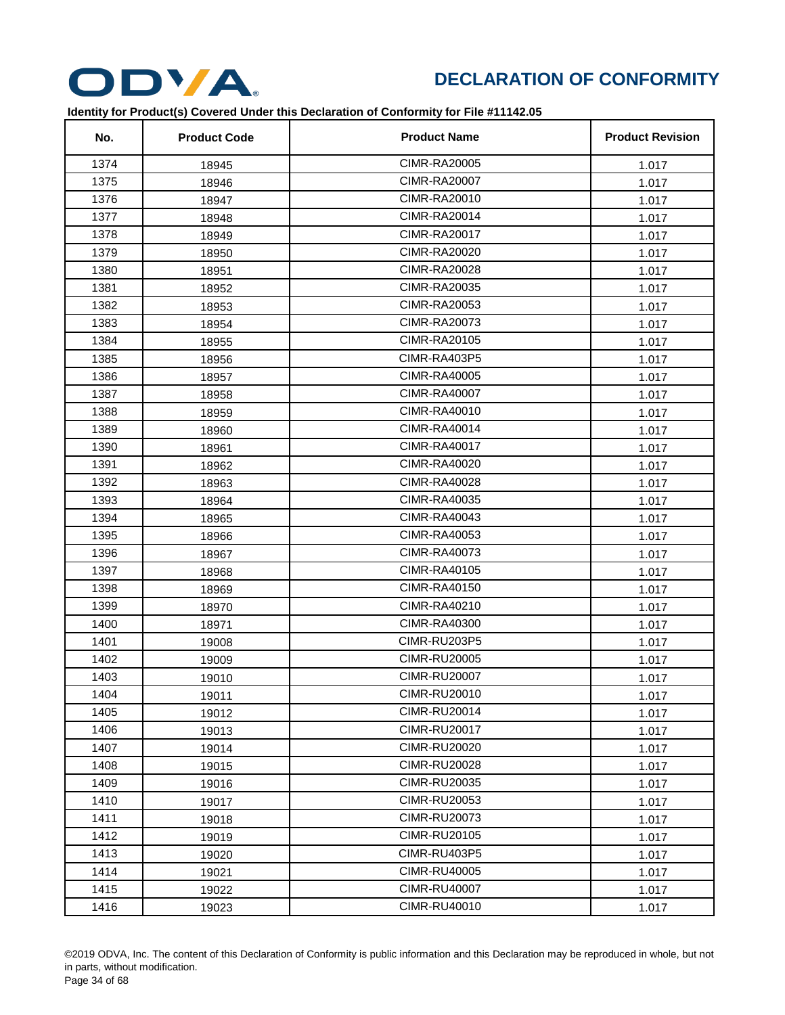

| No.  | <b>Product Code</b> | <b>Product Name</b> | <b>Product Revision</b> |
|------|---------------------|---------------------|-------------------------|
| 1374 | 18945               | <b>CIMR-RA20005</b> | 1.017                   |
| 1375 | 18946               | <b>CIMR-RA20007</b> | 1.017                   |
| 1376 | 18947               | CIMR-RA20010        | 1.017                   |
| 1377 | 18948               | <b>CIMR-RA20014</b> | 1.017                   |
| 1378 | 18949               | <b>CIMR-RA20017</b> | 1.017                   |
| 1379 | 18950               | <b>CIMR-RA20020</b> | 1.017                   |
| 1380 | 18951               | <b>CIMR-RA20028</b> | 1.017                   |
| 1381 | 18952               | CIMR-RA20035        | 1.017                   |
| 1382 | 18953               | CIMR-RA20053        | 1.017                   |
| 1383 | 18954               | <b>CIMR-RA20073</b> | 1.017                   |
| 1384 | 18955               | CIMR-RA20105        | 1.017                   |
| 1385 | 18956               | CIMR-RA403P5        | 1.017                   |
| 1386 | 18957               | CIMR-RA40005        | 1.017                   |
| 1387 | 18958               | <b>CIMR-RA40007</b> | 1.017                   |
| 1388 | 18959               | <b>CIMR-RA40010</b> | 1.017                   |
| 1389 | 18960               | <b>CIMR-RA40014</b> | 1.017                   |
| 1390 | 18961               | <b>CIMR-RA40017</b> | 1.017                   |
| 1391 | 18962               | CIMR-RA40020        | 1.017                   |
| 1392 | 18963               | CIMR-RA40028        | 1.017                   |
| 1393 | 18964               | <b>CIMR-RA40035</b> | 1.017                   |
| 1394 | 18965               | <b>CIMR-RA40043</b> | 1.017                   |
| 1395 | 18966               | <b>CIMR-RA40053</b> | 1.017                   |
| 1396 | 18967               | <b>CIMR-RA40073</b> | 1.017                   |
| 1397 | 18968               | <b>CIMR-RA40105</b> | 1.017                   |
| 1398 | 18969               | <b>CIMR-RA40150</b> | 1.017                   |
| 1399 | 18970               | <b>CIMR-RA40210</b> | 1.017                   |
| 1400 | 18971               | CIMR-RA40300        | 1.017                   |
| 1401 | 19008               | <b>CIMR-RU203P5</b> | 1.017                   |
| 1402 | 19009               | <b>CIMR-RU20005</b> | 1.017                   |
| 1403 | 19010               | <b>CIMR-RU20007</b> | 1.017                   |
| 1404 | 19011               | <b>CIMR-RU20010</b> | 1.017                   |
| 1405 | 19012               | <b>CIMR-RU20014</b> | 1.017                   |
| 1406 | 19013               | <b>CIMR-RU20017</b> | 1.017                   |
| 1407 | 19014               | <b>CIMR-RU20020</b> | 1.017                   |
| 1408 | 19015               | <b>CIMR-RU20028</b> | 1.017                   |
| 1409 | 19016               | <b>CIMR-RU20035</b> | 1.017                   |
| 1410 | 19017               | <b>CIMR-RU20053</b> | 1.017                   |
| 1411 | 19018               | <b>CIMR-RU20073</b> | 1.017                   |
| 1412 | 19019               | <b>CIMR-RU20105</b> | 1.017                   |
| 1413 | 19020               | CIMR-RU403P5        | 1.017                   |
| 1414 | 19021               | <b>CIMR-RU40005</b> | 1.017                   |
| 1415 | 19022               | <b>CIMR-RU40007</b> | 1.017                   |
| 1416 | 19023               | <b>CIMR-RU40010</b> | 1.017                   |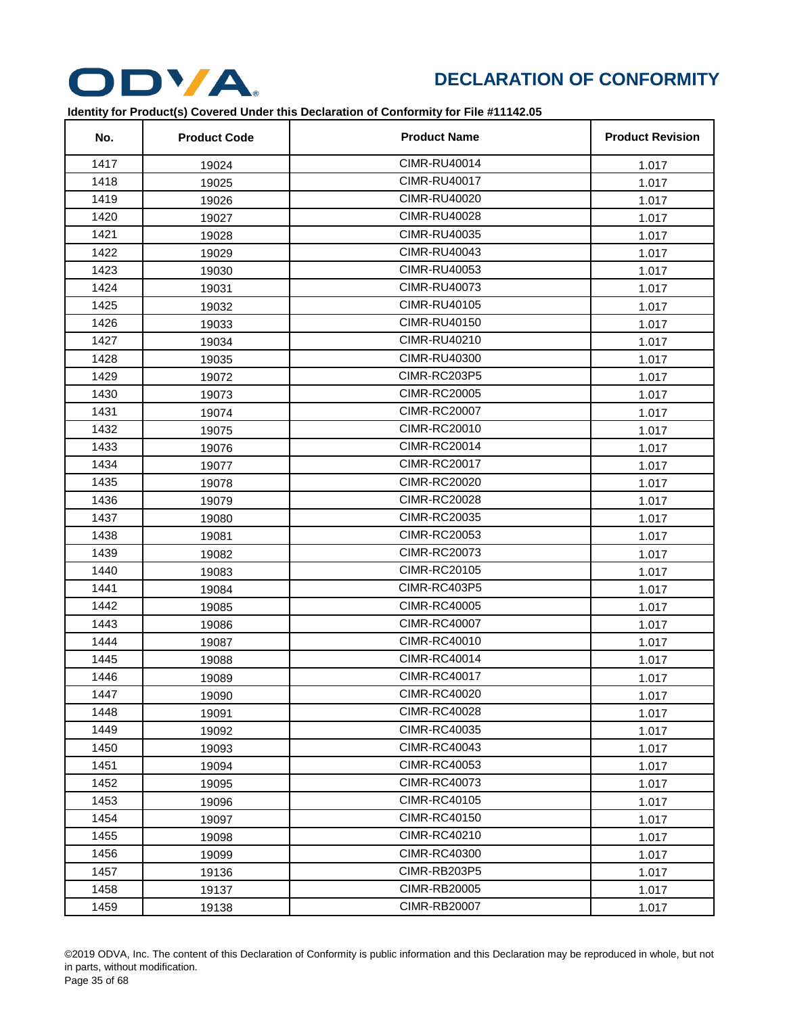

| No.  | <b>Product Code</b> | <b>Product Name</b> | <b>Product Revision</b> |
|------|---------------------|---------------------|-------------------------|
| 1417 | 19024               | <b>CIMR-RU40014</b> | 1.017                   |
| 1418 | 19025               | <b>CIMR-RU40017</b> | 1.017                   |
| 1419 | 19026               | <b>CIMR-RU40020</b> | 1.017                   |
| 1420 | 19027               | <b>CIMR-RU40028</b> | 1.017                   |
| 1421 | 19028               | <b>CIMR-RU40035</b> | 1.017                   |
| 1422 | 19029               | <b>CIMR-RU40043</b> | 1.017                   |
| 1423 | 19030               | <b>CIMR-RU40053</b> | 1.017                   |
| 1424 | 19031               | <b>CIMR-RU40073</b> | 1.017                   |
| 1425 | 19032               | <b>CIMR-RU40105</b> | 1.017                   |
| 1426 | 19033               | <b>CIMR-RU40150</b> | 1.017                   |
| 1427 | 19034               | <b>CIMR-RU40210</b> | 1.017                   |
| 1428 | 19035               | <b>CIMR-RU40300</b> | 1.017                   |
| 1429 | 19072               | CIMR-RC203P5        | 1.017                   |
| 1430 | 19073               | <b>CIMR-RC20005</b> | 1.017                   |
| 1431 | 19074               | <b>CIMR-RC20007</b> | 1.017                   |
| 1432 | 19075               | <b>CIMR-RC20010</b> | 1.017                   |
| 1433 | 19076               | <b>CIMR-RC20014</b> | 1.017                   |
| 1434 | 19077               | <b>CIMR-RC20017</b> | 1.017                   |
| 1435 | 19078               | <b>CIMR-RC20020</b> | 1.017                   |
| 1436 | 19079               | <b>CIMR-RC20028</b> | 1.017                   |
| 1437 | 19080               | <b>CIMR-RC20035</b> | 1.017                   |
| 1438 | 19081               | <b>CIMR-RC20053</b> | 1.017                   |
| 1439 | 19082               | <b>CIMR-RC20073</b> | 1.017                   |
| 1440 | 19083               | <b>CIMR-RC20105</b> | 1.017                   |
| 1441 | 19084               | CIMR-RC403P5        | 1.017                   |
| 1442 | 19085               | <b>CIMR-RC40005</b> | 1.017                   |
| 1443 | 19086               | <b>CIMR-RC40007</b> | 1.017                   |
| 1444 | 19087               | <b>CIMR-RC40010</b> | 1.017                   |
| 1445 | 19088               | <b>CIMR-RC40014</b> | 1.017                   |
| 1446 | 19089               | <b>CIMR-RC40017</b> | 1.017                   |
| 1447 | 19090               | <b>CIMR-RC40020</b> | 1.017                   |
| 1448 | 19091               | <b>CIMR-RC40028</b> | 1.017                   |
| 1449 | 19092               | <b>CIMR-RC40035</b> | 1.017                   |
| 1450 | 19093               | <b>CIMR-RC40043</b> | 1.017                   |
| 1451 | 19094               | <b>CIMR-RC40053</b> | 1.017                   |
| 1452 | 19095               | <b>CIMR-RC40073</b> | 1.017                   |
| 1453 | 19096               | <b>CIMR-RC40105</b> | 1.017                   |
| 1454 | 19097               | <b>CIMR-RC40150</b> | 1.017                   |
| 1455 | 19098               | <b>CIMR-RC40210</b> | 1.017                   |
| 1456 | 19099               | <b>CIMR-RC40300</b> | 1.017                   |
| 1457 | 19136               | CIMR-RB203P5        | 1.017                   |
| 1458 | 19137               | <b>CIMR-RB20005</b> | 1.017                   |
| 1459 | 19138               | <b>CIMR-RB20007</b> | 1.017                   |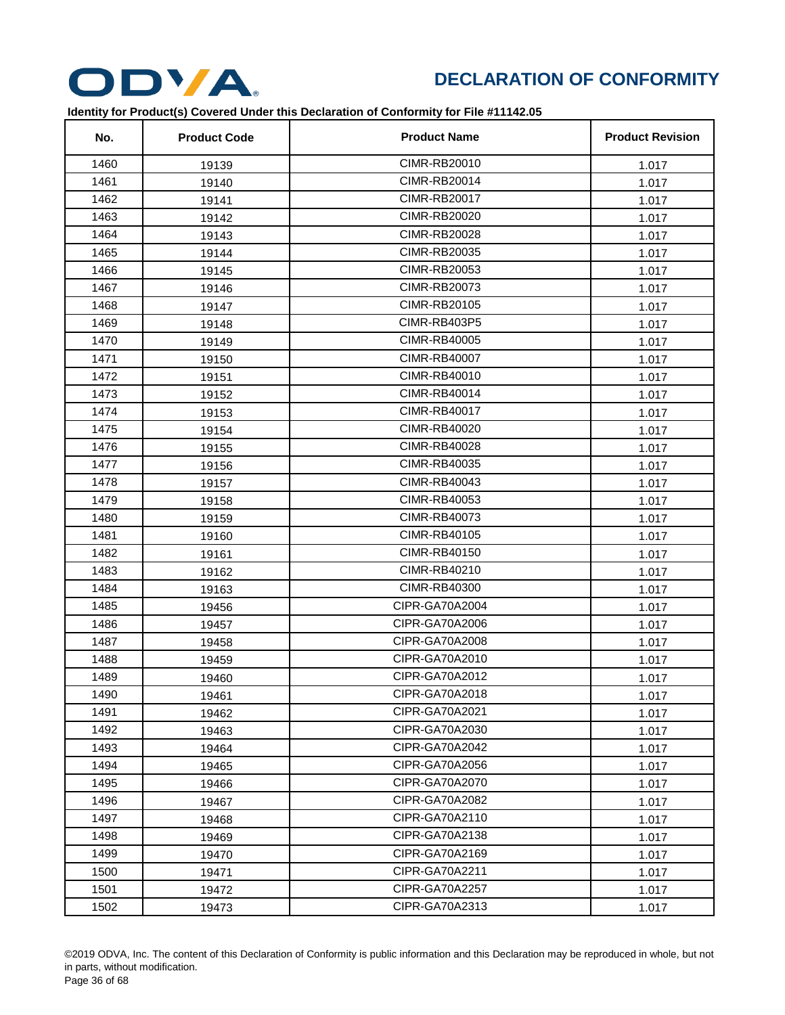

| No.  | <b>Product Code</b> | <b>Product Name</b> | <b>Product Revision</b> |
|------|---------------------|---------------------|-------------------------|
| 1460 | 19139               | CIMR-RB20010        | 1.017                   |
| 1461 | 19140               | <b>CIMR-RB20014</b> | 1.017                   |
| 1462 | 19141               | <b>CIMR-RB20017</b> | 1.017                   |
| 1463 | 19142               | <b>CIMR-RB20020</b> | 1.017                   |
| 1464 | 19143               | <b>CIMR-RB20028</b> | 1.017                   |
| 1465 | 19144               | <b>CIMR-RB20035</b> | 1.017                   |
| 1466 | 19145               | <b>CIMR-RB20053</b> | 1.017                   |
| 1467 | 19146               | CIMR-RB20073        | 1.017                   |
| 1468 | 19147               | <b>CIMR-RB20105</b> | 1.017                   |
| 1469 | 19148               | CIMR-RB403P5        | 1.017                   |
| 1470 | 19149               | CIMR-RB40005        | 1.017                   |
| 1471 | 19150               | <b>CIMR-RB40007</b> | 1.017                   |
| 1472 | 19151               | <b>CIMR-RB40010</b> | 1.017                   |
| 1473 | 19152               | <b>CIMR-RB40014</b> | 1.017                   |
| 1474 | 19153               | <b>CIMR-RB40017</b> | 1.017                   |
| 1475 | 19154               | <b>CIMR-RB40020</b> | 1.017                   |
| 1476 | 19155               | CIMR-RB40028        | 1.017                   |
| 1477 | 19156               | CIMR-RB40035        | 1.017                   |
| 1478 | 19157               | <b>CIMR-RB40043</b> | 1.017                   |
| 1479 | 19158               | <b>CIMR-RB40053</b> | 1.017                   |
| 1480 | 19159               | <b>CIMR-RB40073</b> | 1.017                   |
| 1481 | 19160               | <b>CIMR-RB40105</b> | 1.017                   |
| 1482 | 19161               | <b>CIMR-RB40150</b> | 1.017                   |
| 1483 | 19162               | <b>CIMR-RB40210</b> | 1.017                   |
| 1484 | 19163               | <b>CIMR-RB40300</b> | 1.017                   |
| 1485 | 19456               | CIPR-GA70A2004      | 1.017                   |
| 1486 | 19457               | CIPR-GA70A2006      | 1.017                   |
| 1487 | 19458               | CIPR-GA70A2008      | 1.017                   |
| 1488 | 19459               | CIPR-GA70A2010      | 1.017                   |
| 1489 | 19460               | CIPR-GA70A2012      | 1.017                   |
| 1490 | 19461               | CIPR-GA70A2018      | 1.017                   |
| 1491 | 19462               | CIPR-GA70A2021      | 1.017                   |
| 1492 | 19463               | CIPR-GA70A2030      | 1.017                   |
| 1493 | 19464               | CIPR-GA70A2042      | 1.017                   |
| 1494 | 19465               | CIPR-GA70A2056      | 1.017                   |
| 1495 | 19466               | CIPR-GA70A2070      | 1.017                   |
| 1496 | 19467               | CIPR-GA70A2082      | 1.017                   |
| 1497 | 19468               | CIPR-GA70A2110      | 1.017                   |
| 1498 | 19469               | CIPR-GA70A2138      | 1.017                   |
| 1499 | 19470               | CIPR-GA70A2169      | 1.017                   |
| 1500 | 19471               | CIPR-GA70A2211      | 1.017                   |
| 1501 | 19472               | CIPR-GA70A2257      | 1.017                   |
| 1502 | 19473               | CIPR-GA70A2313      | 1.017                   |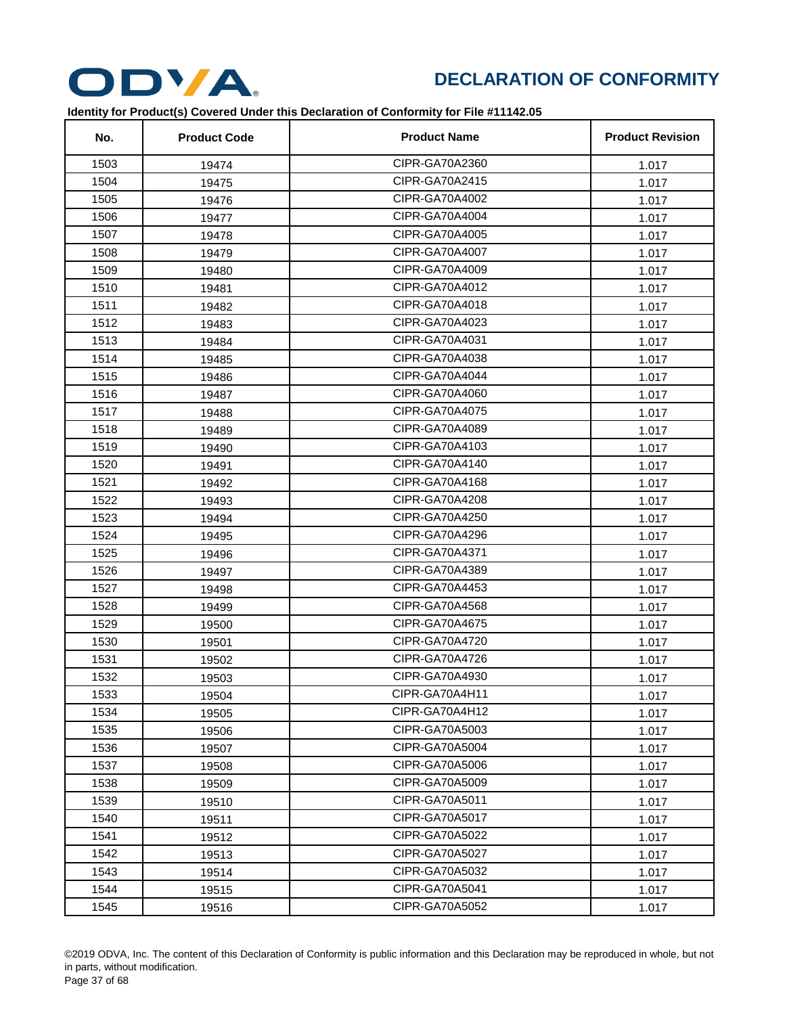

| No.  | <b>Product Code</b> | <b>Product Name</b> | <b>Product Revision</b> |
|------|---------------------|---------------------|-------------------------|
| 1503 | 19474               | CIPR-GA70A2360      | 1.017                   |
| 1504 | 19475               | CIPR-GA70A2415      | 1.017                   |
| 1505 | 19476               | CIPR-GA70A4002      | 1.017                   |
| 1506 | 19477               | CIPR-GA70A4004      | 1.017                   |
| 1507 | 19478               | CIPR-GA70A4005      | 1.017                   |
| 1508 | 19479               | CIPR-GA70A4007      | 1.017                   |
| 1509 | 19480               | CIPR-GA70A4009      | 1.017                   |
| 1510 | 19481               | CIPR-GA70A4012      | 1.017                   |
| 1511 | 19482               | CIPR-GA70A4018      | 1.017                   |
| 1512 | 19483               | CIPR-GA70A4023      | 1.017                   |
| 1513 | 19484               | CIPR-GA70A4031      | 1.017                   |
| 1514 | 19485               | CIPR-GA70A4038      | 1.017                   |
| 1515 | 19486               | CIPR-GA70A4044      | 1.017                   |
| 1516 | 19487               | CIPR-GA70A4060      | 1.017                   |
| 1517 | 19488               | CIPR-GA70A4075      | 1.017                   |
| 1518 | 19489               | CIPR-GA70A4089      | 1.017                   |
| 1519 | 19490               | CIPR-GA70A4103      | 1.017                   |
| 1520 | 19491               | CIPR-GA70A4140      | 1.017                   |
| 1521 | 19492               | CIPR-GA70A4168      | 1.017                   |
| 1522 | 19493               | CIPR-GA70A4208      | 1.017                   |
| 1523 | 19494               | CIPR-GA70A4250      | 1.017                   |
| 1524 | 19495               | CIPR-GA70A4296      | 1.017                   |
| 1525 | 19496               | CIPR-GA70A4371      | 1.017                   |
| 1526 | 19497               | CIPR-GA70A4389      | 1.017                   |
| 1527 | 19498               | CIPR-GA70A4453      | 1.017                   |
| 1528 | 19499               | CIPR-GA70A4568      | 1.017                   |
| 1529 | 19500               | CIPR-GA70A4675      | 1.017                   |
| 1530 | 19501               | CIPR-GA70A4720      | 1.017                   |
| 1531 | 19502               | CIPR-GA70A4726      | 1.017                   |
| 1532 | 19503               | CIPR-GA70A4930      | 1.017                   |
| 1533 | 19504               | CIPR-GA70A4H11      | 1.017                   |
| 1534 | 19505               | CIPR-GA70A4H12      | 1.017                   |
| 1535 | 19506               | CIPR-GA70A5003      | 1.017                   |
| 1536 | 19507               | CIPR-GA70A5004      | 1.017                   |
| 1537 | 19508               | CIPR-GA70A5006      | 1.017                   |
| 1538 | 19509               | CIPR-GA70A5009      | 1.017                   |
| 1539 | 19510               | CIPR-GA70A5011      | 1.017                   |
| 1540 | 19511               | CIPR-GA70A5017      | 1.017                   |
| 1541 | 19512               | CIPR-GA70A5022      | 1.017                   |
| 1542 | 19513               | CIPR-GA70A5027      | 1.017                   |
| 1543 | 19514               | CIPR-GA70A5032      | 1.017                   |
| 1544 | 19515               | CIPR-GA70A5041      | 1.017                   |
| 1545 | 19516               | CIPR-GA70A5052      | 1.017                   |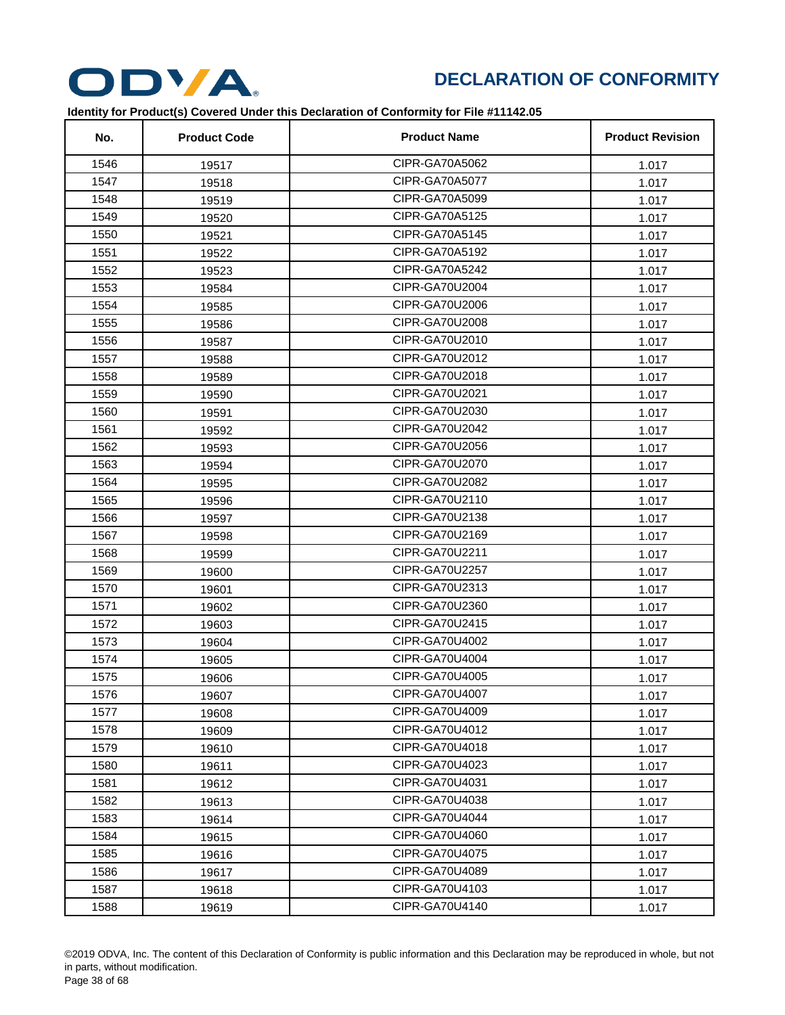

| No.  | <b>Product Code</b> | <b>Product Name</b> | <b>Product Revision</b> |
|------|---------------------|---------------------|-------------------------|
| 1546 | 19517               | CIPR-GA70A5062      | 1.017                   |
| 1547 | 19518               | CIPR-GA70A5077      | 1.017                   |
| 1548 | 19519               | CIPR-GA70A5099      | 1.017                   |
| 1549 | 19520               | CIPR-GA70A5125      | 1.017                   |
| 1550 | 19521               | CIPR-GA70A5145      | 1.017                   |
| 1551 | 19522               | CIPR-GA70A5192      | 1.017                   |
| 1552 | 19523               | CIPR-GA70A5242      | 1.017                   |
| 1553 | 19584               | CIPR-GA70U2004      | 1.017                   |
| 1554 | 19585               | CIPR-GA70U2006      | 1.017                   |
| 1555 | 19586               | CIPR-GA70U2008      | 1.017                   |
| 1556 | 19587               | CIPR-GA70U2010      | 1.017                   |
| 1557 | 19588               | CIPR-GA70U2012      | 1.017                   |
| 1558 | 19589               | CIPR-GA70U2018      | 1.017                   |
| 1559 | 19590               | CIPR-GA70U2021      | 1.017                   |
| 1560 | 19591               | CIPR-GA70U2030      | 1.017                   |
| 1561 | 19592               | CIPR-GA70U2042      | 1.017                   |
| 1562 | 19593               | CIPR-GA70U2056      | 1.017                   |
| 1563 | 19594               | CIPR-GA70U2070      | 1.017                   |
| 1564 | 19595               | CIPR-GA70U2082      | 1.017                   |
| 1565 | 19596               | CIPR-GA70U2110      | 1.017                   |
| 1566 | 19597               | CIPR-GA70U2138      | 1.017                   |
| 1567 | 19598               | CIPR-GA70U2169      | 1.017                   |
| 1568 | 19599               | CIPR-GA70U2211      | 1.017                   |
| 1569 | 19600               | CIPR-GA70U2257      | 1.017                   |
| 1570 | 19601               | CIPR-GA70U2313      | 1.017                   |
| 1571 | 19602               | CIPR-GA70U2360      | 1.017                   |
| 1572 | 19603               | CIPR-GA70U2415      | 1.017                   |
| 1573 | 19604               | CIPR-GA70U4002      | 1.017                   |
| 1574 | 19605               | CIPR-GA70U4004      | 1.017                   |
| 1575 | 19606               | CIPR-GA70U4005      | 1.017                   |
| 1576 | 19607               | CIPR-GA70U4007      | 1.017                   |
| 1577 | 19608               | CIPR-GA70U4009      | 1.017                   |
| 1578 | 19609               | CIPR-GA70U4012      | 1.017                   |
| 1579 | 19610               | CIPR-GA70U4018      | 1.017                   |
| 1580 | 19611               | CIPR-GA70U4023      | 1.017                   |
| 1581 | 19612               | CIPR-GA70U4031      | 1.017                   |
| 1582 | 19613               | CIPR-GA70U4038      | 1.017                   |
| 1583 | 19614               | CIPR-GA70U4044      | 1.017                   |
| 1584 | 19615               | CIPR-GA70U4060      | 1.017                   |
| 1585 | 19616               | CIPR-GA70U4075      | 1.017                   |
| 1586 | 19617               | CIPR-GA70U4089      | 1.017                   |
| 1587 | 19618               | CIPR-GA70U4103      | 1.017                   |
| 1588 | 19619               | CIPR-GA70U4140      | 1.017                   |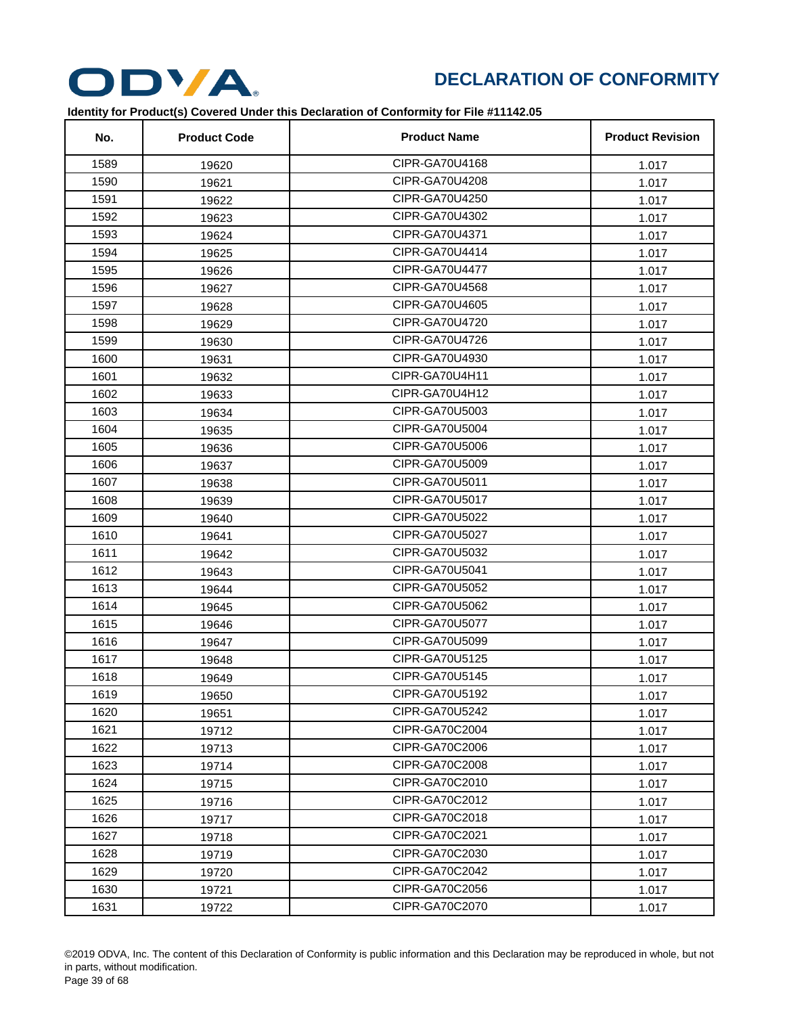

| No.  | <b>Product Code</b> | <b>Product Name</b> | <b>Product Revision</b> |
|------|---------------------|---------------------|-------------------------|
| 1589 | 19620               | CIPR-GA70U4168      | 1.017                   |
| 1590 | 19621               | CIPR-GA70U4208      | 1.017                   |
| 1591 | 19622               | CIPR-GA70U4250      | 1.017                   |
| 1592 | 19623               | CIPR-GA70U4302      | 1.017                   |
| 1593 | 19624               | CIPR-GA70U4371      | 1.017                   |
| 1594 | 19625               | CIPR-GA70U4414      | 1.017                   |
| 1595 | 19626               | CIPR-GA70U4477      | 1.017                   |
| 1596 | 19627               | CIPR-GA70U4568      | 1.017                   |
| 1597 | 19628               | CIPR-GA70U4605      | 1.017                   |
| 1598 | 19629               | CIPR-GA70U4720      | 1.017                   |
| 1599 | 19630               | CIPR-GA70U4726      | 1.017                   |
| 1600 | 19631               | CIPR-GA70U4930      | 1.017                   |
| 1601 | 19632               | CIPR-GA70U4H11      | 1.017                   |
| 1602 | 19633               | CIPR-GA70U4H12      | 1.017                   |
| 1603 | 19634               | CIPR-GA70U5003      | 1.017                   |
| 1604 | 19635               | CIPR-GA70U5004      | 1.017                   |
| 1605 | 19636               | CIPR-GA70U5006      | 1.017                   |
| 1606 | 19637               | CIPR-GA70U5009      | 1.017                   |
| 1607 | 19638               | CIPR-GA70U5011      | 1.017                   |
| 1608 | 19639               | CIPR-GA70U5017      | 1.017                   |
| 1609 | 19640               | CIPR-GA70U5022      | 1.017                   |
| 1610 | 19641               | CIPR-GA70U5027      | 1.017                   |
| 1611 | 19642               | CIPR-GA70U5032      | 1.017                   |
| 1612 | 19643               | CIPR-GA70U5041      | 1.017                   |
| 1613 | 19644               | CIPR-GA70U5052      | 1.017                   |
| 1614 | 19645               | CIPR-GA70U5062      | 1.017                   |
| 1615 | 19646               | CIPR-GA70U5077      | 1.017                   |
| 1616 | 19647               | CIPR-GA70U5099      | 1.017                   |
| 1617 | 19648               | CIPR-GA70U5125      | 1.017                   |
| 1618 | 19649               | CIPR-GA70U5145      | 1.017                   |
| 1619 | 19650               | CIPR-GA70U5192      | 1.017                   |
| 1620 | 19651               | CIPR-GA70U5242      | 1.017                   |
| 1621 | 19712               | CIPR-GA70C2004      | 1.017                   |
| 1622 | 19713               | CIPR-GA70C2006      | 1.017                   |
| 1623 | 19714               | CIPR-GA70C2008      | 1.017                   |
| 1624 | 19715               | CIPR-GA70C2010      | 1.017                   |
| 1625 | 19716               | CIPR-GA70C2012      | 1.017                   |
| 1626 | 19717               | CIPR-GA70C2018      | 1.017                   |
| 1627 | 19718               | CIPR-GA70C2021      | 1.017                   |
| 1628 | 19719               | CIPR-GA70C2030      | 1.017                   |
| 1629 | 19720               | CIPR-GA70C2042      | 1.017                   |
| 1630 | 19721               | CIPR-GA70C2056      | 1.017                   |
| 1631 | 19722               | CIPR-GA70C2070      | 1.017                   |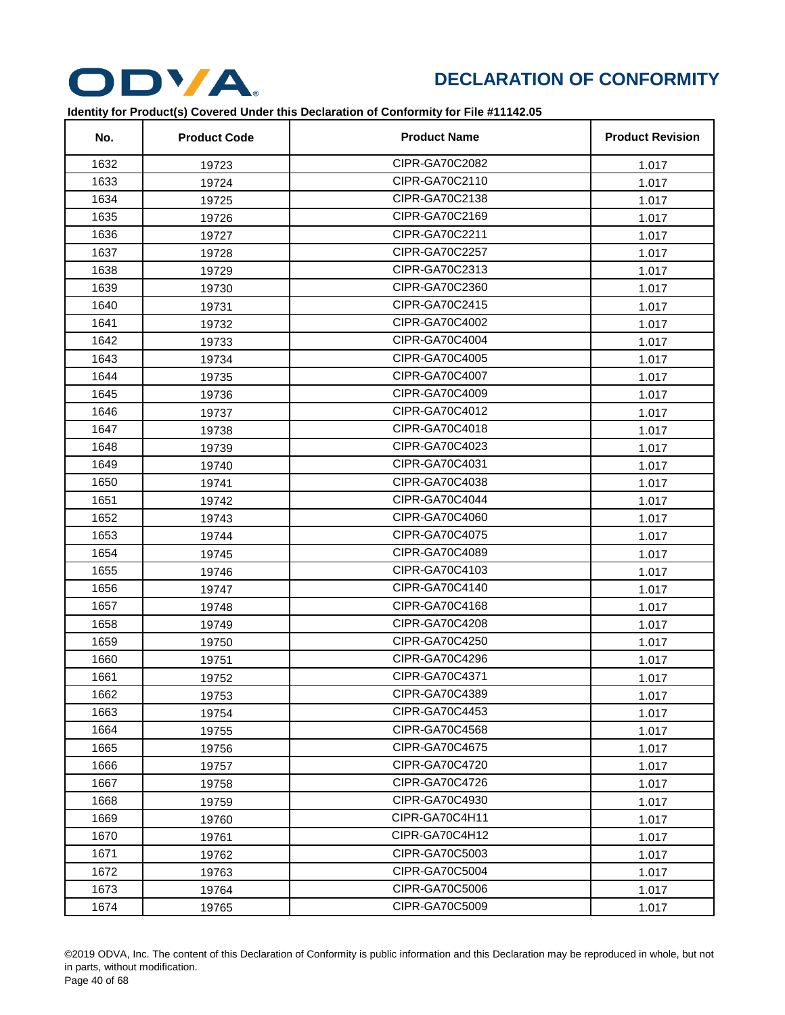

| No.  | <b>Product Code</b> | <b>Product Name</b> | <b>Product Revision</b> |
|------|---------------------|---------------------|-------------------------|
| 1632 | 19723               | CIPR-GA70C2082      | 1.017                   |
| 1633 | 19724               | CIPR-GA70C2110      | 1.017                   |
| 1634 | 19725               | CIPR-GA70C2138      | 1.017                   |
| 1635 | 19726               | CIPR-GA70C2169      | 1.017                   |
| 1636 | 19727               | CIPR-GA70C2211      | 1.017                   |
| 1637 | 19728               | CIPR-GA70C2257      | 1.017                   |
| 1638 | 19729               | CIPR-GA70C2313      | 1.017                   |
| 1639 | 19730               | CIPR-GA70C2360      | 1.017                   |
| 1640 | 19731               | CIPR-GA70C2415      | 1.017                   |
| 1641 | 19732               | CIPR-GA70C4002      | 1.017                   |
| 1642 | 19733               | CIPR-GA70C4004      | 1.017                   |
| 1643 | 19734               | CIPR-GA70C4005      | 1.017                   |
| 1644 | 19735               | CIPR-GA70C4007      | 1.017                   |
| 1645 | 19736               | CIPR-GA70C4009      | 1.017                   |
| 1646 | 19737               | CIPR-GA70C4012      | 1.017                   |
| 1647 | 19738               | CIPR-GA70C4018      | 1.017                   |
| 1648 | 19739               | CIPR-GA70C4023      | 1.017                   |
| 1649 | 19740               | CIPR-GA70C4031      | 1.017                   |
| 1650 | 19741               | CIPR-GA70C4038      | 1.017                   |
| 1651 | 19742               | CIPR-GA70C4044      | 1.017                   |
| 1652 | 19743               | CIPR-GA70C4060      | 1.017                   |
| 1653 | 19744               | CIPR-GA70C4075      | 1.017                   |
| 1654 | 19745               | CIPR-GA70C4089      | 1.017                   |
| 1655 | 19746               | CIPR-GA70C4103      | 1.017                   |
| 1656 | 19747               | CIPR-GA70C4140      | 1.017                   |
| 1657 | 19748               | CIPR-GA70C4168      | 1.017                   |
| 1658 | 19749               | CIPR-GA70C4208      | 1.017                   |
| 1659 | 19750               | CIPR-GA70C4250      | 1.017                   |
| 1660 | 19751               | CIPR-GA70C4296      | 1.017                   |
| 1661 | 19752               | CIPR-GA70C4371      | 1.017                   |
| 1662 | 19753               | CIPR-GA70C4389      | 1.017                   |
| 1663 | 19754               | CIPR-GA70C4453      | 1.017                   |
| 1664 | 19755               | CIPR-GA70C4568      | 1.017                   |
| 1665 | 19756               | CIPR-GA70C4675      | 1.017                   |
| 1666 | 19757               | CIPR-GA70C4720      | 1.017                   |
| 1667 | 19758               | CIPR-GA70C4726      | 1.017                   |
| 1668 | 19759               | CIPR-GA70C4930      | 1.017                   |
| 1669 | 19760               | CIPR-GA70C4H11      | 1.017                   |
| 1670 | 19761               | CIPR-GA70C4H12      | 1.017                   |
| 1671 | 19762               | CIPR-GA70C5003      | 1.017                   |
| 1672 | 19763               | CIPR-GA70C5004      | 1.017                   |
| 1673 | 19764               | CIPR-GA70C5006      | 1.017                   |
| 1674 | 19765               | CIPR-GA70C5009      | 1.017                   |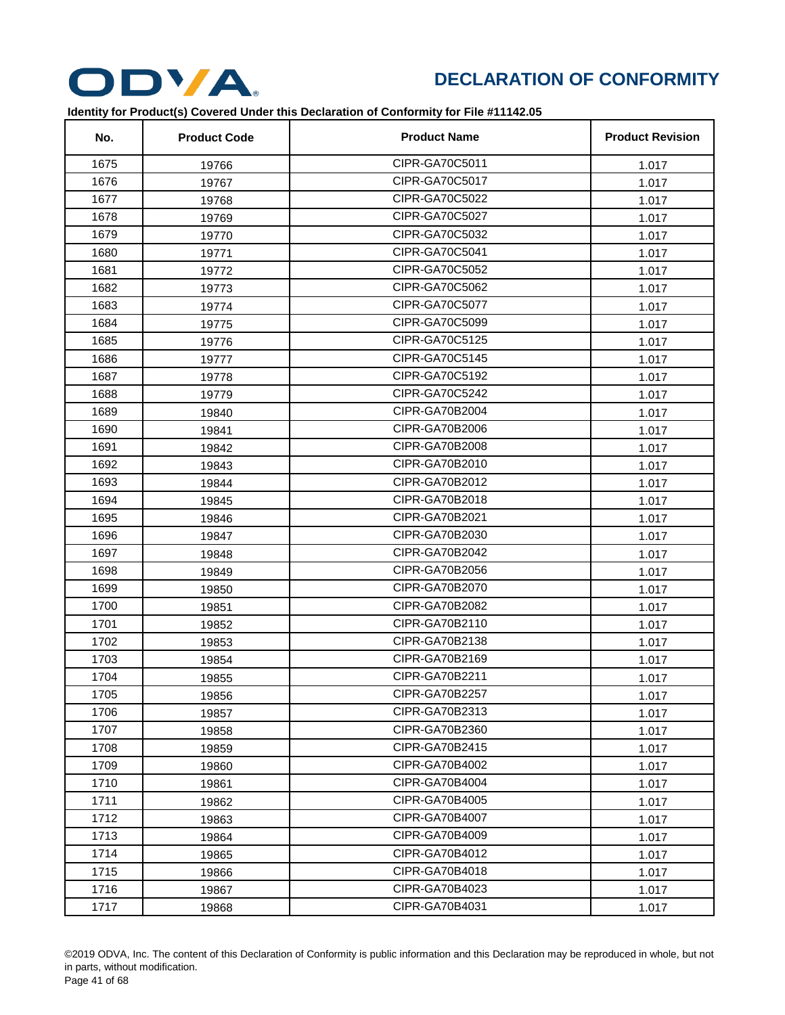

| No.  | <b>Product Code</b> | <b>Product Name</b> | <b>Product Revision</b> |
|------|---------------------|---------------------|-------------------------|
| 1675 | 19766               | CIPR-GA70C5011      | 1.017                   |
| 1676 | 19767               | CIPR-GA70C5017      | 1.017                   |
| 1677 | 19768               | CIPR-GA70C5022      | 1.017                   |
| 1678 | 19769               | CIPR-GA70C5027      | 1.017                   |
| 1679 | 19770               | CIPR-GA70C5032      | 1.017                   |
| 1680 | 19771               | CIPR-GA70C5041      | 1.017                   |
| 1681 | 19772               | CIPR-GA70C5052      | 1.017                   |
| 1682 | 19773               | CIPR-GA70C5062      | 1.017                   |
| 1683 | 19774               | CIPR-GA70C5077      | 1.017                   |
| 1684 | 19775               | CIPR-GA70C5099      | 1.017                   |
| 1685 | 19776               | CIPR-GA70C5125      | 1.017                   |
| 1686 | 19777               | CIPR-GA70C5145      | 1.017                   |
| 1687 | 19778               | CIPR-GA70C5192      | 1.017                   |
| 1688 | 19779               | CIPR-GA70C5242      | 1.017                   |
| 1689 | 19840               | CIPR-GA70B2004      | 1.017                   |
| 1690 | 19841               | CIPR-GA70B2006      | 1.017                   |
| 1691 | 19842               | CIPR-GA70B2008      | 1.017                   |
| 1692 | 19843               | CIPR-GA70B2010      | 1.017                   |
| 1693 | 19844               | CIPR-GA70B2012      | 1.017                   |
| 1694 | 19845               | CIPR-GA70B2018      | 1.017                   |
| 1695 | 19846               | CIPR-GA70B2021      | 1.017                   |
| 1696 | 19847               | CIPR-GA70B2030      | 1.017                   |
| 1697 | 19848               | CIPR-GA70B2042      | 1.017                   |
| 1698 | 19849               | CIPR-GA70B2056      | 1.017                   |
| 1699 | 19850               | CIPR-GA70B2070      | 1.017                   |
| 1700 | 19851               | CIPR-GA70B2082      | 1.017                   |
| 1701 | 19852               | CIPR-GA70B2110      | 1.017                   |
| 1702 | 19853               | CIPR-GA70B2138      | 1.017                   |
| 1703 | 19854               | CIPR-GA70B2169      | 1.017                   |
| 1704 | 19855               | CIPR-GA70B2211      | 1.017                   |
| 1705 | 19856               | CIPR-GA70B2257      | 1.017                   |
| 1706 | 19857               | CIPR-GA70B2313      | 1.017                   |
| 1707 | 19858               | CIPR-GA70B2360      | 1.017                   |
| 1708 | 19859               | CIPR-GA70B2415      | 1.017                   |
| 1709 | 19860               | CIPR-GA70B4002      | 1.017                   |
| 1710 | 19861               | CIPR-GA70B4004      | 1.017                   |
| 1711 | 19862               | CIPR-GA70B4005      | 1.017                   |
| 1712 | 19863               | CIPR-GA70B4007      | 1.017                   |
| 1713 | 19864               | CIPR-GA70B4009      | 1.017                   |
| 1714 | 19865               | CIPR-GA70B4012      | 1.017                   |
| 1715 | 19866               | CIPR-GA70B4018      | 1.017                   |
| 1716 | 19867               | CIPR-GA70B4023      | 1.017                   |
| 1717 | 19868               | CIPR-GA70B4031      | 1.017                   |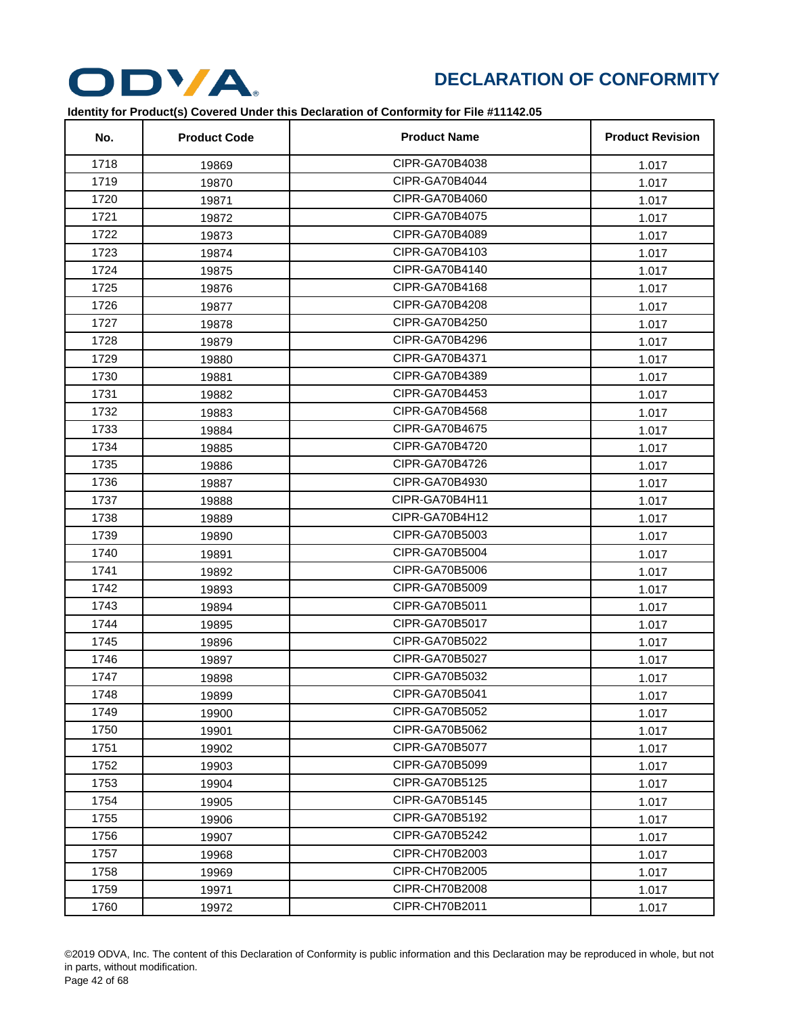

| No.  | <b>Product Code</b> | <b>Product Name</b> | <b>Product Revision</b> |
|------|---------------------|---------------------|-------------------------|
| 1718 | 19869               | CIPR-GA70B4038      | 1.017                   |
| 1719 | 19870               | CIPR-GA70B4044      | 1.017                   |
| 1720 | 19871               | CIPR-GA70B4060      | 1.017                   |
| 1721 | 19872               | CIPR-GA70B4075      | 1.017                   |
| 1722 | 19873               | CIPR-GA70B4089      | 1.017                   |
| 1723 | 19874               | CIPR-GA70B4103      | 1.017                   |
| 1724 | 19875               | CIPR-GA70B4140      | 1.017                   |
| 1725 | 19876               | CIPR-GA70B4168      | 1.017                   |
| 1726 | 19877               | CIPR-GA70B4208      | 1.017                   |
| 1727 | 19878               | CIPR-GA70B4250      | 1.017                   |
| 1728 | 19879               | CIPR-GA70B4296      | 1.017                   |
| 1729 | 19880               | CIPR-GA70B4371      | 1.017                   |
| 1730 | 19881               | CIPR-GA70B4389      | 1.017                   |
| 1731 | 19882               | CIPR-GA70B4453      | 1.017                   |
| 1732 | 19883               | CIPR-GA70B4568      | 1.017                   |
| 1733 | 19884               | CIPR-GA70B4675      | 1.017                   |
| 1734 | 19885               | CIPR-GA70B4720      | 1.017                   |
| 1735 | 19886               | CIPR-GA70B4726      | 1.017                   |
| 1736 | 19887               | CIPR-GA70B4930      | 1.017                   |
| 1737 | 19888               | CIPR-GA70B4H11      | 1.017                   |
| 1738 | 19889               | CIPR-GA70B4H12      | 1.017                   |
| 1739 | 19890               | CIPR-GA70B5003      | 1.017                   |
| 1740 | 19891               | CIPR-GA70B5004      | 1.017                   |
| 1741 | 19892               | CIPR-GA70B5006      | 1.017                   |
| 1742 | 19893               | CIPR-GA70B5009      | 1.017                   |
| 1743 | 19894               | CIPR-GA70B5011      | 1.017                   |
| 1744 | 19895               | CIPR-GA70B5017      | 1.017                   |
| 1745 | 19896               | CIPR-GA70B5022      | 1.017                   |
| 1746 | 19897               | CIPR-GA70B5027      | 1.017                   |
| 1747 | 19898               | CIPR-GA70B5032      | 1.017                   |
| 1748 | 19899               | CIPR-GA70B5041      | 1.017                   |
| 1749 | 19900               | CIPR-GA70B5052      | 1.017                   |
| 1750 | 19901               | CIPR-GA70B5062      | 1.017                   |
| 1751 | 19902               | CIPR-GA70B5077      | 1.017                   |
| 1752 | 19903               | CIPR-GA70B5099      | 1.017                   |
| 1753 | 19904               | CIPR-GA70B5125      | 1.017                   |
| 1754 | 19905               | CIPR-GA70B5145      | 1.017                   |
| 1755 | 19906               | CIPR-GA70B5192      | 1.017                   |
| 1756 | 19907               | CIPR-GA70B5242      | 1.017                   |
| 1757 | 19968               | CIPR-CH70B2003      | 1.017                   |
| 1758 | 19969               | CIPR-CH70B2005      | 1.017                   |
| 1759 | 19971               | CIPR-CH70B2008      | 1.017                   |
| 1760 | 19972               | CIPR-CH70B2011      | 1.017                   |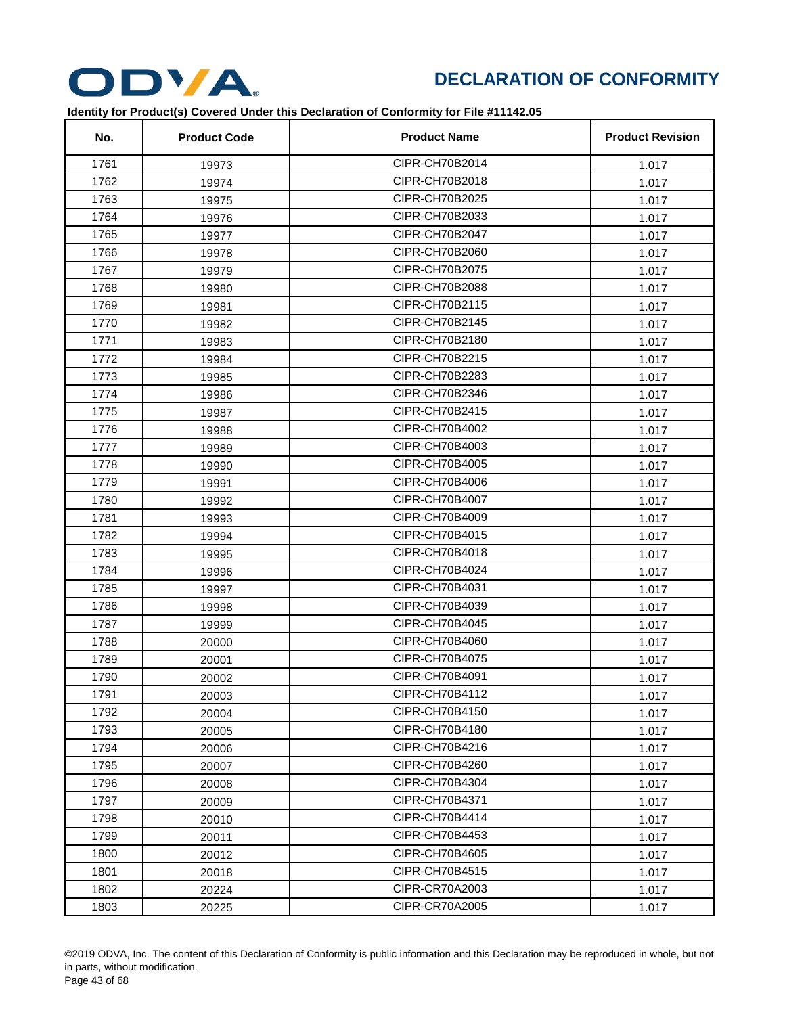

| No.  | <b>Product Code</b> | <b>Product Name</b> | <b>Product Revision</b> |
|------|---------------------|---------------------|-------------------------|
| 1761 | 19973               | CIPR-CH70B2014      | 1.017                   |
| 1762 | 19974               | CIPR-CH70B2018      | 1.017                   |
| 1763 | 19975               | CIPR-CH70B2025      | 1.017                   |
| 1764 | 19976               | CIPR-CH70B2033      | 1.017                   |
| 1765 | 19977               | CIPR-CH70B2047      | 1.017                   |
| 1766 | 19978               | CIPR-CH70B2060      | 1.017                   |
| 1767 | 19979               | CIPR-CH70B2075      | 1.017                   |
| 1768 | 19980               | CIPR-CH70B2088      | 1.017                   |
| 1769 | 19981               | CIPR-CH70B2115      | 1.017                   |
| 1770 | 19982               | CIPR-CH70B2145      | 1.017                   |
| 1771 | 19983               | CIPR-CH70B2180      | 1.017                   |
| 1772 | 19984               | CIPR-CH70B2215      | 1.017                   |
| 1773 | 19985               | CIPR-CH70B2283      | 1.017                   |
| 1774 | 19986               | CIPR-CH70B2346      | 1.017                   |
| 1775 | 19987               | CIPR-CH70B2415      | 1.017                   |
| 1776 | 19988               | CIPR-CH70B4002      | 1.017                   |
| 1777 | 19989               | CIPR-CH70B4003      | 1.017                   |
| 1778 | 19990               | CIPR-CH70B4005      | 1.017                   |
| 1779 | 19991               | CIPR-CH70B4006      | 1.017                   |
| 1780 | 19992               | CIPR-CH70B4007      | 1.017                   |
| 1781 | 19993               | CIPR-CH70B4009      | 1.017                   |
| 1782 | 19994               | CIPR-CH70B4015      | 1.017                   |
| 1783 | 19995               | CIPR-CH70B4018      | 1.017                   |
| 1784 | 19996               | CIPR-CH70B4024      | 1.017                   |
| 1785 | 19997               | CIPR-CH70B4031      | 1.017                   |
| 1786 | 19998               | CIPR-CH70B4039      | 1.017                   |
| 1787 | 19999               | CIPR-CH70B4045      | 1.017                   |
| 1788 | 20000               | CIPR-CH70B4060      | 1.017                   |
| 1789 | 20001               | CIPR-CH70B4075      | 1.017                   |
| 1790 | 20002               | CIPR-CH70B4091      | 1.017                   |
| 1791 | 20003               | CIPR-CH70B4112      | 1.017                   |
| 1792 | 20004               | CIPR-CH70B4150      | 1.017                   |
| 1793 | 20005               | CIPR-CH70B4180      | 1.017                   |
| 1794 | 20006               | CIPR-CH70B4216      | 1.017                   |
| 1795 | 20007               | CIPR-CH70B4260      | 1.017                   |
| 1796 | 20008               | CIPR-CH70B4304      | 1.017                   |
| 1797 | 20009               | CIPR-CH70B4371      | 1.017                   |
| 1798 | 20010               | CIPR-CH70B4414      | 1.017                   |
| 1799 | 20011               | CIPR-CH70B4453      | 1.017                   |
| 1800 | 20012               | CIPR-CH70B4605      | 1.017                   |
| 1801 | 20018               | CIPR-CH70B4515      | 1.017                   |
| 1802 | 20224               | CIPR-CR70A2003      | 1.017                   |
| 1803 | 20225               | CIPR-CR70A2005      | 1.017                   |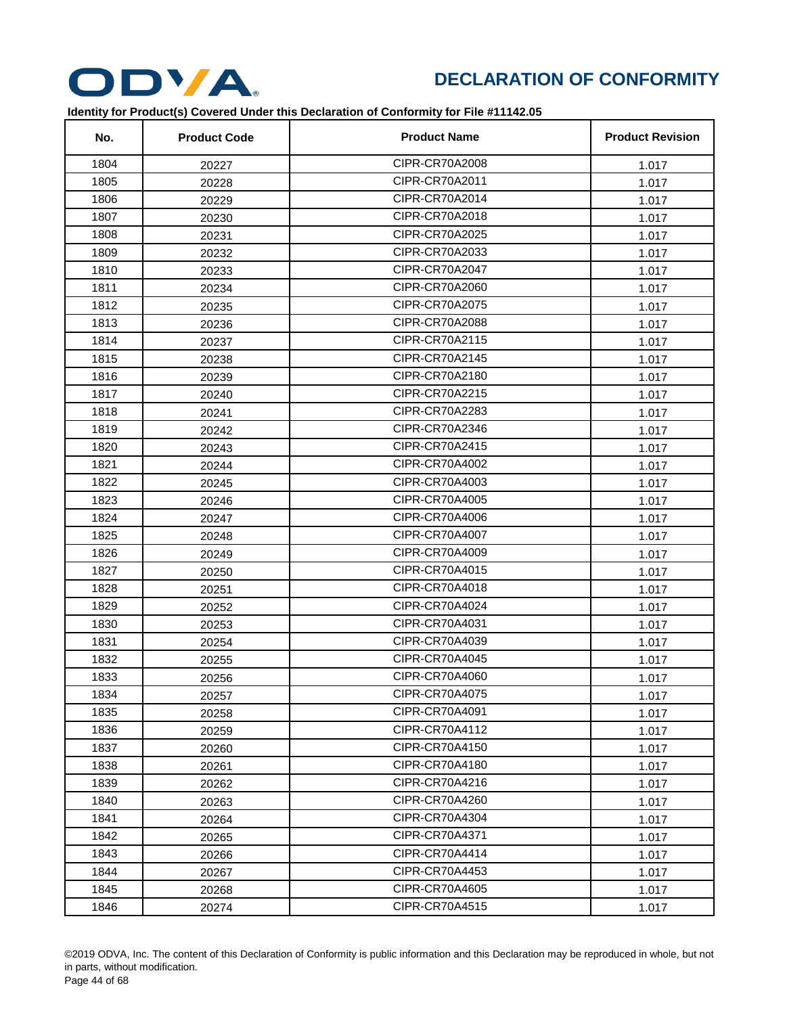

| No.  | <b>Product Code</b> | <b>Product Name</b> | <b>Product Revision</b> |
|------|---------------------|---------------------|-------------------------|
| 1804 | 20227               | CIPR-CR70A2008      | 1.017                   |
| 1805 | 20228               | CIPR-CR70A2011      | 1.017                   |
| 1806 | 20229               | CIPR-CR70A2014      | 1.017                   |
| 1807 | 20230               | CIPR-CR70A2018      | 1.017                   |
| 1808 | 20231               | CIPR-CR70A2025      | 1.017                   |
| 1809 | 20232               | CIPR-CR70A2033      | 1.017                   |
| 1810 | 20233               | CIPR-CR70A2047      | 1.017                   |
| 1811 | 20234               | CIPR-CR70A2060      | 1.017                   |
| 1812 | 20235               | CIPR-CR70A2075      | 1.017                   |
| 1813 | 20236               | CIPR-CR70A2088      | 1.017                   |
| 1814 | 20237               | CIPR-CR70A2115      | 1.017                   |
| 1815 | 20238               | CIPR-CR70A2145      | 1.017                   |
| 1816 | 20239               | CIPR-CR70A2180      | 1.017                   |
| 1817 | 20240               | CIPR-CR70A2215      | 1.017                   |
| 1818 | 20241               | CIPR-CR70A2283      | 1.017                   |
| 1819 | 20242               | CIPR-CR70A2346      | 1.017                   |
| 1820 | 20243               | CIPR-CR70A2415      | 1.017                   |
| 1821 | 20244               | CIPR-CR70A4002      | 1.017                   |
| 1822 | 20245               | CIPR-CR70A4003      | 1.017                   |
| 1823 | 20246               | CIPR-CR70A4005      | 1.017                   |
| 1824 | 20247               | CIPR-CR70A4006      | 1.017                   |
| 1825 | 20248               | CIPR-CR70A4007      | 1.017                   |
| 1826 | 20249               | CIPR-CR70A4009      | 1.017                   |
| 1827 | 20250               | CIPR-CR70A4015      | 1.017                   |
| 1828 | 20251               | CIPR-CR70A4018      | 1.017                   |
| 1829 | 20252               | CIPR-CR70A4024      | 1.017                   |
| 1830 | 20253               | CIPR-CR70A4031      | 1.017                   |
| 1831 | 20254               | CIPR-CR70A4039      | 1.017                   |
| 1832 | 20255               | CIPR-CR70A4045      | 1.017                   |
| 1833 | 20256               | CIPR-CR70A4060      | 1.017                   |
| 1834 | 20257               | CIPR-CR70A4075      | 1.017                   |
| 1835 | 20258               | CIPR-CR70A4091      | 1.017                   |
| 1836 | 20259               | CIPR-CR70A4112      | 1.017                   |
| 1837 | 20260               | CIPR-CR70A4150      | 1.017                   |
| 1838 | 20261               | CIPR-CR70A4180      | 1.017                   |
| 1839 | 20262               | CIPR-CR70A4216      | 1.017                   |
| 1840 | 20263               | CIPR-CR70A4260      | 1.017                   |
| 1841 | 20264               | CIPR-CR70A4304      | 1.017                   |
| 1842 | 20265               | CIPR-CR70A4371      | 1.017                   |
| 1843 | 20266               | CIPR-CR70A4414      | 1.017                   |
| 1844 | 20267               | CIPR-CR70A4453      | 1.017                   |
| 1845 | 20268               | CIPR-CR70A4605      | 1.017                   |
| 1846 | 20274               | CIPR-CR70A4515      | 1.017                   |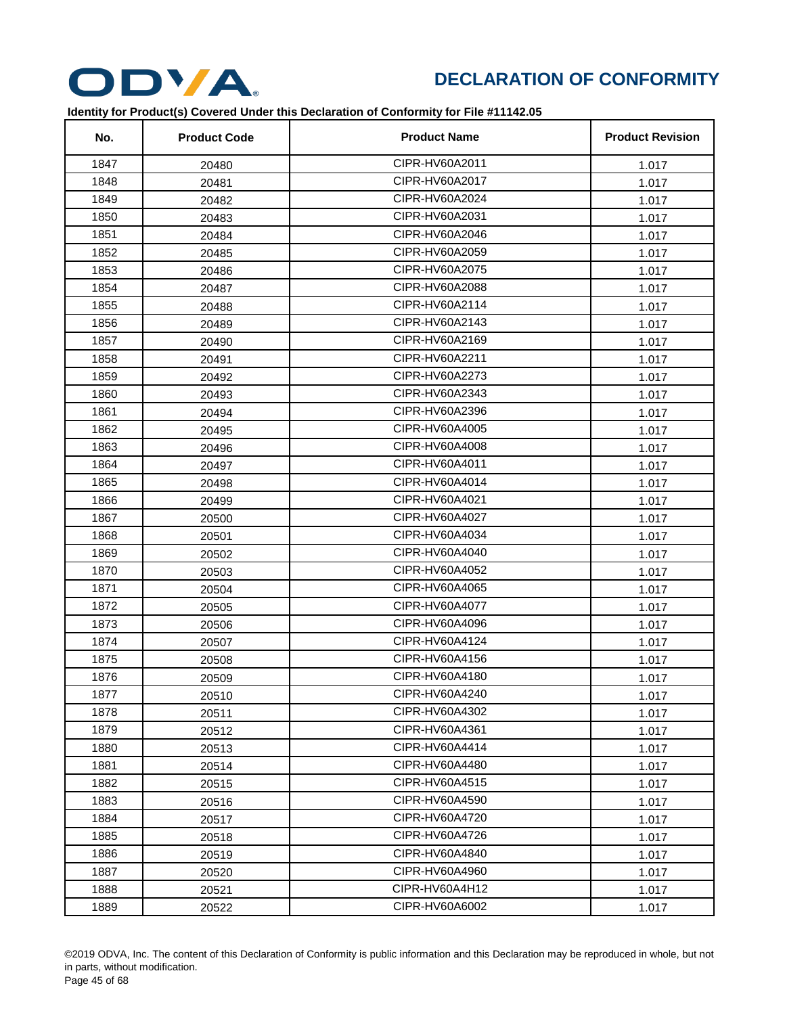

| No.  | <b>Product Code</b> | <b>Product Name</b> | <b>Product Revision</b> |
|------|---------------------|---------------------|-------------------------|
| 1847 | 20480               | CIPR-HV60A2011      | 1.017                   |
| 1848 | 20481               | CIPR-HV60A2017      | 1.017                   |
| 1849 | 20482               | CIPR-HV60A2024      | 1.017                   |
| 1850 | 20483               | CIPR-HV60A2031      | 1.017                   |
| 1851 | 20484               | CIPR-HV60A2046      | 1.017                   |
| 1852 | 20485               | CIPR-HV60A2059      | 1.017                   |
| 1853 | 20486               | CIPR-HV60A2075      | 1.017                   |
| 1854 | 20487               | CIPR-HV60A2088      | 1.017                   |
| 1855 | 20488               | CIPR-HV60A2114      | 1.017                   |
| 1856 | 20489               | CIPR-HV60A2143      | 1.017                   |
| 1857 | 20490               | CIPR-HV60A2169      | 1.017                   |
| 1858 | 20491               | CIPR-HV60A2211      | 1.017                   |
| 1859 | 20492               | CIPR-HV60A2273      | 1.017                   |
| 1860 | 20493               | CIPR-HV60A2343      | 1.017                   |
| 1861 | 20494               | CIPR-HV60A2396      | 1.017                   |
| 1862 | 20495               | CIPR-HV60A4005      | 1.017                   |
| 1863 | 20496               | CIPR-HV60A4008      | 1.017                   |
| 1864 | 20497               | CIPR-HV60A4011      | 1.017                   |
| 1865 | 20498               | CIPR-HV60A4014      | 1.017                   |
| 1866 | 20499               | CIPR-HV60A4021      | 1.017                   |
| 1867 | 20500               | CIPR-HV60A4027      | 1.017                   |
| 1868 | 20501               | CIPR-HV60A4034      | 1.017                   |
| 1869 | 20502               | CIPR-HV60A4040      | 1.017                   |
| 1870 | 20503               | CIPR-HV60A4052      | 1.017                   |
| 1871 | 20504               | CIPR-HV60A4065      | 1.017                   |
| 1872 | 20505               | CIPR-HV60A4077      | 1.017                   |
| 1873 | 20506               | CIPR-HV60A4096      | 1.017                   |
| 1874 | 20507               | CIPR-HV60A4124      | 1.017                   |
| 1875 | 20508               | CIPR-HV60A4156      | 1.017                   |
| 1876 | 20509               | CIPR-HV60A4180      | 1.017                   |
| 1877 | 20510               | CIPR-HV60A4240      | 1.017                   |
| 1878 | 20511               | CIPR-HV60A4302      | 1.017                   |
| 1879 | 20512               | CIPR-HV60A4361      | 1.017                   |
| 1880 | 20513               | CIPR-HV60A4414      | 1.017                   |
| 1881 | 20514               | CIPR-HV60A4480      | 1.017                   |
| 1882 | 20515               | CIPR-HV60A4515      | 1.017                   |
| 1883 | 20516               | CIPR-HV60A4590      | 1.017                   |
| 1884 | 20517               | CIPR-HV60A4720      | 1.017                   |
| 1885 | 20518               | CIPR-HV60A4726      | 1.017                   |
| 1886 | 20519               | CIPR-HV60A4840      | 1.017                   |
| 1887 | 20520               | CIPR-HV60A4960      | 1.017                   |
| 1888 | 20521               | CIPR-HV60A4H12      | 1.017                   |
| 1889 | 20522               | CIPR-HV60A6002      | 1.017                   |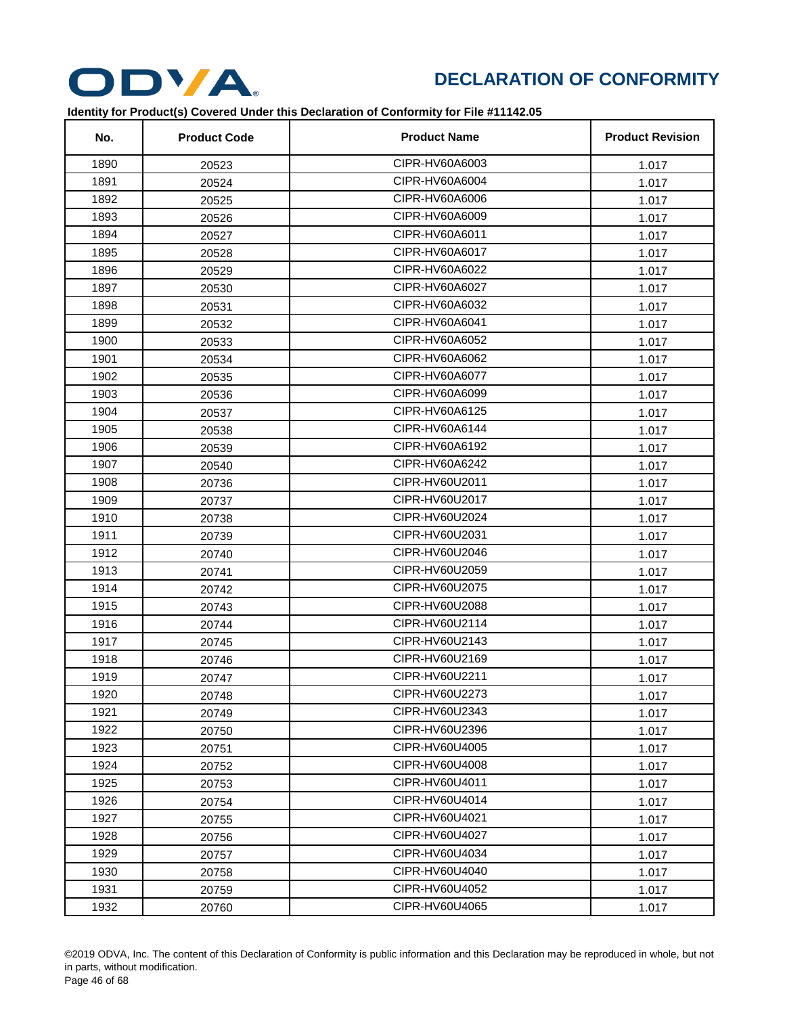

| No.  | <b>Product Code</b> | <b>Product Name</b> | <b>Product Revision</b> |
|------|---------------------|---------------------|-------------------------|
| 1890 | 20523               | CIPR-HV60A6003      | 1.017                   |
| 1891 | 20524               | CIPR-HV60A6004      | 1.017                   |
| 1892 | 20525               | CIPR-HV60A6006      | 1.017                   |
| 1893 | 20526               | CIPR-HV60A6009      | 1.017                   |
| 1894 | 20527               | CIPR-HV60A6011      | 1.017                   |
| 1895 | 20528               | CIPR-HV60A6017      | 1.017                   |
| 1896 | 20529               | CIPR-HV60A6022      | 1.017                   |
| 1897 | 20530               | CIPR-HV60A6027      | 1.017                   |
| 1898 | 20531               | CIPR-HV60A6032      | 1.017                   |
| 1899 | 20532               | CIPR-HV60A6041      | 1.017                   |
| 1900 | 20533               | CIPR-HV60A6052      | 1.017                   |
| 1901 | 20534               | CIPR-HV60A6062      | 1.017                   |
| 1902 | 20535               | CIPR-HV60A6077      | 1.017                   |
| 1903 | 20536               | CIPR-HV60A6099      | 1.017                   |
| 1904 | 20537               | CIPR-HV60A6125      | 1.017                   |
| 1905 | 20538               | CIPR-HV60A6144      | 1.017                   |
| 1906 | 20539               | CIPR-HV60A6192      | 1.017                   |
| 1907 | 20540               | CIPR-HV60A6242      | 1.017                   |
| 1908 | 20736               | CIPR-HV60U2011      | 1.017                   |
| 1909 | 20737               | CIPR-HV60U2017      | 1.017                   |
| 1910 | 20738               | CIPR-HV60U2024      | 1.017                   |
| 1911 | 20739               | CIPR-HV60U2031      | 1.017                   |
| 1912 | 20740               | CIPR-HV60U2046      | 1.017                   |
| 1913 | 20741               | CIPR-HV60U2059      | 1.017                   |
| 1914 | 20742               | CIPR-HV60U2075      | 1.017                   |
| 1915 | 20743               | CIPR-HV60U2088      | 1.017                   |
| 1916 | 20744               | CIPR-HV60U2114      | 1.017                   |
| 1917 | 20745               | CIPR-HV60U2143      | 1.017                   |
| 1918 | 20746               | CIPR-HV60U2169      | 1.017                   |
| 1919 | 20747               | CIPR-HV60U2211      | 1.017                   |
| 1920 | 20748               | CIPR-HV60U2273      | 1.017                   |
| 1921 | 20749               | CIPR-HV60U2343      | 1.017                   |
| 1922 | 20750               | CIPR-HV60U2396      | 1.017                   |
| 1923 | 20751               | CIPR-HV60U4005      | 1.017                   |
| 1924 | 20752               | CIPR-HV60U4008      | 1.017                   |
| 1925 | 20753               | CIPR-HV60U4011      | 1.017                   |
| 1926 | 20754               | CIPR-HV60U4014      | 1.017                   |
| 1927 | 20755               | CIPR-HV60U4021      | 1.017                   |
| 1928 | 20756               | CIPR-HV60U4027      | 1.017                   |
| 1929 | 20757               | CIPR-HV60U4034      | 1.017                   |
| 1930 | 20758               | CIPR-HV60U4040      | 1.017                   |
| 1931 | 20759               | CIPR-HV60U4052      | 1.017                   |
| 1932 | 20760               | CIPR-HV60U4065      | 1.017                   |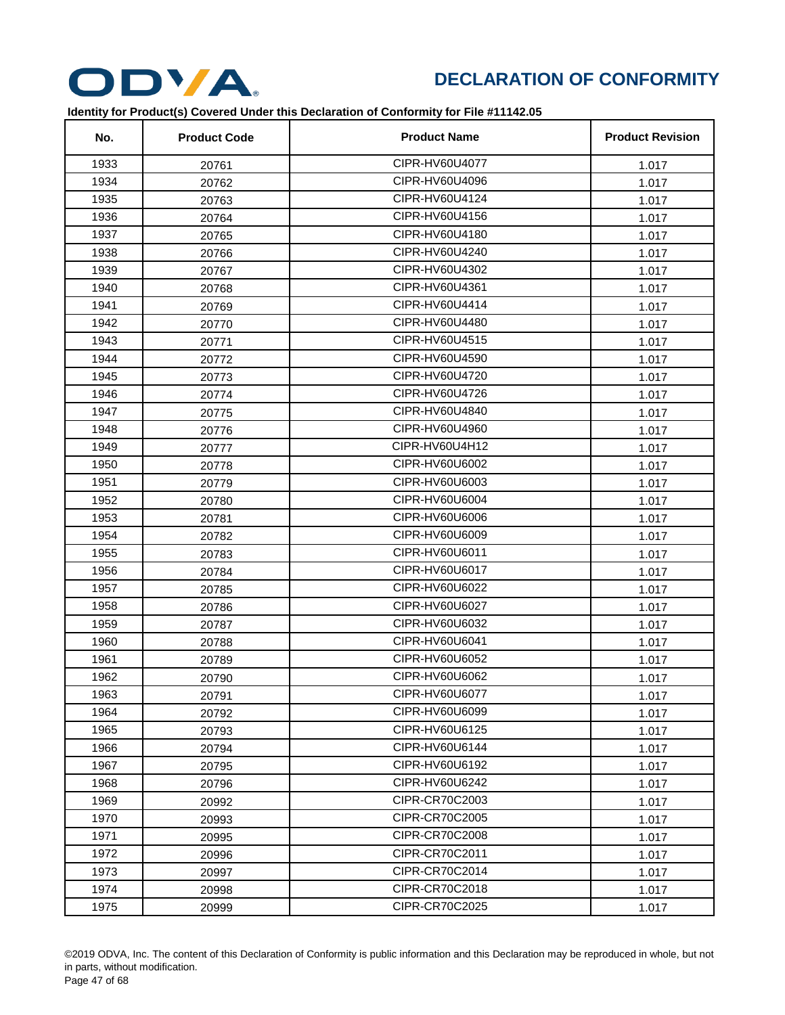

| No.  | <b>Product Code</b> | <b>Product Name</b> | <b>Product Revision</b> |
|------|---------------------|---------------------|-------------------------|
| 1933 | 20761               | CIPR-HV60U4077      | 1.017                   |
| 1934 | 20762               | CIPR-HV60U4096      | 1.017                   |
| 1935 | 20763               | CIPR-HV60U4124      | 1.017                   |
| 1936 | 20764               | CIPR-HV60U4156      | 1.017                   |
| 1937 | 20765               | CIPR-HV60U4180      | 1.017                   |
| 1938 | 20766               | CIPR-HV60U4240      | 1.017                   |
| 1939 | 20767               | CIPR-HV60U4302      | 1.017                   |
| 1940 | 20768               | CIPR-HV60U4361      | 1.017                   |
| 1941 | 20769               | CIPR-HV60U4414      | 1.017                   |
| 1942 | 20770               | CIPR-HV60U4480      | 1.017                   |
| 1943 | 20771               | CIPR-HV60U4515      | 1.017                   |
| 1944 | 20772               | CIPR-HV60U4590      | 1.017                   |
| 1945 | 20773               | CIPR-HV60U4720      | 1.017                   |
| 1946 | 20774               | CIPR-HV60U4726      | 1.017                   |
| 1947 | 20775               | CIPR-HV60U4840      | 1.017                   |
| 1948 | 20776               | CIPR-HV60U4960      | 1.017                   |
| 1949 | 20777               | CIPR-HV60U4H12      | 1.017                   |
| 1950 | 20778               | CIPR-HV60U6002      | 1.017                   |
| 1951 | 20779               | CIPR-HV60U6003      | 1.017                   |
| 1952 | 20780               | CIPR-HV60U6004      | 1.017                   |
| 1953 | 20781               | CIPR-HV60U6006      | 1.017                   |
| 1954 | 20782               | CIPR-HV60U6009      | 1.017                   |
| 1955 | 20783               | CIPR-HV60U6011      | 1.017                   |
| 1956 | 20784               | CIPR-HV60U6017      | 1.017                   |
| 1957 | 20785               | CIPR-HV60U6022      | 1.017                   |
| 1958 | 20786               | CIPR-HV60U6027      | 1.017                   |
| 1959 | 20787               | CIPR-HV60U6032      | 1.017                   |
| 1960 | 20788               | CIPR-HV60U6041      | 1.017                   |
| 1961 | 20789               | CIPR-HV60U6052      | 1.017                   |
| 1962 | 20790               | CIPR-HV60U6062      | 1.017                   |
| 1963 | 20791               | CIPR-HV60U6077      | 1.017                   |
| 1964 | 20792               | CIPR-HV60U6099      | 1.017                   |
| 1965 | 20793               | CIPR-HV60U6125      | 1.017                   |
| 1966 | 20794               | CIPR-HV60U6144      | 1.017                   |
| 1967 | 20795               | CIPR-HV60U6192      | 1.017                   |
| 1968 | 20796               | CIPR-HV60U6242      | 1.017                   |
| 1969 | 20992               | CIPR-CR70C2003      | 1.017                   |
| 1970 | 20993               | CIPR-CR70C2005      | 1.017                   |
| 1971 | 20995               | CIPR-CR70C2008      | 1.017                   |
| 1972 | 20996               | CIPR-CR70C2011      | 1.017                   |
| 1973 | 20997               | CIPR-CR70C2014      | 1.017                   |
| 1974 | 20998               | CIPR-CR70C2018      | 1.017                   |
| 1975 | 20999               | CIPR-CR70C2025      | 1.017                   |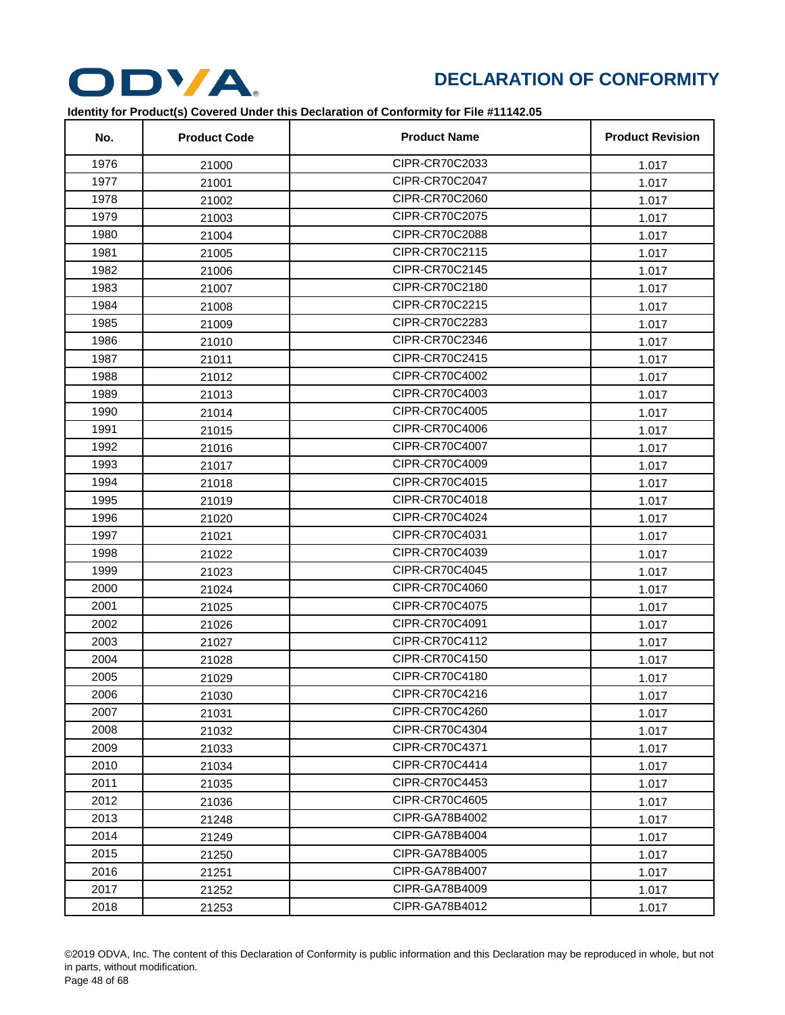

| No.  | <b>Product Code</b> | <b>Product Name</b> | <b>Product Revision</b> |
|------|---------------------|---------------------|-------------------------|
| 1976 | 21000               | CIPR-CR70C2033      | 1.017                   |
| 1977 | 21001               | CIPR-CR70C2047      | 1.017                   |
| 1978 | 21002               | CIPR-CR70C2060      | 1.017                   |
| 1979 | 21003               | CIPR-CR70C2075      | 1.017                   |
| 1980 | 21004               | CIPR-CR70C2088      | 1.017                   |
| 1981 | 21005               | CIPR-CR70C2115      | 1.017                   |
| 1982 | 21006               | CIPR-CR70C2145      | 1.017                   |
| 1983 | 21007               | CIPR-CR70C2180      | 1.017                   |
| 1984 | 21008               | CIPR-CR70C2215      | 1.017                   |
| 1985 | 21009               | CIPR-CR70C2283      | 1.017                   |
| 1986 | 21010               | CIPR-CR70C2346      | 1.017                   |
| 1987 | 21011               | CIPR-CR70C2415      | 1.017                   |
| 1988 | 21012               | CIPR-CR70C4002      | 1.017                   |
| 1989 | 21013               | CIPR-CR70C4003      | 1.017                   |
| 1990 | 21014               | CIPR-CR70C4005      | 1.017                   |
| 1991 | 21015               | CIPR-CR70C4006      | 1.017                   |
| 1992 | 21016               | CIPR-CR70C4007      | 1.017                   |
| 1993 | 21017               | CIPR-CR70C4009      | 1.017                   |
| 1994 | 21018               | CIPR-CR70C4015      | 1.017                   |
| 1995 | 21019               | CIPR-CR70C4018      | 1.017                   |
| 1996 | 21020               | CIPR-CR70C4024      | 1.017                   |
| 1997 | 21021               | CIPR-CR70C4031      | 1.017                   |
| 1998 | 21022               | CIPR-CR70C4039      | 1.017                   |
| 1999 | 21023               | CIPR-CR70C4045      | 1.017                   |
| 2000 | 21024               | CIPR-CR70C4060      | 1.017                   |
| 2001 | 21025               | CIPR-CR70C4075      | 1.017                   |
| 2002 | 21026               | CIPR-CR70C4091      | 1.017                   |
| 2003 | 21027               | CIPR-CR70C4112      | 1.017                   |
| 2004 | 21028               | CIPR-CR70C4150      | 1.017                   |
| 2005 | 21029               | CIPR-CR70C4180      | 1.017                   |
| 2006 | 21030               | CIPR-CR70C4216      | 1.017                   |
| 2007 | 21031               | CIPR-CR70C4260      | 1.017                   |
| 2008 | 21032               | CIPR-CR70C4304      | 1.017                   |
| 2009 | 21033               | CIPR-CR70C4371      | 1.017                   |
| 2010 | 21034               | CIPR-CR70C4414      | 1.017                   |
| 2011 | 21035               | CIPR-CR70C4453      | 1.017                   |
| 2012 | 21036               | CIPR-CR70C4605      | 1.017                   |
| 2013 | 21248               | CIPR-GA78B4002      | 1.017                   |
| 2014 | 21249               | CIPR-GA78B4004      | 1.017                   |
| 2015 | 21250               | CIPR-GA78B4005      | 1.017                   |
| 2016 | 21251               | CIPR-GA78B4007      | 1.017                   |
| 2017 | 21252               | CIPR-GA78B4009      | 1.017                   |
| 2018 | 21253               | CIPR-GA78B4012      | 1.017                   |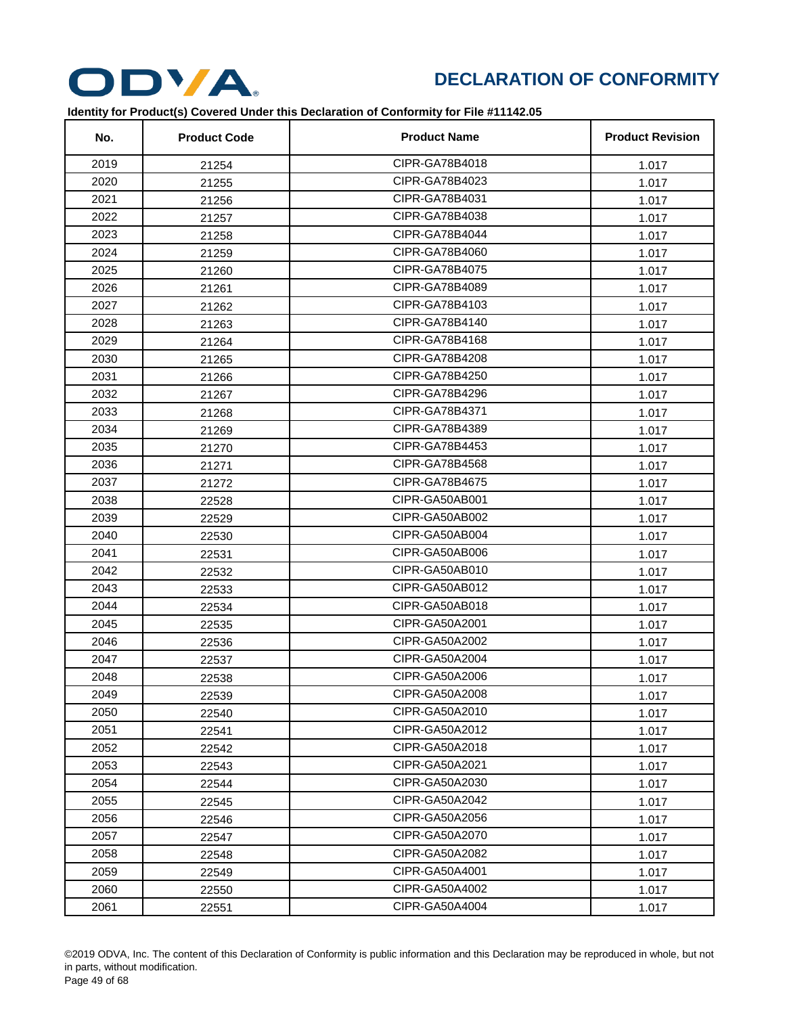

| No.  | <b>Product Code</b> | <b>Product Name</b> | <b>Product Revision</b> |
|------|---------------------|---------------------|-------------------------|
| 2019 | 21254               | CIPR-GA78B4018      | 1.017                   |
| 2020 | 21255               | CIPR-GA78B4023      | 1.017                   |
| 2021 | 21256               | CIPR-GA78B4031      | 1.017                   |
| 2022 | 21257               | CIPR-GA78B4038      | 1.017                   |
| 2023 | 21258               | CIPR-GA78B4044      | 1.017                   |
| 2024 | 21259               | CIPR-GA78B4060      | 1.017                   |
| 2025 | 21260               | CIPR-GA78B4075      | 1.017                   |
| 2026 | 21261               | CIPR-GA78B4089      | 1.017                   |
| 2027 | 21262               | CIPR-GA78B4103      | 1.017                   |
| 2028 | 21263               | CIPR-GA78B4140      | 1.017                   |
| 2029 | 21264               | CIPR-GA78B4168      | 1.017                   |
| 2030 | 21265               | CIPR-GA78B4208      | 1.017                   |
| 2031 | 21266               | CIPR-GA78B4250      | 1.017                   |
| 2032 | 21267               | CIPR-GA78B4296      | 1.017                   |
| 2033 | 21268               | CIPR-GA78B4371      | 1.017                   |
| 2034 | 21269               | CIPR-GA78B4389      | 1.017                   |
| 2035 | 21270               | CIPR-GA78B4453      | 1.017                   |
| 2036 | 21271               | CIPR-GA78B4568      | 1.017                   |
| 2037 | 21272               | CIPR-GA78B4675      | 1.017                   |
| 2038 | 22528               | CIPR-GA50AB001      | 1.017                   |
| 2039 | 22529               | CIPR-GA50AB002      | 1.017                   |
| 2040 | 22530               | CIPR-GA50AB004      | 1.017                   |
| 2041 | 22531               | CIPR-GA50AB006      | 1.017                   |
| 2042 | 22532               | CIPR-GA50AB010      | 1.017                   |
| 2043 | 22533               | CIPR-GA50AB012      | 1.017                   |
| 2044 | 22534               | CIPR-GA50AB018      | 1.017                   |
| 2045 | 22535               | CIPR-GA50A2001      | 1.017                   |
| 2046 | 22536               | CIPR-GA50A2002      | 1.017                   |
| 2047 | 22537               | CIPR-GA50A2004      | 1.017                   |
| 2048 | 22538               | CIPR-GA50A2006      | 1.017                   |
| 2049 | 22539               | CIPR-GA50A2008      | 1.017                   |
| 2050 | 22540               | CIPR-GA50A2010      | 1.017                   |
| 2051 | 22541               | CIPR-GA50A2012      | 1.017                   |
| 2052 | 22542               | CIPR-GA50A2018      | 1.017                   |
| 2053 | 22543               | CIPR-GA50A2021      | 1.017                   |
| 2054 | 22544               | CIPR-GA50A2030      | 1.017                   |
| 2055 | 22545               | CIPR-GA50A2042      | 1.017                   |
| 2056 | 22546               | CIPR-GA50A2056      | 1.017                   |
| 2057 | 22547               | CIPR-GA50A2070      | 1.017                   |
| 2058 | 22548               | CIPR-GA50A2082      | 1.017                   |
| 2059 | 22549               | CIPR-GA50A4001      | 1.017                   |
| 2060 | 22550               | CIPR-GA50A4002      | 1.017                   |
| 2061 | 22551               | CIPR-GA50A4004      | 1.017                   |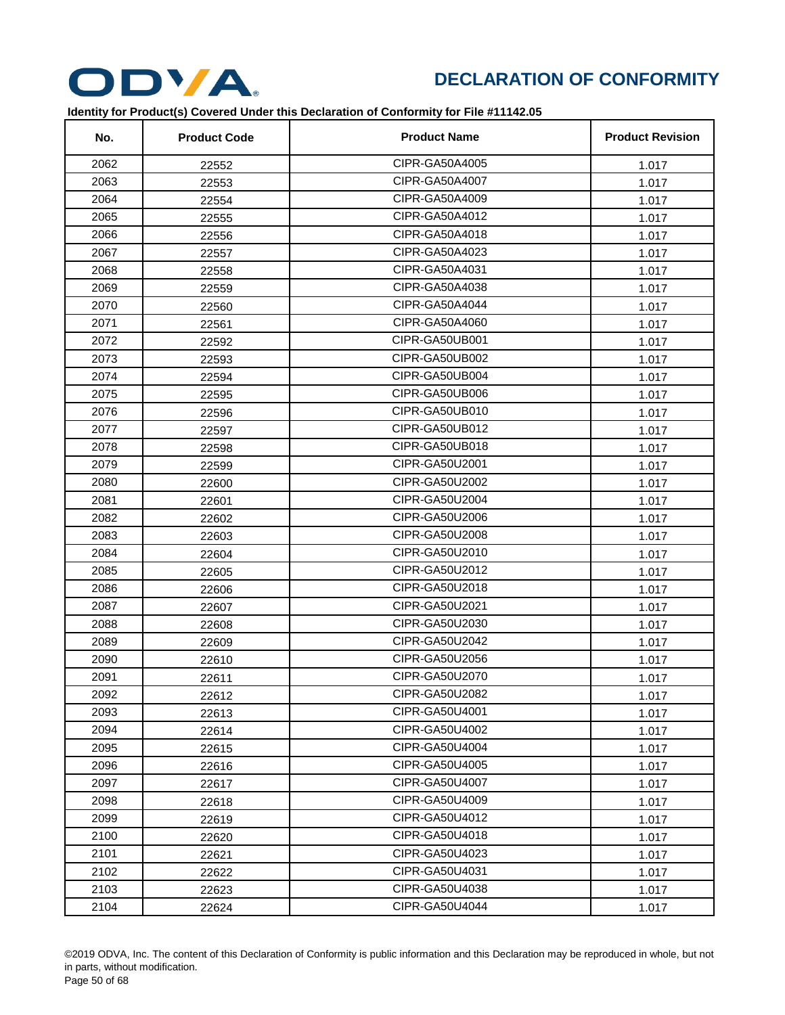

| No.  | <b>Product Code</b> | <b>Product Name</b> | <b>Product Revision</b> |
|------|---------------------|---------------------|-------------------------|
| 2062 | 22552               | CIPR-GA50A4005      | 1.017                   |
| 2063 | 22553               | CIPR-GA50A4007      | 1.017                   |
| 2064 | 22554               | CIPR-GA50A4009      | 1.017                   |
| 2065 | 22555               | CIPR-GA50A4012      | 1.017                   |
| 2066 | 22556               | CIPR-GA50A4018      | 1.017                   |
| 2067 | 22557               | CIPR-GA50A4023      | 1.017                   |
| 2068 | 22558               | CIPR-GA50A4031      | 1.017                   |
| 2069 | 22559               | CIPR-GA50A4038      | 1.017                   |
| 2070 | 22560               | CIPR-GA50A4044      | 1.017                   |
| 2071 | 22561               | CIPR-GA50A4060      | 1.017                   |
| 2072 | 22592               | CIPR-GA50UB001      | 1.017                   |
| 2073 | 22593               | CIPR-GA50UB002      | 1.017                   |
| 2074 | 22594               | CIPR-GA50UB004      | 1.017                   |
| 2075 | 22595               | CIPR-GA50UB006      | 1.017                   |
| 2076 | 22596               | CIPR-GA50UB010      | 1.017                   |
| 2077 | 22597               | CIPR-GA50UB012      | 1.017                   |
| 2078 | 22598               | CIPR-GA50UB018      | 1.017                   |
| 2079 | 22599               | CIPR-GA50U2001      | 1.017                   |
| 2080 | 22600               | CIPR-GA50U2002      | 1.017                   |
| 2081 | 22601               | CIPR-GA50U2004      | 1.017                   |
| 2082 | 22602               | CIPR-GA50U2006      | 1.017                   |
| 2083 | 22603               | CIPR-GA50U2008      | 1.017                   |
| 2084 | 22604               | CIPR-GA50U2010      | 1.017                   |
| 2085 | 22605               | CIPR-GA50U2012      | 1.017                   |
| 2086 | 22606               | CIPR-GA50U2018      | 1.017                   |
| 2087 | 22607               | CIPR-GA50U2021      | 1.017                   |
| 2088 | 22608               | CIPR-GA50U2030      | 1.017                   |
| 2089 | 22609               | CIPR-GA50U2042      | 1.017                   |
| 2090 | 22610               | CIPR-GA50U2056      | 1.017                   |
| 2091 | 22611               | CIPR-GA50U2070      | 1.017                   |
| 2092 | 22612               | CIPR-GA50U2082      | 1.017                   |
| 2093 | 22613               | CIPR-GA50U4001      | 1.017                   |
| 2094 | 22614               | CIPR-GA50U4002      | 1.017                   |
| 2095 | 22615               | CIPR-GA50U4004      | 1.017                   |
| 2096 | 22616               | CIPR-GA50U4005      | 1.017                   |
| 2097 | 22617               | CIPR-GA50U4007      | 1.017                   |
| 2098 | 22618               | CIPR-GA50U4009      | 1.017                   |
| 2099 | 22619               | CIPR-GA50U4012      | 1.017                   |
| 2100 | 22620               | CIPR-GA50U4018      | 1.017                   |
| 2101 | 22621               | CIPR-GA50U4023      | 1.017                   |
| 2102 | 22622               | CIPR-GA50U4031      | 1.017                   |
| 2103 | 22623               | CIPR-GA50U4038      | 1.017                   |
| 2104 | 22624               | CIPR-GA50U4044      | 1.017                   |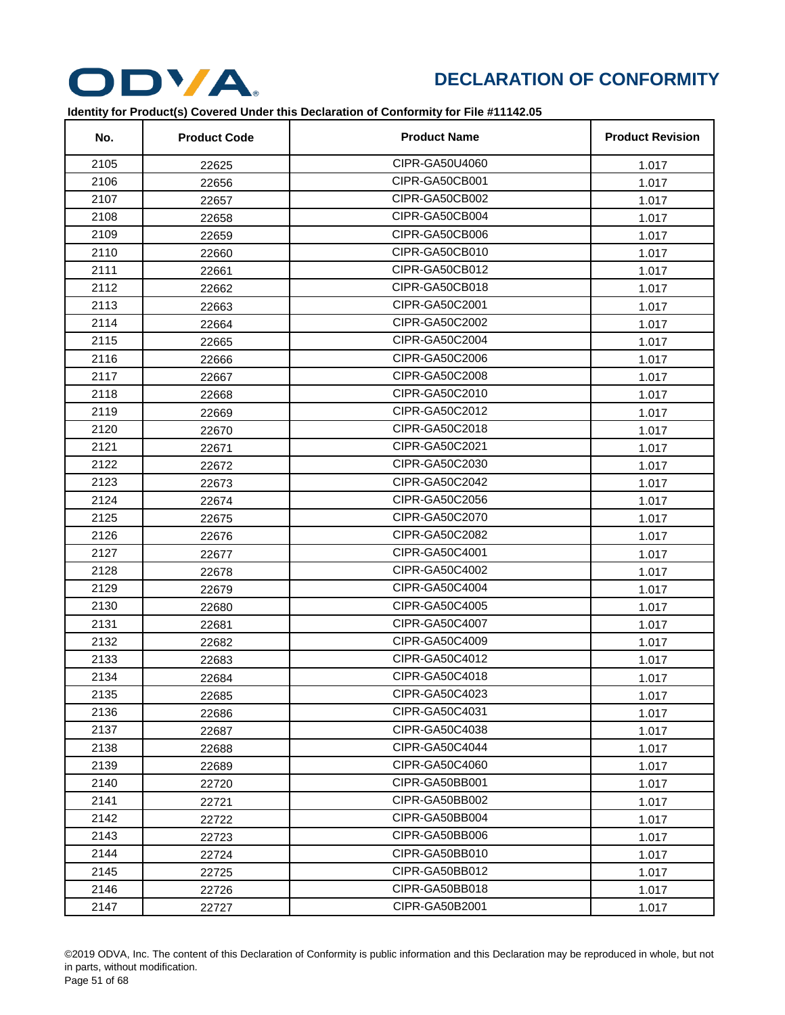

| No.  | <b>Product Code</b> | <b>Product Name</b> | <b>Product Revision</b> |
|------|---------------------|---------------------|-------------------------|
| 2105 | 22625               | CIPR-GA50U4060      | 1.017                   |
| 2106 | 22656               | CIPR-GA50CB001      | 1.017                   |
| 2107 | 22657               | CIPR-GA50CB002      | 1.017                   |
| 2108 | 22658               | CIPR-GA50CB004      | 1.017                   |
| 2109 | 22659               | CIPR-GA50CB006      | 1.017                   |
| 2110 | 22660               | CIPR-GA50CB010      | 1.017                   |
| 2111 | 22661               | CIPR-GA50CB012      | 1.017                   |
| 2112 | 22662               | CIPR-GA50CB018      | 1.017                   |
| 2113 | 22663               | CIPR-GA50C2001      | 1.017                   |
| 2114 | 22664               | CIPR-GA50C2002      | 1.017                   |
| 2115 | 22665               | CIPR-GA50C2004      | 1.017                   |
| 2116 | 22666               | CIPR-GA50C2006      | 1.017                   |
| 2117 | 22667               | CIPR-GA50C2008      | 1.017                   |
| 2118 | 22668               | CIPR-GA50C2010      | 1.017                   |
| 2119 | 22669               | CIPR-GA50C2012      | 1.017                   |
| 2120 | 22670               | CIPR-GA50C2018      | 1.017                   |
| 2121 | 22671               | CIPR-GA50C2021      | 1.017                   |
| 2122 | 22672               | CIPR-GA50C2030      | 1.017                   |
| 2123 | 22673               | CIPR-GA50C2042      | 1.017                   |
| 2124 | 22674               | CIPR-GA50C2056      | 1.017                   |
| 2125 | 22675               | CIPR-GA50C2070      | 1.017                   |
| 2126 | 22676               | CIPR-GA50C2082      | 1.017                   |
| 2127 | 22677               | CIPR-GA50C4001      | 1.017                   |
| 2128 | 22678               | CIPR-GA50C4002      | 1.017                   |
| 2129 | 22679               | CIPR-GA50C4004      | 1.017                   |
| 2130 | 22680               | CIPR-GA50C4005      | 1.017                   |
| 2131 | 22681               | CIPR-GA50C4007      | 1.017                   |
| 2132 | 22682               | CIPR-GA50C4009      | 1.017                   |
| 2133 | 22683               | CIPR-GA50C4012      | 1.017                   |
| 2134 | 22684               | CIPR-GA50C4018      | 1.017                   |
| 2135 | 22685               | CIPR-GA50C4023      | 1.017                   |
| 2136 | 22686               | CIPR-GA50C4031      | 1.017                   |
| 2137 | 22687               | CIPR-GA50C4038      | 1.017                   |
| 2138 | 22688               | CIPR-GA50C4044      | 1.017                   |
| 2139 | 22689               | CIPR-GA50C4060      | 1.017                   |
| 2140 | 22720               | CIPR-GA50BB001      | 1.017                   |
| 2141 | 22721               | CIPR-GA50BB002      | 1.017                   |
| 2142 | 22722               | CIPR-GA50BB004      | 1.017                   |
| 2143 | 22723               | CIPR-GA50BB006      | 1.017                   |
| 2144 | 22724               | CIPR-GA50BB010      | 1.017                   |
| 2145 | 22725               | CIPR-GA50BB012      | 1.017                   |
| 2146 | 22726               | CIPR-GA50BB018      | 1.017                   |
| 2147 | 22727               | CIPR-GA50B2001      | 1.017                   |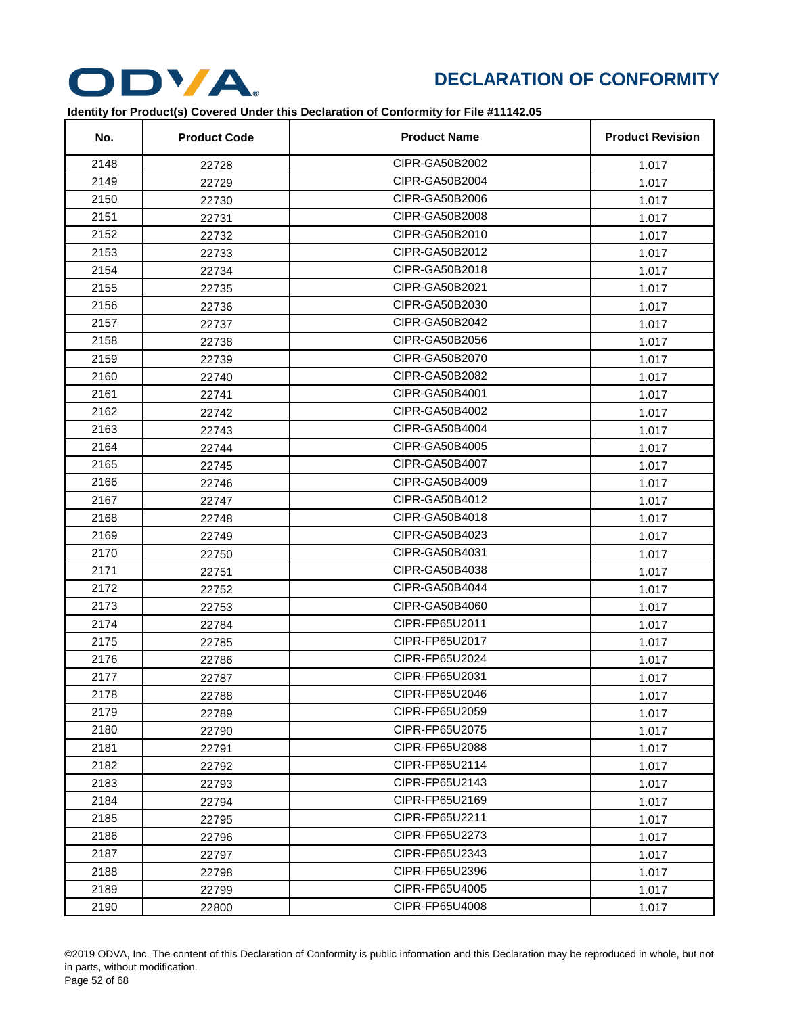

| No.  | <b>Product Code</b> | <b>Product Name</b> | <b>Product Revision</b> |
|------|---------------------|---------------------|-------------------------|
| 2148 | 22728               | CIPR-GA50B2002      | 1.017                   |
| 2149 | 22729               | CIPR-GA50B2004      | 1.017                   |
| 2150 | 22730               | CIPR-GA50B2006      | 1.017                   |
| 2151 | 22731               | CIPR-GA50B2008      | 1.017                   |
| 2152 | 22732               | CIPR-GA50B2010      | 1.017                   |
| 2153 | 22733               | CIPR-GA50B2012      | 1.017                   |
| 2154 | 22734               | CIPR-GA50B2018      | 1.017                   |
| 2155 | 22735               | CIPR-GA50B2021      | 1.017                   |
| 2156 | 22736               | CIPR-GA50B2030      | 1.017                   |
| 2157 | 22737               | CIPR-GA50B2042      | 1.017                   |
| 2158 | 22738               | CIPR-GA50B2056      | 1.017                   |
| 2159 | 22739               | CIPR-GA50B2070      | 1.017                   |
| 2160 | 22740               | CIPR-GA50B2082      | 1.017                   |
| 2161 | 22741               | CIPR-GA50B4001      | 1.017                   |
| 2162 | 22742               | CIPR-GA50B4002      | 1.017                   |
| 2163 | 22743               | CIPR-GA50B4004      | 1.017                   |
| 2164 | 22744               | CIPR-GA50B4005      | 1.017                   |
| 2165 | 22745               | CIPR-GA50B4007      | 1.017                   |
| 2166 | 22746               | CIPR-GA50B4009      | 1.017                   |
| 2167 | 22747               | CIPR-GA50B4012      | 1.017                   |
| 2168 | 22748               | CIPR-GA50B4018      | 1.017                   |
| 2169 | 22749               | CIPR-GA50B4023      | 1.017                   |
| 2170 | 22750               | CIPR-GA50B4031      | 1.017                   |
| 2171 | 22751               | CIPR-GA50B4038      | 1.017                   |
| 2172 | 22752               | CIPR-GA50B4044      | 1.017                   |
| 2173 | 22753               | CIPR-GA50B4060      | 1.017                   |
| 2174 | 22784               | CIPR-FP65U2011      | 1.017                   |
| 2175 | 22785               | CIPR-FP65U2017      | 1.017                   |
| 2176 | 22786               | CIPR-FP65U2024      | 1.017                   |
| 2177 | 22787               | CIPR-FP65U2031      | 1.017                   |
| 2178 | 22788               | CIPR-FP65U2046      | 1.017                   |
| 2179 | 22789               | CIPR-FP65U2059      | 1.017                   |
| 2180 | 22790               | CIPR-FP65U2075      | 1.017                   |
| 2181 | 22791               | CIPR-FP65U2088      | 1.017                   |
| 2182 | 22792               | CIPR-FP65U2114      | 1.017                   |
| 2183 | 22793               | CIPR-FP65U2143      | 1.017                   |
| 2184 | 22794               | CIPR-FP65U2169      | 1.017                   |
| 2185 | 22795               | CIPR-FP65U2211      | 1.017                   |
| 2186 | 22796               | CIPR-FP65U2273      | 1.017                   |
| 2187 | 22797               | CIPR-FP65U2343      | 1.017                   |
| 2188 | 22798               | CIPR-FP65U2396      | 1.017                   |
| 2189 | 22799               | CIPR-FP65U4005      | 1.017                   |
| 2190 | 22800               | CIPR-FP65U4008      | 1.017                   |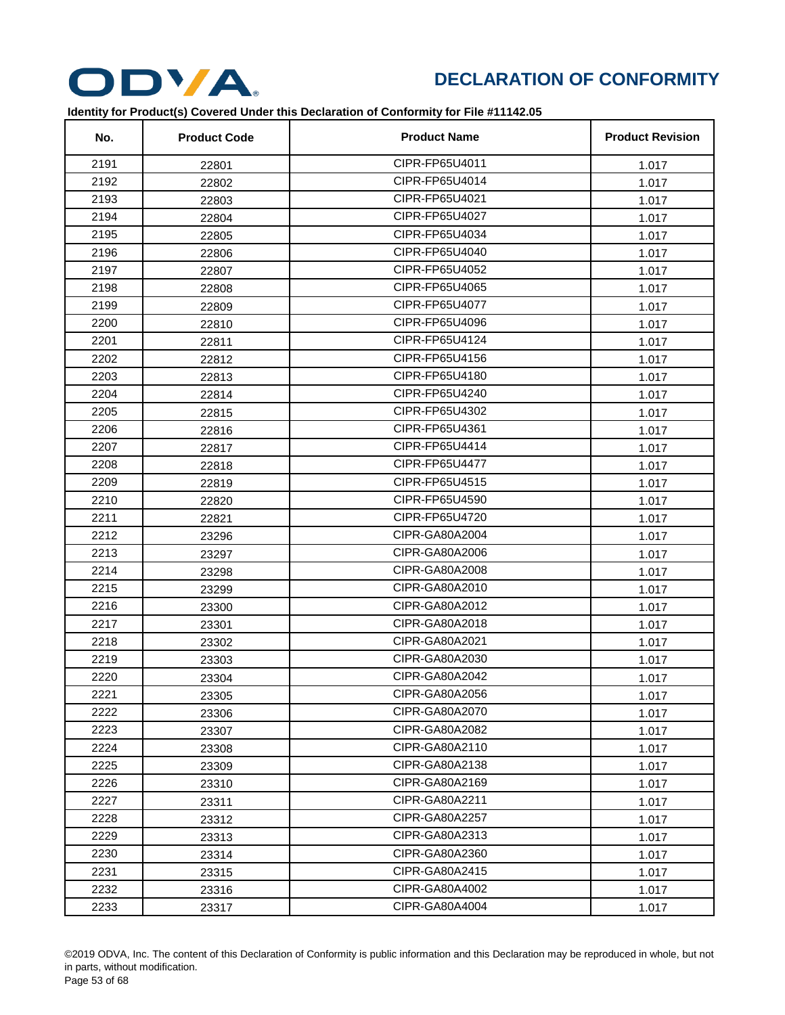

| No.  | <b>Product Code</b> | <b>Product Name</b> | <b>Product Revision</b> |
|------|---------------------|---------------------|-------------------------|
| 2191 | 22801               | CIPR-FP65U4011      | 1.017                   |
| 2192 | 22802               | CIPR-FP65U4014      | 1.017                   |
| 2193 | 22803               | CIPR-FP65U4021      | 1.017                   |
| 2194 | 22804               | CIPR-FP65U4027      | 1.017                   |
| 2195 | 22805               | CIPR-FP65U4034      | 1.017                   |
| 2196 | 22806               | CIPR-FP65U4040      | 1.017                   |
| 2197 | 22807               | CIPR-FP65U4052      | 1.017                   |
| 2198 | 22808               | CIPR-FP65U4065      | 1.017                   |
| 2199 | 22809               | CIPR-FP65U4077      | 1.017                   |
| 2200 | 22810               | CIPR-FP65U4096      | 1.017                   |
| 2201 | 22811               | CIPR-FP65U4124      | 1.017                   |
| 2202 | 22812               | CIPR-FP65U4156      | 1.017                   |
| 2203 | 22813               | CIPR-FP65U4180      | 1.017                   |
| 2204 | 22814               | CIPR-FP65U4240      | 1.017                   |
| 2205 | 22815               | CIPR-FP65U4302      | 1.017                   |
| 2206 | 22816               | CIPR-FP65U4361      | 1.017                   |
| 2207 | 22817               | CIPR-FP65U4414      | 1.017                   |
| 2208 | 22818               | CIPR-FP65U4477      | 1.017                   |
| 2209 | 22819               | CIPR-FP65U4515      | 1.017                   |
| 2210 | 22820               | CIPR-FP65U4590      | 1.017                   |
| 2211 | 22821               | CIPR-FP65U4720      | 1.017                   |
| 2212 | 23296               | CIPR-GA80A2004      | 1.017                   |
| 2213 | 23297               | CIPR-GA80A2006      | 1.017                   |
| 2214 | 23298               | CIPR-GA80A2008      | 1.017                   |
| 2215 | 23299               | CIPR-GA80A2010      | 1.017                   |
| 2216 | 23300               | CIPR-GA80A2012      | 1.017                   |
| 2217 | 23301               | CIPR-GA80A2018      | 1.017                   |
| 2218 | 23302               | CIPR-GA80A2021      | 1.017                   |
| 2219 | 23303               | CIPR-GA80A2030      | 1.017                   |
| 2220 | 23304               | CIPR-GA80A2042      | 1.017                   |
| 2221 | 23305               | CIPR-GA80A2056      | 1.017                   |
| 2222 | 23306               | CIPR-GA80A2070      | 1.017                   |
| 2223 | 23307               | CIPR-GA80A2082      | 1.017                   |
| 2224 | 23308               | CIPR-GA80A2110      | 1.017                   |
| 2225 | 23309               | CIPR-GA80A2138      | 1.017                   |
| 2226 | 23310               | CIPR-GA80A2169      | 1.017                   |
| 2227 | 23311               | CIPR-GA80A2211      | 1.017                   |
| 2228 | 23312               | CIPR-GA80A2257      | 1.017                   |
| 2229 | 23313               | CIPR-GA80A2313      | 1.017                   |
| 2230 | 23314               | CIPR-GA80A2360      | 1.017                   |
| 2231 | 23315               | CIPR-GA80A2415      | 1.017                   |
| 2232 | 23316               | CIPR-GA80A4002      | 1.017                   |
| 2233 | 23317               | CIPR-GA80A4004      | 1.017                   |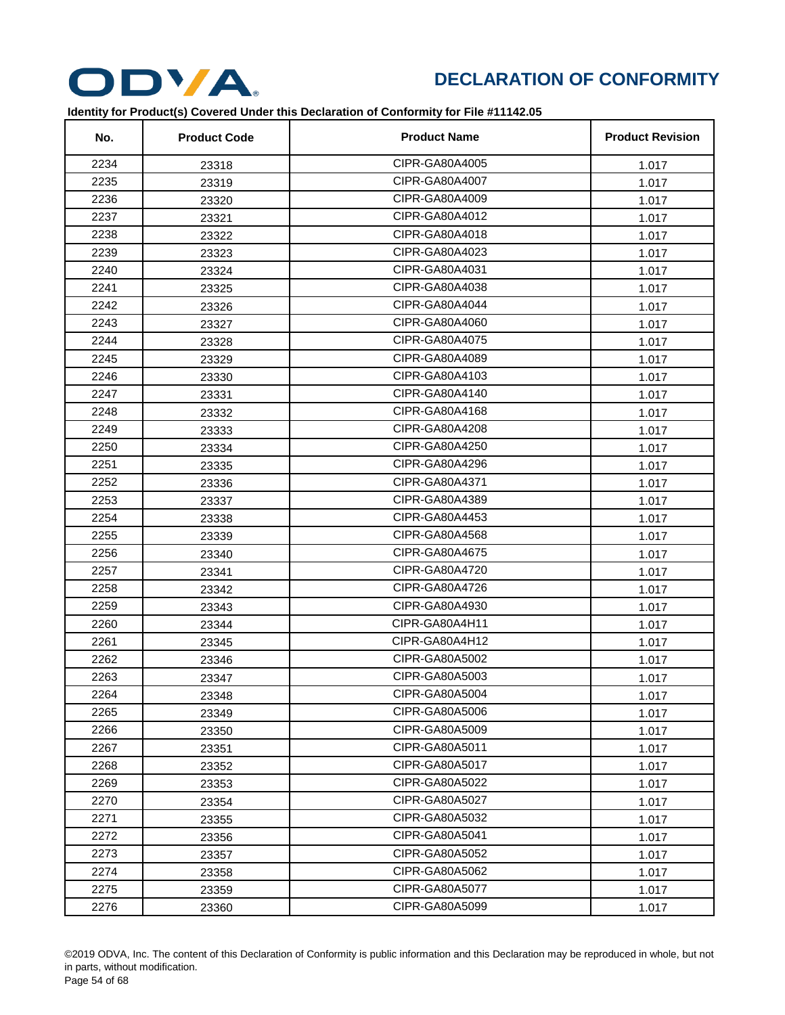

| No.  | <b>Product Code</b> | <b>Product Name</b> | <b>Product Revision</b> |
|------|---------------------|---------------------|-------------------------|
| 2234 | 23318               | CIPR-GA80A4005      | 1.017                   |
| 2235 | 23319               | CIPR-GA80A4007      | 1.017                   |
| 2236 | 23320               | CIPR-GA80A4009      | 1.017                   |
| 2237 | 23321               | CIPR-GA80A4012      | 1.017                   |
| 2238 | 23322               | CIPR-GA80A4018      | 1.017                   |
| 2239 | 23323               | CIPR-GA80A4023      | 1.017                   |
| 2240 | 23324               | CIPR-GA80A4031      | 1.017                   |
| 2241 | 23325               | CIPR-GA80A4038      | 1.017                   |
| 2242 | 23326               | CIPR-GA80A4044      | 1.017                   |
| 2243 | 23327               | CIPR-GA80A4060      | 1.017                   |
| 2244 | 23328               | CIPR-GA80A4075      | 1.017                   |
| 2245 | 23329               | CIPR-GA80A4089      | 1.017                   |
| 2246 | 23330               | CIPR-GA80A4103      | 1.017                   |
| 2247 | 23331               | CIPR-GA80A4140      | 1.017                   |
| 2248 | 23332               | CIPR-GA80A4168      | 1.017                   |
| 2249 | 23333               | CIPR-GA80A4208      | 1.017                   |
| 2250 | 23334               | CIPR-GA80A4250      | 1.017                   |
| 2251 | 23335               | CIPR-GA80A4296      | 1.017                   |
| 2252 | 23336               | CIPR-GA80A4371      | 1.017                   |
| 2253 | 23337               | CIPR-GA80A4389      | 1.017                   |
| 2254 | 23338               | CIPR-GA80A4453      | 1.017                   |
| 2255 | 23339               | CIPR-GA80A4568      | 1.017                   |
| 2256 | 23340               | CIPR-GA80A4675      | 1.017                   |
| 2257 | 23341               | CIPR-GA80A4720      | 1.017                   |
| 2258 | 23342               | CIPR-GA80A4726      | 1.017                   |
| 2259 | 23343               | CIPR-GA80A4930      | 1.017                   |
| 2260 | 23344               | CIPR-GA80A4H11      | 1.017                   |
| 2261 | 23345               | CIPR-GA80A4H12      | 1.017                   |
| 2262 | 23346               | CIPR-GA80A5002      | 1.017                   |
| 2263 | 23347               | CIPR-GA80A5003      | 1.017                   |
| 2264 | 23348               | CIPR-GA80A5004      | 1.017                   |
| 2265 | 23349               | CIPR-GA80A5006      | 1.017                   |
| 2266 | 23350               | CIPR-GA80A5009      | 1.017                   |
| 2267 | 23351               | CIPR-GA80A5011      | 1.017                   |
| 2268 | 23352               | CIPR-GA80A5017      | 1.017                   |
| 2269 | 23353               | CIPR-GA80A5022      | 1.017                   |
| 2270 | 23354               | CIPR-GA80A5027      | 1.017                   |
| 2271 | 23355               | CIPR-GA80A5032      | 1.017                   |
| 2272 | 23356               | CIPR-GA80A5041      | 1.017                   |
| 2273 | 23357               | CIPR-GA80A5052      | 1.017                   |
| 2274 | 23358               | CIPR-GA80A5062      | 1.017                   |
| 2275 | 23359               | CIPR-GA80A5077      | 1.017                   |
| 2276 | 23360               | CIPR-GA80A5099      | 1.017                   |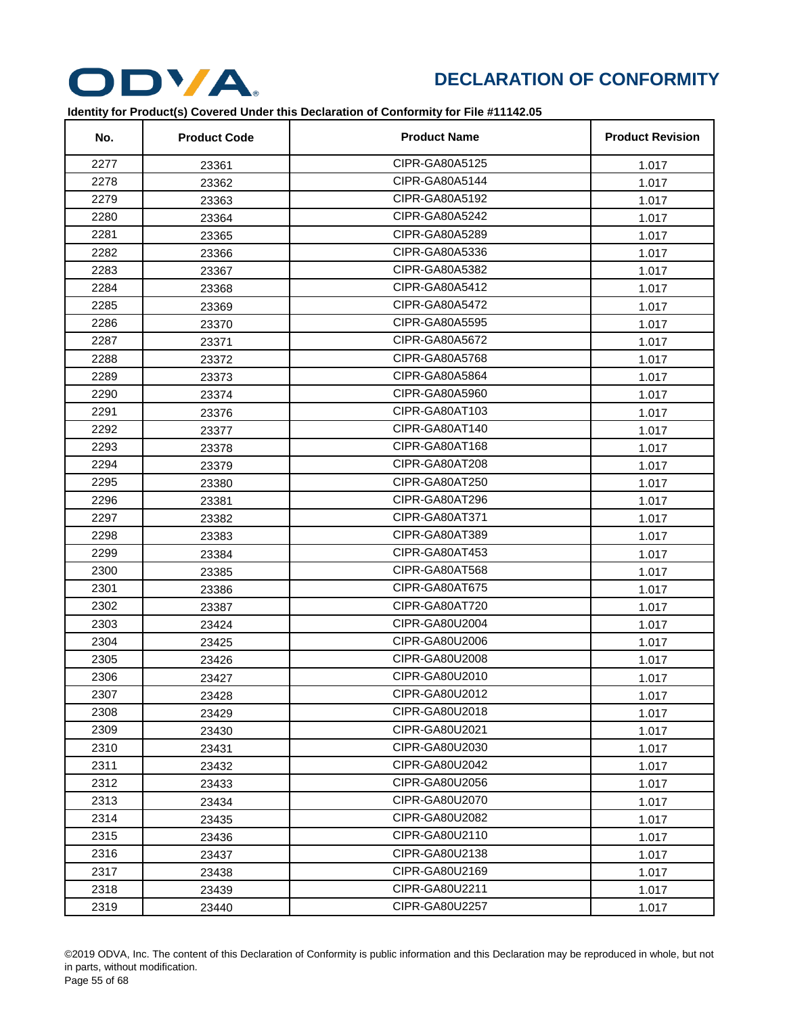

| No.  | <b>Product Code</b> | <b>Product Name</b> | <b>Product Revision</b> |
|------|---------------------|---------------------|-------------------------|
| 2277 | 23361               | CIPR-GA80A5125      | 1.017                   |
| 2278 | 23362               | CIPR-GA80A5144      | 1.017                   |
| 2279 | 23363               | CIPR-GA80A5192      | 1.017                   |
| 2280 | 23364               | CIPR-GA80A5242      | 1.017                   |
| 2281 | 23365               | CIPR-GA80A5289      | 1.017                   |
| 2282 | 23366               | CIPR-GA80A5336      | 1.017                   |
| 2283 | 23367               | CIPR-GA80A5382      | 1.017                   |
| 2284 | 23368               | CIPR-GA80A5412      | 1.017                   |
| 2285 | 23369               | CIPR-GA80A5472      | 1.017                   |
| 2286 | 23370               | CIPR-GA80A5595      | 1.017                   |
| 2287 | 23371               | CIPR-GA80A5672      | 1.017                   |
| 2288 | 23372               | CIPR-GA80A5768      | 1.017                   |
| 2289 | 23373               | CIPR-GA80A5864      | 1.017                   |
| 2290 | 23374               | CIPR-GA80A5960      | 1.017                   |
| 2291 | 23376               | CIPR-GA80AT103      | 1.017                   |
| 2292 | 23377               | CIPR-GA80AT140      | 1.017                   |
| 2293 | 23378               | CIPR-GA80AT168      | 1.017                   |
| 2294 | 23379               | CIPR-GA80AT208      | 1.017                   |
| 2295 | 23380               | CIPR-GA80AT250      | 1.017                   |
| 2296 | 23381               | CIPR-GA80AT296      | 1.017                   |
| 2297 | 23382               | CIPR-GA80AT371      | 1.017                   |
| 2298 | 23383               | CIPR-GA80AT389      | 1.017                   |
| 2299 | 23384               | CIPR-GA80AT453      | 1.017                   |
| 2300 | 23385               | CIPR-GA80AT568      | 1.017                   |
| 2301 | 23386               | CIPR-GA80AT675      | 1.017                   |
| 2302 | 23387               | CIPR-GA80AT720      | 1.017                   |
| 2303 | 23424               | CIPR-GA80U2004      | 1.017                   |
| 2304 | 23425               | CIPR-GA80U2006      | 1.017                   |
| 2305 | 23426               | CIPR-GA80U2008      | 1.017                   |
| 2306 | 23427               | CIPR-GA80U2010      | 1.017                   |
| 2307 | 23428               | CIPR-GA80U2012      | 1.017                   |
| 2308 | 23429               | CIPR-GA80U2018      | 1.017                   |
| 2309 | 23430               | CIPR-GA80U2021      | 1.017                   |
| 2310 | 23431               | CIPR-GA80U2030      | 1.017                   |
| 2311 | 23432               | CIPR-GA80U2042      | 1.017                   |
| 2312 | 23433               | CIPR-GA80U2056      | 1.017                   |
| 2313 | 23434               | CIPR-GA80U2070      | 1.017                   |
| 2314 | 23435               | CIPR-GA80U2082      | 1.017                   |
| 2315 | 23436               | CIPR-GA80U2110      | 1.017                   |
| 2316 | 23437               | CIPR-GA80U2138      | 1.017                   |
| 2317 | 23438               | CIPR-GA80U2169      | 1.017                   |
| 2318 | 23439               | CIPR-GA80U2211      | 1.017                   |
| 2319 | 23440               | CIPR-GA80U2257      | 1.017                   |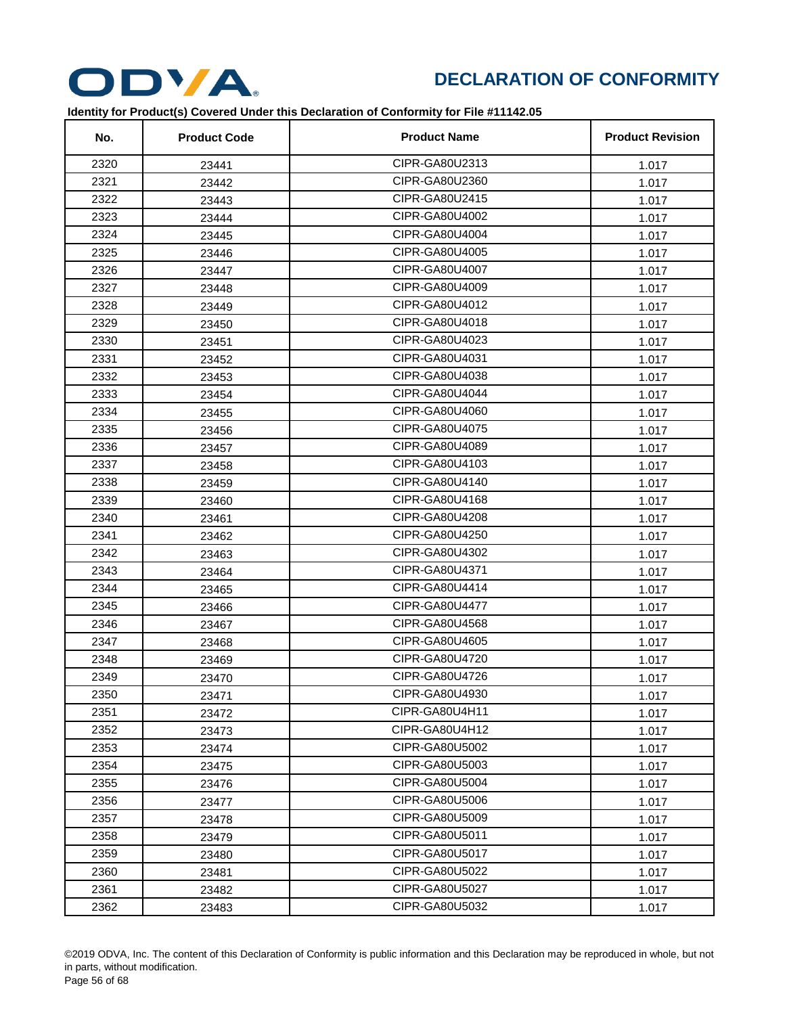

| No.  | <b>Product Code</b> | <b>Product Name</b> | <b>Product Revision</b> |
|------|---------------------|---------------------|-------------------------|
| 2320 | 23441               | CIPR-GA80U2313      | 1.017                   |
| 2321 | 23442               | CIPR-GA80U2360      | 1.017                   |
| 2322 | 23443               | CIPR-GA80U2415      | 1.017                   |
| 2323 | 23444               | CIPR-GA80U4002      | 1.017                   |
| 2324 | 23445               | CIPR-GA80U4004      | 1.017                   |
| 2325 | 23446               | CIPR-GA80U4005      | 1.017                   |
| 2326 | 23447               | CIPR-GA80U4007      | 1.017                   |
| 2327 | 23448               | CIPR-GA80U4009      | 1.017                   |
| 2328 | 23449               | CIPR-GA80U4012      | 1.017                   |
| 2329 | 23450               | CIPR-GA80U4018      | 1.017                   |
| 2330 | 23451               | CIPR-GA80U4023      | 1.017                   |
| 2331 | 23452               | CIPR-GA80U4031      | 1.017                   |
| 2332 | 23453               | CIPR-GA80U4038      | 1.017                   |
| 2333 | 23454               | CIPR-GA80U4044      | 1.017                   |
| 2334 | 23455               | CIPR-GA80U4060      | 1.017                   |
| 2335 | 23456               | CIPR-GA80U4075      | 1.017                   |
| 2336 | 23457               | CIPR-GA80U4089      | 1.017                   |
| 2337 | 23458               | CIPR-GA80U4103      | 1.017                   |
| 2338 | 23459               | CIPR-GA80U4140      | 1.017                   |
| 2339 | 23460               | CIPR-GA80U4168      | 1.017                   |
| 2340 | 23461               | CIPR-GA80U4208      | 1.017                   |
| 2341 | 23462               | CIPR-GA80U4250      | 1.017                   |
| 2342 | 23463               | CIPR-GA80U4302      | 1.017                   |
| 2343 | 23464               | CIPR-GA80U4371      | 1.017                   |
| 2344 | 23465               | CIPR-GA80U4414      | 1.017                   |
| 2345 | 23466               | CIPR-GA80U4477      | 1.017                   |
| 2346 | 23467               | CIPR-GA80U4568      | 1.017                   |
| 2347 | 23468               | CIPR-GA80U4605      | 1.017                   |
| 2348 | 23469               | CIPR-GA80U4720      | 1.017                   |
| 2349 | 23470               | CIPR-GA80U4726      | 1.017                   |
| 2350 | 23471               | CIPR-GA80U4930      | 1.017                   |
| 2351 | 23472               | CIPR-GA80U4H11      | 1.017                   |
| 2352 | 23473               | CIPR-GA80U4H12      | 1.017                   |
| 2353 | 23474               | CIPR-GA80U5002      | 1.017                   |
| 2354 | 23475               | CIPR-GA80U5003      | 1.017                   |
| 2355 | 23476               | CIPR-GA80U5004      | 1.017                   |
| 2356 | 23477               | CIPR-GA80U5006      | 1.017                   |
| 2357 | 23478               | CIPR-GA80U5009      | 1.017                   |
| 2358 | 23479               | CIPR-GA80U5011      | 1.017                   |
| 2359 | 23480               | CIPR-GA80U5017      | 1.017                   |
| 2360 | 23481               | CIPR-GA80U5022      | 1.017                   |
| 2361 | 23482               | CIPR-GA80U5027      | 1.017                   |
| 2362 | 23483               | CIPR-GA80U5032      | 1.017                   |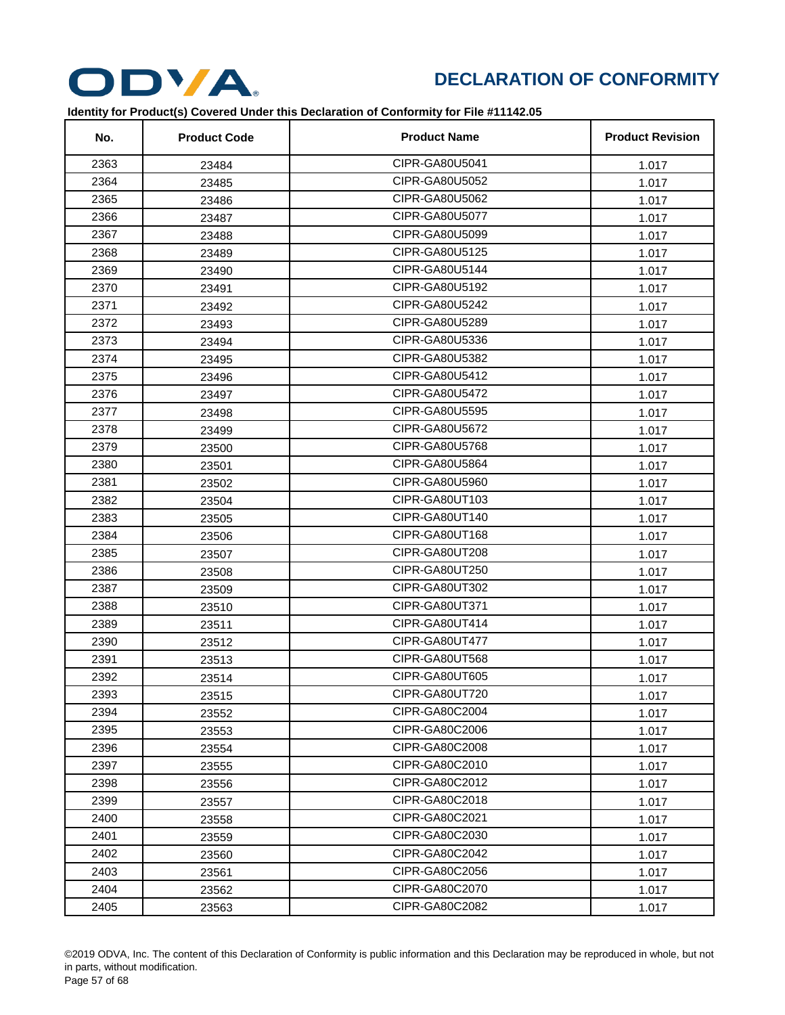

| No.  | <b>Product Code</b> | <b>Product Name</b> | <b>Product Revision</b> |
|------|---------------------|---------------------|-------------------------|
| 2363 | 23484               | CIPR-GA80U5041      | 1.017                   |
| 2364 | 23485               | CIPR-GA80U5052      | 1.017                   |
| 2365 | 23486               | CIPR-GA80U5062      | 1.017                   |
| 2366 | 23487               | CIPR-GA80U5077      | 1.017                   |
| 2367 | 23488               | CIPR-GA80U5099      | 1.017                   |
| 2368 | 23489               | CIPR-GA80U5125      | 1.017                   |
| 2369 | 23490               | CIPR-GA80U5144      | 1.017                   |
| 2370 | 23491               | CIPR-GA80U5192      | 1.017                   |
| 2371 | 23492               | CIPR-GA80U5242      | 1.017                   |
| 2372 | 23493               | CIPR-GA80U5289      | 1.017                   |
| 2373 | 23494               | CIPR-GA80U5336      | 1.017                   |
| 2374 | 23495               | CIPR-GA80U5382      | 1.017                   |
| 2375 | 23496               | CIPR-GA80U5412      | 1.017                   |
| 2376 | 23497               | CIPR-GA80U5472      | 1.017                   |
| 2377 | 23498               | CIPR-GA80U5595      | 1.017                   |
| 2378 | 23499               | CIPR-GA80U5672      | 1.017                   |
| 2379 | 23500               | CIPR-GA80U5768      | 1.017                   |
| 2380 | 23501               | CIPR-GA80U5864      | 1.017                   |
| 2381 | 23502               | CIPR-GA80U5960      | 1.017                   |
| 2382 | 23504               | CIPR-GA80UT103      | 1.017                   |
| 2383 | 23505               | CIPR-GA80UT140      | 1.017                   |
| 2384 | 23506               | CIPR-GA80UT168      | 1.017                   |
| 2385 | 23507               | CIPR-GA80UT208      | 1.017                   |
| 2386 | 23508               | CIPR-GA80UT250      | 1.017                   |
| 2387 | 23509               | CIPR-GA80UT302      | 1.017                   |
| 2388 | 23510               | CIPR-GA80UT371      | 1.017                   |
| 2389 | 23511               | CIPR-GA80UT414      | 1.017                   |
| 2390 | 23512               | CIPR-GA80UT477      | 1.017                   |
| 2391 | 23513               | CIPR-GA80UT568      | 1.017                   |
| 2392 | 23514               | CIPR-GA80UT605      | 1.017                   |
| 2393 | 23515               | CIPR-GA80UT720      | 1.017                   |
| 2394 | 23552               | CIPR-GA80C2004      | 1.017                   |
| 2395 | 23553               | CIPR-GA80C2006      | 1.017                   |
| 2396 | 23554               | CIPR-GA80C2008      | 1.017                   |
| 2397 | 23555               | CIPR-GA80C2010      | 1.017                   |
| 2398 | 23556               | CIPR-GA80C2012      | 1.017                   |
| 2399 | 23557               | CIPR-GA80C2018      | 1.017                   |
| 2400 | 23558               | CIPR-GA80C2021      | 1.017                   |
| 2401 | 23559               | CIPR-GA80C2030      | 1.017                   |
| 2402 | 23560               | CIPR-GA80C2042      | 1.017                   |
| 2403 | 23561               | CIPR-GA80C2056      | 1.017                   |
| 2404 | 23562               | CIPR-GA80C2070      | 1.017                   |
| 2405 | 23563               | CIPR-GA80C2082      | 1.017                   |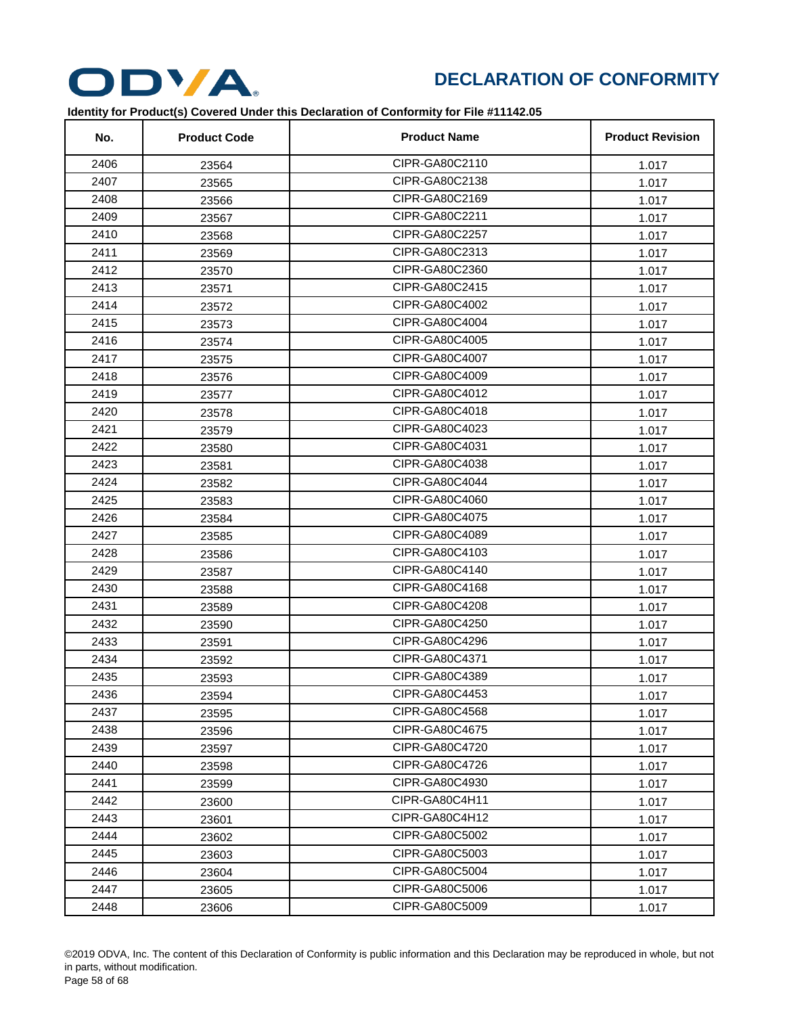

| No.  | <b>Product Code</b> | <b>Product Name</b> | <b>Product Revision</b> |
|------|---------------------|---------------------|-------------------------|
| 2406 | 23564               | CIPR-GA80C2110      | 1.017                   |
| 2407 | 23565               | CIPR-GA80C2138      | 1.017                   |
| 2408 | 23566               | CIPR-GA80C2169      | 1.017                   |
| 2409 | 23567               | CIPR-GA80C2211      | 1.017                   |
| 2410 | 23568               | CIPR-GA80C2257      | 1.017                   |
| 2411 | 23569               | CIPR-GA80C2313      | 1.017                   |
| 2412 | 23570               | CIPR-GA80C2360      | 1.017                   |
| 2413 | 23571               | CIPR-GA80C2415      | 1.017                   |
| 2414 | 23572               | CIPR-GA80C4002      | 1.017                   |
| 2415 | 23573               | CIPR-GA80C4004      | 1.017                   |
| 2416 | 23574               | CIPR-GA80C4005      | 1.017                   |
| 2417 | 23575               | CIPR-GA80C4007      | 1.017                   |
| 2418 | 23576               | CIPR-GA80C4009      | 1.017                   |
| 2419 | 23577               | CIPR-GA80C4012      | 1.017                   |
| 2420 | 23578               | CIPR-GA80C4018      | 1.017                   |
| 2421 | 23579               | CIPR-GA80C4023      | 1.017                   |
| 2422 | 23580               | CIPR-GA80C4031      | 1.017                   |
| 2423 | 23581               | CIPR-GA80C4038      | 1.017                   |
| 2424 | 23582               | CIPR-GA80C4044      | 1.017                   |
| 2425 | 23583               | CIPR-GA80C4060      | 1.017                   |
| 2426 | 23584               | CIPR-GA80C4075      | 1.017                   |
| 2427 | 23585               | CIPR-GA80C4089      | 1.017                   |
| 2428 | 23586               | CIPR-GA80C4103      | 1.017                   |
| 2429 | 23587               | CIPR-GA80C4140      | 1.017                   |
| 2430 | 23588               | CIPR-GA80C4168      | 1.017                   |
| 2431 | 23589               | CIPR-GA80C4208      | 1.017                   |
| 2432 | 23590               | CIPR-GA80C4250      | 1.017                   |
| 2433 | 23591               | CIPR-GA80C4296      | 1.017                   |
| 2434 | 23592               | CIPR-GA80C4371      | 1.017                   |
| 2435 | 23593               | CIPR-GA80C4389      | 1.017                   |
| 2436 | 23594               | CIPR-GA80C4453      | 1.017                   |
| 2437 | 23595               | CIPR-GA80C4568      | 1.017                   |
| 2438 | 23596               | CIPR-GA80C4675      | 1.017                   |
| 2439 | 23597               | CIPR-GA80C4720      | 1.017                   |
| 2440 | 23598               | CIPR-GA80C4726      | 1.017                   |
| 2441 | 23599               | CIPR-GA80C4930      | 1.017                   |
| 2442 | 23600               | CIPR-GA80C4H11      | 1.017                   |
| 2443 | 23601               | CIPR-GA80C4H12      | 1.017                   |
| 2444 | 23602               | CIPR-GA80C5002      | 1.017                   |
| 2445 | 23603               | CIPR-GA80C5003      | 1.017                   |
| 2446 | 23604               | CIPR-GA80C5004      | 1.017                   |
| 2447 | 23605               | CIPR-GA80C5006      | 1.017                   |
| 2448 | 23606               | CIPR-GA80C5009      | 1.017                   |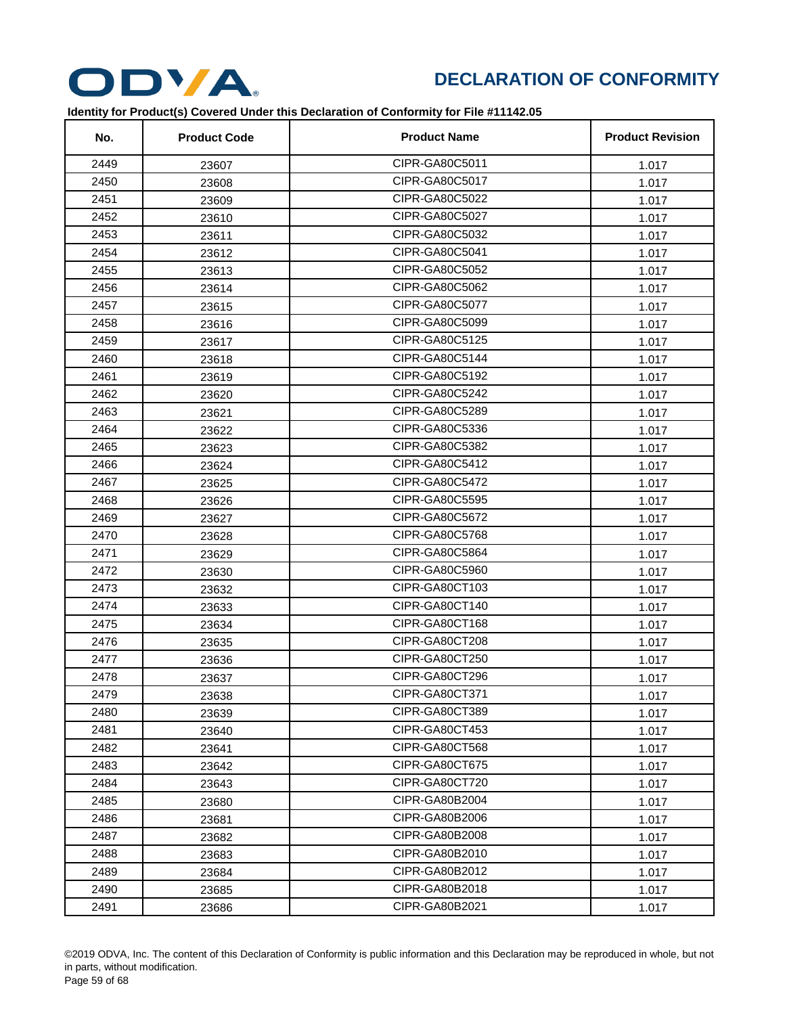

| No.  | <b>Product Code</b> | <b>Product Name</b> | <b>Product Revision</b> |
|------|---------------------|---------------------|-------------------------|
| 2449 | 23607               | CIPR-GA80C5011      | 1.017                   |
| 2450 | 23608               | CIPR-GA80C5017      | 1.017                   |
| 2451 | 23609               | CIPR-GA80C5022      | 1.017                   |
| 2452 | 23610               | CIPR-GA80C5027      | 1.017                   |
| 2453 | 23611               | CIPR-GA80C5032      | 1.017                   |
| 2454 | 23612               | CIPR-GA80C5041      | 1.017                   |
| 2455 | 23613               | CIPR-GA80C5052      | 1.017                   |
| 2456 | 23614               | CIPR-GA80C5062      | 1.017                   |
| 2457 | 23615               | CIPR-GA80C5077      | 1.017                   |
| 2458 | 23616               | CIPR-GA80C5099      | 1.017                   |
| 2459 | 23617               | CIPR-GA80C5125      | 1.017                   |
| 2460 | 23618               | CIPR-GA80C5144      | 1.017                   |
| 2461 | 23619               | CIPR-GA80C5192      | 1.017                   |
| 2462 | 23620               | CIPR-GA80C5242      | 1.017                   |
| 2463 | 23621               | CIPR-GA80C5289      | 1.017                   |
| 2464 | 23622               | CIPR-GA80C5336      | 1.017                   |
| 2465 | 23623               | CIPR-GA80C5382      | 1.017                   |
| 2466 | 23624               | CIPR-GA80C5412      | 1.017                   |
| 2467 | 23625               | CIPR-GA80C5472      | 1.017                   |
| 2468 | 23626               | CIPR-GA80C5595      | 1.017                   |
| 2469 | 23627               | CIPR-GA80C5672      | 1.017                   |
| 2470 | 23628               | CIPR-GA80C5768      | 1.017                   |
| 2471 | 23629               | CIPR-GA80C5864      | 1.017                   |
| 2472 | 23630               | CIPR-GA80C5960      | 1.017                   |
| 2473 | 23632               | CIPR-GA80CT103      | 1.017                   |
| 2474 | 23633               | CIPR-GA80CT140      | 1.017                   |
| 2475 | 23634               | CIPR-GA80CT168      | 1.017                   |
| 2476 | 23635               | CIPR-GA80CT208      | 1.017                   |
| 2477 | 23636               | CIPR-GA80CT250      | 1.017                   |
| 2478 | 23637               | CIPR-GA80CT296      | 1.017                   |
| 2479 | 23638               | CIPR-GA80CT371      | 1.017                   |
| 2480 | 23639               | CIPR-GA80CT389      | 1.017                   |
| 2481 | 23640               | CIPR-GA80CT453      | 1.017                   |
| 2482 | 23641               | CIPR-GA80CT568      | 1.017                   |
| 2483 | 23642               | CIPR-GA80CT675      | 1.017                   |
| 2484 | 23643               | CIPR-GA80CT720      | 1.017                   |
| 2485 | 23680               | CIPR-GA80B2004      | 1.017                   |
| 2486 | 23681               | CIPR-GA80B2006      | 1.017                   |
| 2487 | 23682               | CIPR-GA80B2008      | 1.017                   |
| 2488 | 23683               | CIPR-GA80B2010      | 1.017                   |
| 2489 | 23684               | CIPR-GA80B2012      | 1.017                   |
| 2490 | 23685               | CIPR-GA80B2018      | 1.017                   |
| 2491 | 23686               | CIPR-GA80B2021      | 1.017                   |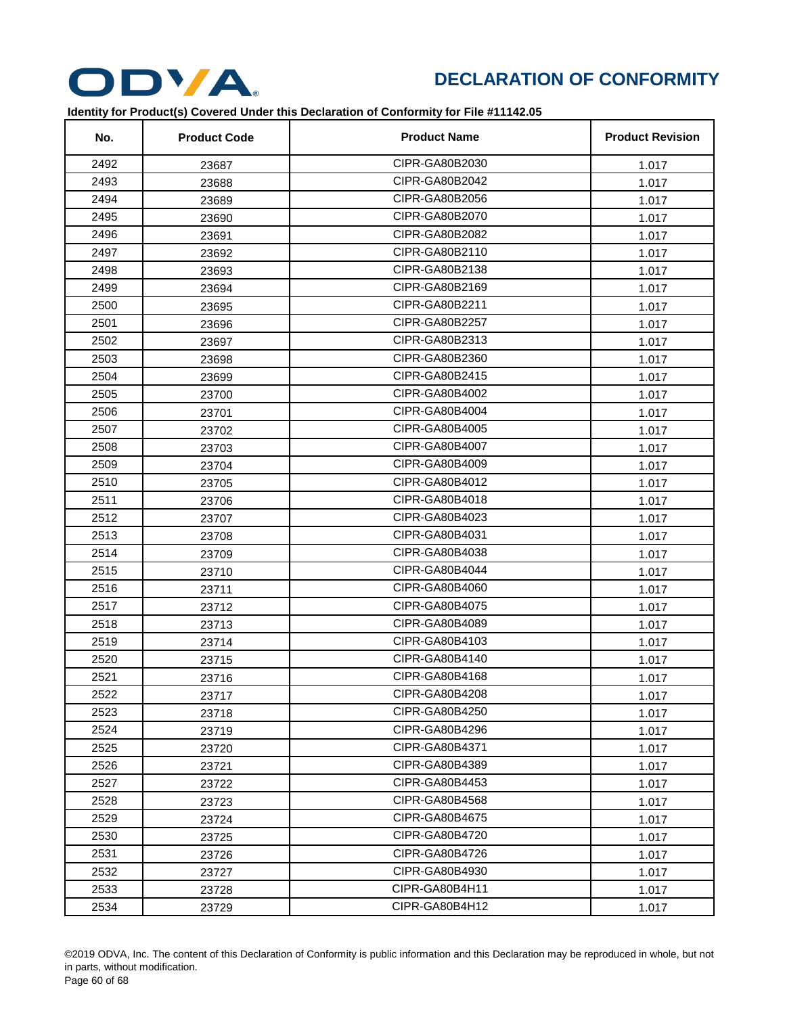

| No.  | <b>Product Code</b> | <b>Product Name</b> | <b>Product Revision</b> |
|------|---------------------|---------------------|-------------------------|
| 2492 | 23687               | CIPR-GA80B2030      | 1.017                   |
| 2493 | 23688               | CIPR-GA80B2042      | 1.017                   |
| 2494 | 23689               | CIPR-GA80B2056      | 1.017                   |
| 2495 | 23690               | CIPR-GA80B2070      | 1.017                   |
| 2496 | 23691               | CIPR-GA80B2082      | 1.017                   |
| 2497 | 23692               | CIPR-GA80B2110      | 1.017                   |
| 2498 | 23693               | CIPR-GA80B2138      | 1.017                   |
| 2499 | 23694               | CIPR-GA80B2169      | 1.017                   |
| 2500 | 23695               | CIPR-GA80B2211      | 1.017                   |
| 2501 | 23696               | CIPR-GA80B2257      | 1.017                   |
| 2502 | 23697               | CIPR-GA80B2313      | 1.017                   |
| 2503 | 23698               | CIPR-GA80B2360      | 1.017                   |
| 2504 | 23699               | CIPR-GA80B2415      | 1.017                   |
| 2505 | 23700               | CIPR-GA80B4002      | 1.017                   |
| 2506 | 23701               | CIPR-GA80B4004      | 1.017                   |
| 2507 | 23702               | CIPR-GA80B4005      | 1.017                   |
| 2508 | 23703               | CIPR-GA80B4007      | 1.017                   |
| 2509 | 23704               | CIPR-GA80B4009      | 1.017                   |
| 2510 | 23705               | CIPR-GA80B4012      | 1.017                   |
| 2511 | 23706               | CIPR-GA80B4018      | 1.017                   |
| 2512 | 23707               | CIPR-GA80B4023      | 1.017                   |
| 2513 | 23708               | CIPR-GA80B4031      | 1.017                   |
| 2514 | 23709               | CIPR-GA80B4038      | 1.017                   |
| 2515 | 23710               | CIPR-GA80B4044      | 1.017                   |
| 2516 | 23711               | CIPR-GA80B4060      | 1.017                   |
| 2517 | 23712               | CIPR-GA80B4075      | 1.017                   |
| 2518 | 23713               | CIPR-GA80B4089      | 1.017                   |
| 2519 | 23714               | CIPR-GA80B4103      | 1.017                   |
| 2520 | 23715               | CIPR-GA80B4140      | 1.017                   |
| 2521 | 23716               | CIPR-GA80B4168      | 1.017                   |
| 2522 | 23717               | CIPR-GA80B4208      | 1.017                   |
| 2523 | 23718               | CIPR-GA80B4250      | 1.017                   |
| 2524 | 23719               | CIPR-GA80B4296      | 1.017                   |
| 2525 | 23720               | CIPR-GA80B4371      | 1.017                   |
| 2526 | 23721               | CIPR-GA80B4389      | 1.017                   |
| 2527 | 23722               | CIPR-GA80B4453      | 1.017                   |
| 2528 | 23723               | CIPR-GA80B4568      | 1.017                   |
| 2529 | 23724               | CIPR-GA80B4675      | 1.017                   |
| 2530 | 23725               | CIPR-GA80B4720      | 1.017                   |
| 2531 | 23726               | CIPR-GA80B4726      | 1.017                   |
| 2532 | 23727               | CIPR-GA80B4930      | 1.017                   |
| 2533 | 23728               | CIPR-GA80B4H11      | 1.017                   |
| 2534 | 23729               | CIPR-GA80B4H12      | 1.017                   |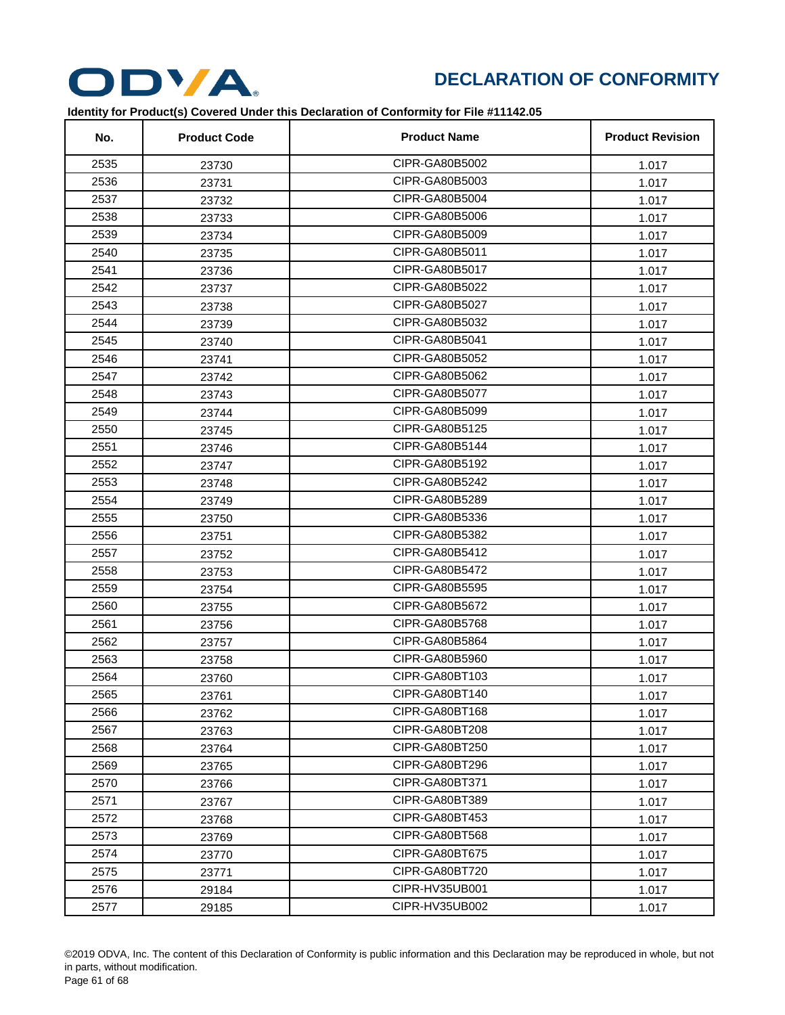

| No.  | <b>Product Code</b> | <b>Product Name</b> | <b>Product Revision</b> |
|------|---------------------|---------------------|-------------------------|
| 2535 | 23730               | CIPR-GA80B5002      | 1.017                   |
| 2536 | 23731               | CIPR-GA80B5003      | 1.017                   |
| 2537 | 23732               | CIPR-GA80B5004      | 1.017                   |
| 2538 | 23733               | CIPR-GA80B5006      | 1.017                   |
| 2539 | 23734               | CIPR-GA80B5009      | 1.017                   |
| 2540 | 23735               | CIPR-GA80B5011      | 1.017                   |
| 2541 | 23736               | CIPR-GA80B5017      | 1.017                   |
| 2542 | 23737               | CIPR-GA80B5022      | 1.017                   |
| 2543 | 23738               | CIPR-GA80B5027      | 1.017                   |
| 2544 | 23739               | CIPR-GA80B5032      | 1.017                   |
| 2545 | 23740               | CIPR-GA80B5041      | 1.017                   |
| 2546 | 23741               | CIPR-GA80B5052      | 1.017                   |
| 2547 | 23742               | CIPR-GA80B5062      | 1.017                   |
| 2548 | 23743               | CIPR-GA80B5077      | 1.017                   |
| 2549 | 23744               | CIPR-GA80B5099      | 1.017                   |
| 2550 | 23745               | CIPR-GA80B5125      | 1.017                   |
| 2551 | 23746               | CIPR-GA80B5144      | 1.017                   |
| 2552 | 23747               | CIPR-GA80B5192      | 1.017                   |
| 2553 | 23748               | CIPR-GA80B5242      | 1.017                   |
| 2554 | 23749               | CIPR-GA80B5289      | 1.017                   |
| 2555 | 23750               | CIPR-GA80B5336      | 1.017                   |
| 2556 | 23751               | CIPR-GA80B5382      | 1.017                   |
| 2557 | 23752               | CIPR-GA80B5412      | 1.017                   |
| 2558 | 23753               | CIPR-GA80B5472      | 1.017                   |
| 2559 | 23754               | CIPR-GA80B5595      | 1.017                   |
| 2560 | 23755               | CIPR-GA80B5672      | 1.017                   |
| 2561 | 23756               | CIPR-GA80B5768      | 1.017                   |
| 2562 | 23757               | CIPR-GA80B5864      | 1.017                   |
| 2563 | 23758               | CIPR-GA80B5960      | 1.017                   |
| 2564 | 23760               | CIPR-GA80BT103      | 1.017                   |
| 2565 | 23761               | CIPR-GA80BT140      | 1.017                   |
| 2566 | 23762               | CIPR-GA80BT168      | 1.017                   |
| 2567 | 23763               | CIPR-GA80BT208      | 1.017                   |
| 2568 | 23764               | CIPR-GA80BT250      | 1.017                   |
| 2569 | 23765               | CIPR-GA80BT296      | 1.017                   |
| 2570 | 23766               | CIPR-GA80BT371      | 1.017                   |
| 2571 | 23767               | CIPR-GA80BT389      | 1.017                   |
| 2572 | 23768               | CIPR-GA80BT453      | 1.017                   |
| 2573 | 23769               | CIPR-GA80BT568      | 1.017                   |
| 2574 | 23770               | CIPR-GA80BT675      | 1.017                   |
| 2575 | 23771               | CIPR-GA80BT720      | 1.017                   |
| 2576 | 29184               | CIPR-HV35UB001      | 1.017                   |
| 2577 | 29185               | CIPR-HV35UB002      | 1.017                   |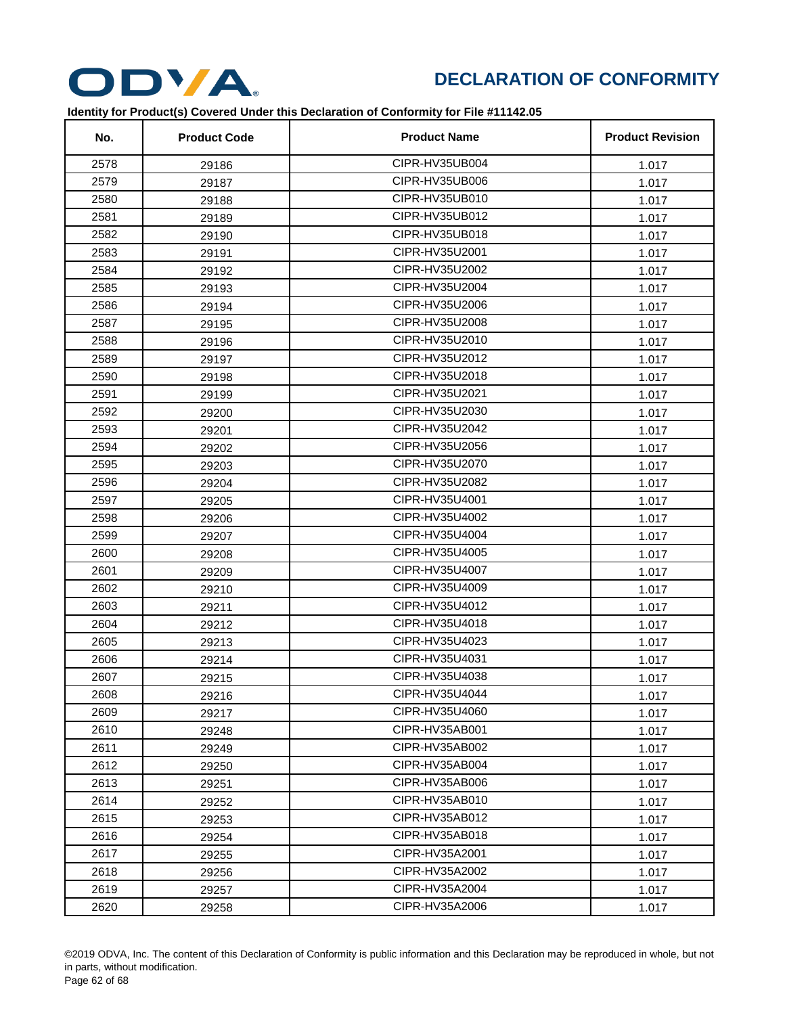

| No.  | <b>Product Code</b> | <b>Product Name</b> | <b>Product Revision</b> |
|------|---------------------|---------------------|-------------------------|
| 2578 | 29186               | CIPR-HV35UB004      | 1.017                   |
| 2579 | 29187               | CIPR-HV35UB006      | 1.017                   |
| 2580 | 29188               | CIPR-HV35UB010      | 1.017                   |
| 2581 | 29189               | CIPR-HV35UB012      | 1.017                   |
| 2582 | 29190               | CIPR-HV35UB018      | 1.017                   |
| 2583 | 29191               | CIPR-HV35U2001      | 1.017                   |
| 2584 | 29192               | CIPR-HV35U2002      | 1.017                   |
| 2585 | 29193               | CIPR-HV35U2004      | 1.017                   |
| 2586 | 29194               | CIPR-HV35U2006      | 1.017                   |
| 2587 | 29195               | CIPR-HV35U2008      | 1.017                   |
| 2588 | 29196               | CIPR-HV35U2010      | 1.017                   |
| 2589 | 29197               | CIPR-HV35U2012      | 1.017                   |
| 2590 | 29198               | CIPR-HV35U2018      | 1.017                   |
| 2591 | 29199               | CIPR-HV35U2021      | 1.017                   |
| 2592 | 29200               | CIPR-HV35U2030      | 1.017                   |
| 2593 | 29201               | CIPR-HV35U2042      | 1.017                   |
| 2594 | 29202               | CIPR-HV35U2056      | 1.017                   |
| 2595 | 29203               | CIPR-HV35U2070      | 1.017                   |
| 2596 | 29204               | CIPR-HV35U2082      | 1.017                   |
| 2597 | 29205               | CIPR-HV35U4001      | 1.017                   |
| 2598 | 29206               | CIPR-HV35U4002      | 1.017                   |
| 2599 | 29207               | CIPR-HV35U4004      | 1.017                   |
| 2600 | 29208               | CIPR-HV35U4005      | 1.017                   |
| 2601 | 29209               | CIPR-HV35U4007      | 1.017                   |
| 2602 | 29210               | CIPR-HV35U4009      | 1.017                   |
| 2603 | 29211               | CIPR-HV35U4012      | 1.017                   |
| 2604 | 29212               | CIPR-HV35U4018      | 1.017                   |
| 2605 | 29213               | CIPR-HV35U4023      | 1.017                   |
| 2606 | 29214               | CIPR-HV35U4031      | 1.017                   |
| 2607 | 29215               | CIPR-HV35U4038      | 1.017                   |
| 2608 | 29216               | CIPR-HV35U4044      | 1.017                   |
| 2609 | 29217               | CIPR-HV35U4060      | 1.017                   |
| 2610 | 29248               | CIPR-HV35AB001      | 1.017                   |
| 2611 | 29249               | CIPR-HV35AB002      | 1.017                   |
| 2612 | 29250               | CIPR-HV35AB004      | 1.017                   |
| 2613 | 29251               | CIPR-HV35AB006      | 1.017                   |
| 2614 | 29252               | CIPR-HV35AB010      | 1.017                   |
| 2615 | 29253               | CIPR-HV35AB012      | 1.017                   |
| 2616 | 29254               | CIPR-HV35AB018      | 1.017                   |
| 2617 | 29255               | CIPR-HV35A2001      | 1.017                   |
| 2618 | 29256               | CIPR-HV35A2002      | 1.017                   |
| 2619 | 29257               | CIPR-HV35A2004      | 1.017                   |
| 2620 | 29258               | CIPR-HV35A2006      | 1.017                   |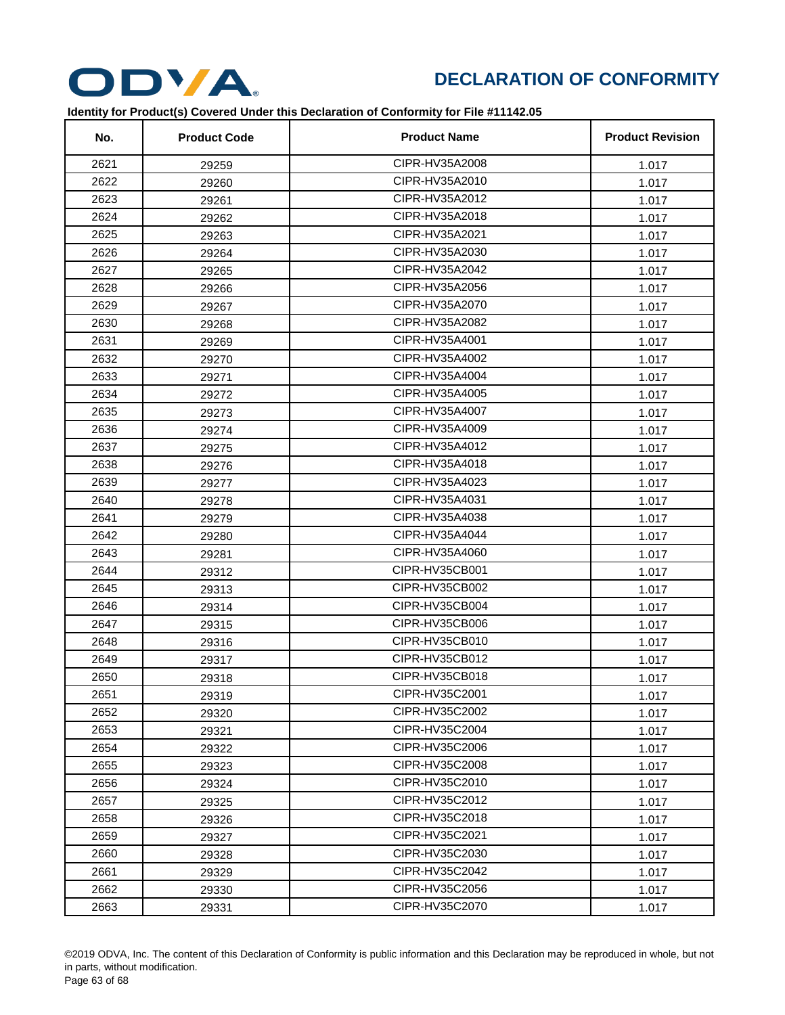

| No.  | <b>Product Code</b> | <b>Product Name</b> | <b>Product Revision</b> |
|------|---------------------|---------------------|-------------------------|
| 2621 | 29259               | CIPR-HV35A2008      | 1.017                   |
| 2622 | 29260               | CIPR-HV35A2010      | 1.017                   |
| 2623 | 29261               | CIPR-HV35A2012      | 1.017                   |
| 2624 | 29262               | CIPR-HV35A2018      | 1.017                   |
| 2625 | 29263               | CIPR-HV35A2021      | 1.017                   |
| 2626 | 29264               | CIPR-HV35A2030      | 1.017                   |
| 2627 | 29265               | CIPR-HV35A2042      | 1.017                   |
| 2628 | 29266               | CIPR-HV35A2056      | 1.017                   |
| 2629 | 29267               | CIPR-HV35A2070      | 1.017                   |
| 2630 | 29268               | CIPR-HV35A2082      | 1.017                   |
| 2631 | 29269               | CIPR-HV35A4001      | 1.017                   |
| 2632 | 29270               | CIPR-HV35A4002      | 1.017                   |
| 2633 | 29271               | CIPR-HV35A4004      | 1.017                   |
| 2634 | 29272               | CIPR-HV35A4005      | 1.017                   |
| 2635 | 29273               | CIPR-HV35A4007      | 1.017                   |
| 2636 | 29274               | CIPR-HV35A4009      | 1.017                   |
| 2637 | 29275               | CIPR-HV35A4012      | 1.017                   |
| 2638 | 29276               | CIPR-HV35A4018      | 1.017                   |
| 2639 | 29277               | CIPR-HV35A4023      | 1.017                   |
| 2640 | 29278               | CIPR-HV35A4031      | 1.017                   |
| 2641 | 29279               | CIPR-HV35A4038      | 1.017                   |
| 2642 | 29280               | CIPR-HV35A4044      | 1.017                   |
| 2643 | 29281               | CIPR-HV35A4060      | 1.017                   |
| 2644 | 29312               | CIPR-HV35CB001      | 1.017                   |
| 2645 | 29313               | CIPR-HV35CB002      | 1.017                   |
| 2646 | 29314               | CIPR-HV35CB004      | 1.017                   |
| 2647 | 29315               | CIPR-HV35CB006      | 1.017                   |
| 2648 | 29316               | CIPR-HV35CB010      | 1.017                   |
| 2649 | 29317               | CIPR-HV35CB012      | 1.017                   |
| 2650 | 29318               | CIPR-HV35CB018      | 1.017                   |
| 2651 | 29319               | CIPR-HV35C2001      | 1.017                   |
| 2652 | 29320               | CIPR-HV35C2002      | 1.017                   |
| 2653 | 29321               | CIPR-HV35C2004      | 1.017                   |
| 2654 | 29322               | CIPR-HV35C2006      | 1.017                   |
| 2655 | 29323               | CIPR-HV35C2008      | 1.017                   |
| 2656 | 29324               | CIPR-HV35C2010      | 1.017                   |
| 2657 | 29325               | CIPR-HV35C2012      | 1.017                   |
| 2658 | 29326               | CIPR-HV35C2018      | 1.017                   |
| 2659 | 29327               | CIPR-HV35C2021      | 1.017                   |
| 2660 | 29328               | CIPR-HV35C2030      | 1.017                   |
| 2661 | 29329               | CIPR-HV35C2042      | 1.017                   |
| 2662 | 29330               | CIPR-HV35C2056      | 1.017                   |
| 2663 | 29331               | CIPR-HV35C2070      | 1.017                   |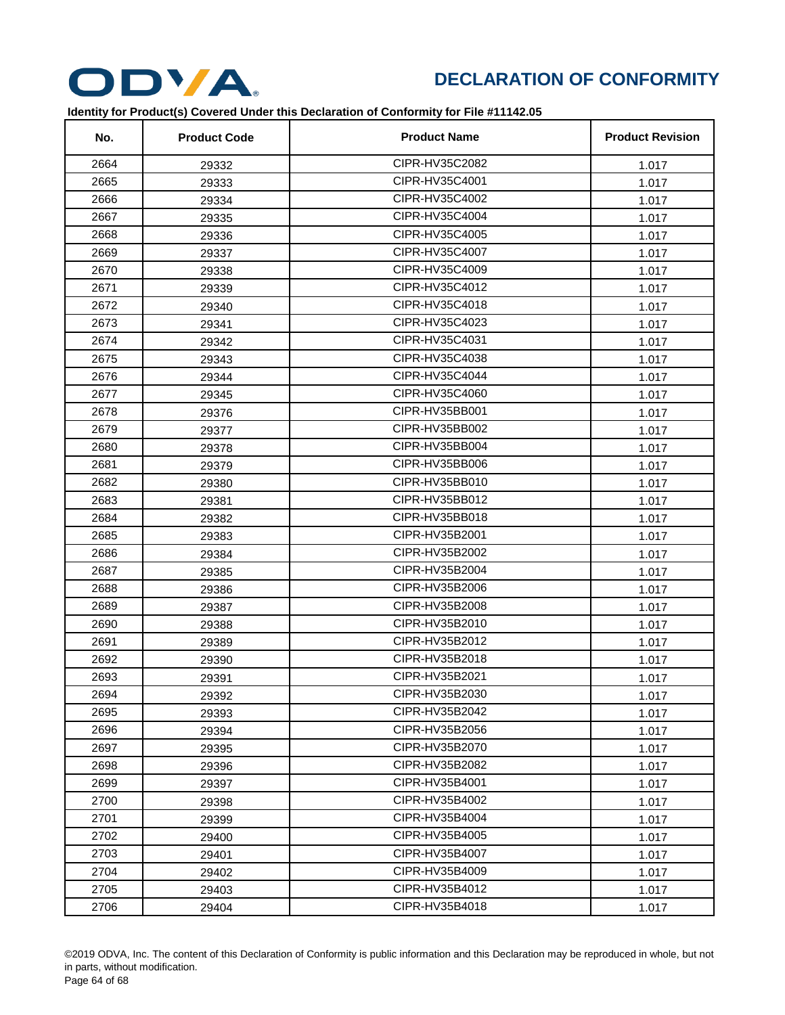

| No.  | <b>Product Code</b> | <b>Product Name</b> | <b>Product Revision</b> |
|------|---------------------|---------------------|-------------------------|
| 2664 | 29332               | CIPR-HV35C2082      | 1.017                   |
| 2665 | 29333               | CIPR-HV35C4001      | 1.017                   |
| 2666 | 29334               | CIPR-HV35C4002      | 1.017                   |
| 2667 | 29335               | CIPR-HV35C4004      | 1.017                   |
| 2668 | 29336               | CIPR-HV35C4005      | 1.017                   |
| 2669 | 29337               | CIPR-HV35C4007      | 1.017                   |
| 2670 | 29338               | CIPR-HV35C4009      | 1.017                   |
| 2671 | 29339               | CIPR-HV35C4012      | 1.017                   |
| 2672 | 29340               | CIPR-HV35C4018      | 1.017                   |
| 2673 | 29341               | CIPR-HV35C4023      | 1.017                   |
| 2674 | 29342               | CIPR-HV35C4031      | 1.017                   |
| 2675 | 29343               | CIPR-HV35C4038      | 1.017                   |
| 2676 | 29344               | CIPR-HV35C4044      | 1.017                   |
| 2677 | 29345               | CIPR-HV35C4060      | 1.017                   |
| 2678 | 29376               | CIPR-HV35BB001      | 1.017                   |
| 2679 | 29377               | CIPR-HV35BB002      | 1.017                   |
| 2680 | 29378               | CIPR-HV35BB004      | 1.017                   |
| 2681 | 29379               | CIPR-HV35BB006      | 1.017                   |
| 2682 | 29380               | CIPR-HV35BB010      | 1.017                   |
| 2683 | 29381               | CIPR-HV35BB012      | 1.017                   |
| 2684 | 29382               | CIPR-HV35BB018      | 1.017                   |
| 2685 | 29383               | CIPR-HV35B2001      | 1.017                   |
| 2686 | 29384               | CIPR-HV35B2002      | 1.017                   |
| 2687 | 29385               | CIPR-HV35B2004      | 1.017                   |
| 2688 | 29386               | CIPR-HV35B2006      | 1.017                   |
| 2689 | 29387               | CIPR-HV35B2008      | 1.017                   |
| 2690 | 29388               | CIPR-HV35B2010      | 1.017                   |
| 2691 | 29389               | CIPR-HV35B2012      | 1.017                   |
| 2692 | 29390               | CIPR-HV35B2018      | 1.017                   |
| 2693 | 29391               | CIPR-HV35B2021      | 1.017                   |
| 2694 | 29392               | CIPR-HV35B2030      | 1.017                   |
| 2695 | 29393               | CIPR-HV35B2042      | 1.017                   |
| 2696 | 29394               | CIPR-HV35B2056      | 1.017                   |
| 2697 | 29395               | CIPR-HV35B2070      | 1.017                   |
| 2698 | 29396               | CIPR-HV35B2082      | 1.017                   |
| 2699 | 29397               | CIPR-HV35B4001      | 1.017                   |
| 2700 | 29398               | CIPR-HV35B4002      | 1.017                   |
| 2701 | 29399               | CIPR-HV35B4004      | 1.017                   |
| 2702 | 29400               | CIPR-HV35B4005      | 1.017                   |
| 2703 | 29401               | CIPR-HV35B4007      | 1.017                   |
| 2704 | 29402               | CIPR-HV35B4009      | 1.017                   |
| 2705 | 29403               | CIPR-HV35B4012      | 1.017                   |
| 2706 | 29404               | CIPR-HV35B4018      | 1.017                   |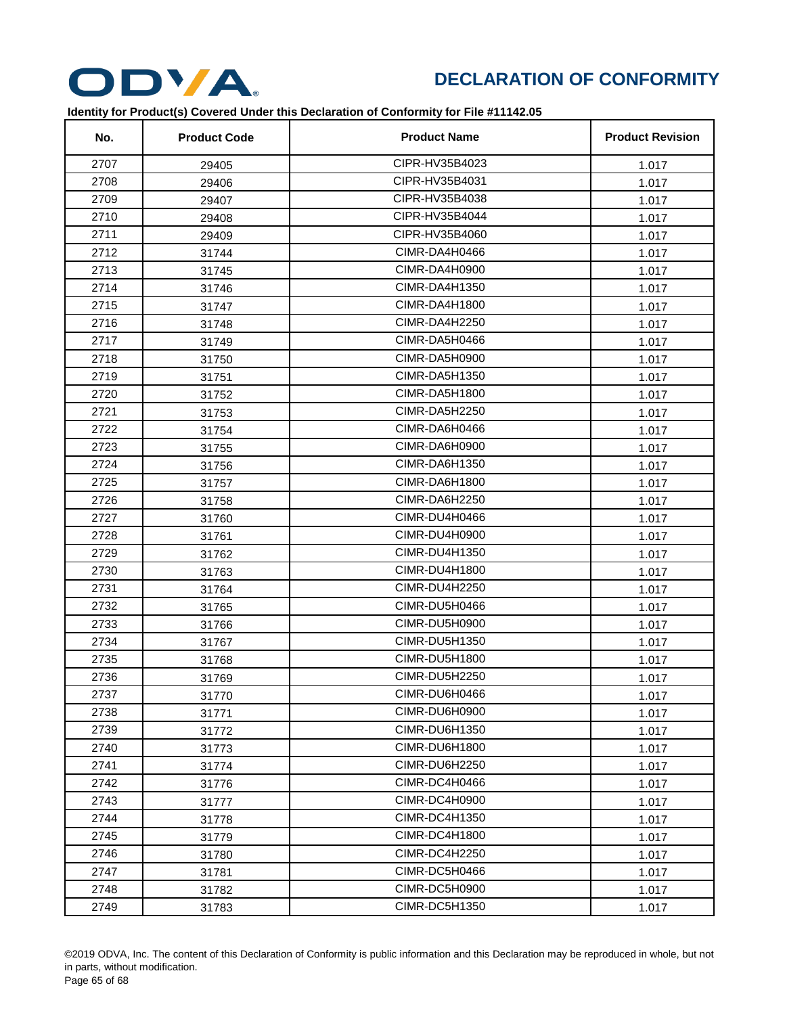

| No.  | <b>Product Code</b> | <b>Product Name</b>  | <b>Product Revision</b> |
|------|---------------------|----------------------|-------------------------|
| 2707 | 29405               | CIPR-HV35B4023       | 1.017                   |
| 2708 | 29406               | CIPR-HV35B4031       | 1.017                   |
| 2709 | 29407               | CIPR-HV35B4038       | 1.017                   |
| 2710 | 29408               | CIPR-HV35B4044       | 1.017                   |
| 2711 | 29409               | CIPR-HV35B4060       | 1.017                   |
| 2712 | 31744               | CIMR-DA4H0466        | 1.017                   |
| 2713 | 31745               | CIMR-DA4H0900        | 1.017                   |
| 2714 | 31746               | CIMR-DA4H1350        | 1.017                   |
| 2715 | 31747               | CIMR-DA4H1800        | 1.017                   |
| 2716 | 31748               | <b>CIMR-DA4H2250</b> | 1.017                   |
| 2717 | 31749               | CIMR-DA5H0466        | 1.017                   |
| 2718 | 31750               | CIMR-DA5H0900        | 1.017                   |
| 2719 | 31751               | CIMR-DA5H1350        | 1.017                   |
| 2720 | 31752               | CIMR-DA5H1800        | 1.017                   |
| 2721 | 31753               | CIMR-DA5H2250        | 1.017                   |
| 2722 | 31754               | CIMR-DA6H0466        | 1.017                   |
| 2723 | 31755               | CIMR-DA6H0900        | 1.017                   |
| 2724 | 31756               | CIMR-DA6H1350        | 1.017                   |
| 2725 | 31757               | CIMR-DA6H1800        | 1.017                   |
| 2726 | 31758               | CIMR-DA6H2250        | 1.017                   |
| 2727 | 31760               | CIMR-DU4H0466        | 1.017                   |
| 2728 | 31761               | CIMR-DU4H0900        | 1.017                   |
| 2729 | 31762               | CIMR-DU4H1350        | 1.017                   |
| 2730 | 31763               | CIMR-DU4H1800        | 1.017                   |
| 2731 | 31764               | CIMR-DU4H2250        | 1.017                   |
| 2732 | 31765               | CIMR-DU5H0466        | 1.017                   |
| 2733 | 31766               | CIMR-DU5H0900        | 1.017                   |
| 2734 | 31767               | CIMR-DU5H1350        | 1.017                   |
| 2735 | 31768               | CIMR-DU5H1800        | 1.017                   |
| 2736 | 31769               | CIMR-DU5H2250        | 1.017                   |
| 2737 | 31770               | CIMR-DU6H0466        | 1.017                   |
| 2738 | 31771               | CIMR-DU6H0900        | 1.017                   |
| 2739 | 31772               | CIMR-DU6H1350        | 1.017                   |
| 2740 | 31773               | CIMR-DU6H1800        | 1.017                   |
| 2741 | 31774               | CIMR-DU6H2250        | 1.017                   |
| 2742 | 31776               | CIMR-DC4H0466        | 1.017                   |
| 2743 | 31777               | CIMR-DC4H0900        | 1.017                   |
| 2744 | 31778               | CIMR-DC4H1350        | 1.017                   |
| 2745 | 31779               | CIMR-DC4H1800        | 1.017                   |
| 2746 | 31780               | CIMR-DC4H2250        | 1.017                   |
| 2747 | 31781               | CIMR-DC5H0466        | 1.017                   |
| 2748 | 31782               | CIMR-DC5H0900        | 1.017                   |
| 2749 | 31783               | CIMR-DC5H1350        | 1.017                   |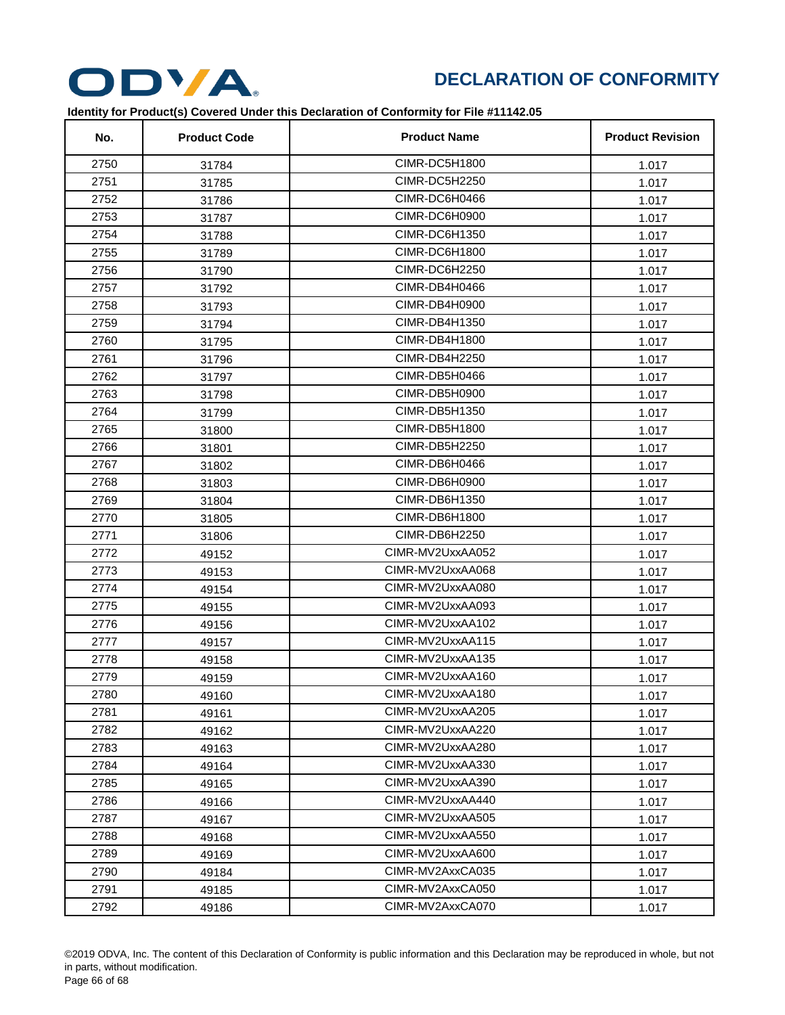

| No.  | <b>Product Code</b> | <b>Product Name</b> | <b>Product Revision</b> |
|------|---------------------|---------------------|-------------------------|
| 2750 | 31784               | CIMR-DC5H1800       | 1.017                   |
| 2751 | 31785               | CIMR-DC5H2250       | 1.017                   |
| 2752 | 31786               | CIMR-DC6H0466       | 1.017                   |
| 2753 | 31787               | CIMR-DC6H0900       | 1.017                   |
| 2754 | 31788               | CIMR-DC6H1350       | 1.017                   |
| 2755 | 31789               | CIMR-DC6H1800       | 1.017                   |
| 2756 | 31790               | CIMR-DC6H2250       | 1.017                   |
| 2757 | 31792               | CIMR-DB4H0466       | 1.017                   |
| 2758 | 31793               | CIMR-DB4H0900       | 1.017                   |
| 2759 | 31794               | CIMR-DB4H1350       | 1.017                   |
| 2760 | 31795               | CIMR-DB4H1800       | 1.017                   |
| 2761 | 31796               | CIMR-DB4H2250       | 1.017                   |
| 2762 | 31797               | CIMR-DB5H0466       | 1.017                   |
| 2763 | 31798               | CIMR-DB5H0900       | 1.017                   |
| 2764 | 31799               | CIMR-DB5H1350       | 1.017                   |
| 2765 | 31800               | CIMR-DB5H1800       | 1.017                   |
| 2766 | 31801               | CIMR-DB5H2250       | 1.017                   |
| 2767 | 31802               | CIMR-DB6H0466       | 1.017                   |
| 2768 | 31803               | CIMR-DB6H0900       | 1.017                   |
| 2769 | 31804               | CIMR-DB6H1350       | 1.017                   |
| 2770 | 31805               | CIMR-DB6H1800       | 1.017                   |
| 2771 | 31806               | CIMR-DB6H2250       | 1.017                   |
| 2772 | 49152               | CIMR-MV2UxxAA052    | 1.017                   |
| 2773 | 49153               | CIMR-MV2UxxAA068    | 1.017                   |
| 2774 | 49154               | CIMR-MV2UxxAA080    | 1.017                   |
| 2775 | 49155               | CIMR-MV2UxxAA093    | 1.017                   |
| 2776 | 49156               | CIMR-MV2UxxAA102    | 1.017                   |
| 2777 | 49157               | CIMR-MV2UxxAA115    | 1.017                   |
| 2778 | 49158               | CIMR-MV2UxxAA135    | 1.017                   |
| 2779 | 49159               | CIMR-MV2UxxAA160    | 1.017                   |
| 2780 | 49160               | CIMR-MV2UxxAA180    | 1.017                   |
| 2781 | 49161               | CIMR-MV2UxxAA205    | 1.017                   |
| 2782 | 49162               | CIMR-MV2UxxAA220    | 1.017                   |
| 2783 | 49163               | CIMR-MV2UxxAA280    | 1.017                   |
| 2784 | 49164               | CIMR-MV2UxxAA330    | 1.017                   |
| 2785 | 49165               | CIMR-MV2UxxAA390    | 1.017                   |
| 2786 | 49166               | CIMR-MV2UxxAA440    | 1.017                   |
| 2787 | 49167               | CIMR-MV2UxxAA505    | 1.017                   |
| 2788 | 49168               | CIMR-MV2UxxAA550    | 1.017                   |
| 2789 | 49169               | CIMR-MV2UxxAA600    | 1.017                   |
| 2790 | 49184               | CIMR-MV2AxxCA035    | 1.017                   |
| 2791 | 49185               | CIMR-MV2AxxCA050    | 1.017                   |
| 2792 | 49186               | CIMR-MV2AxxCA070    | 1.017                   |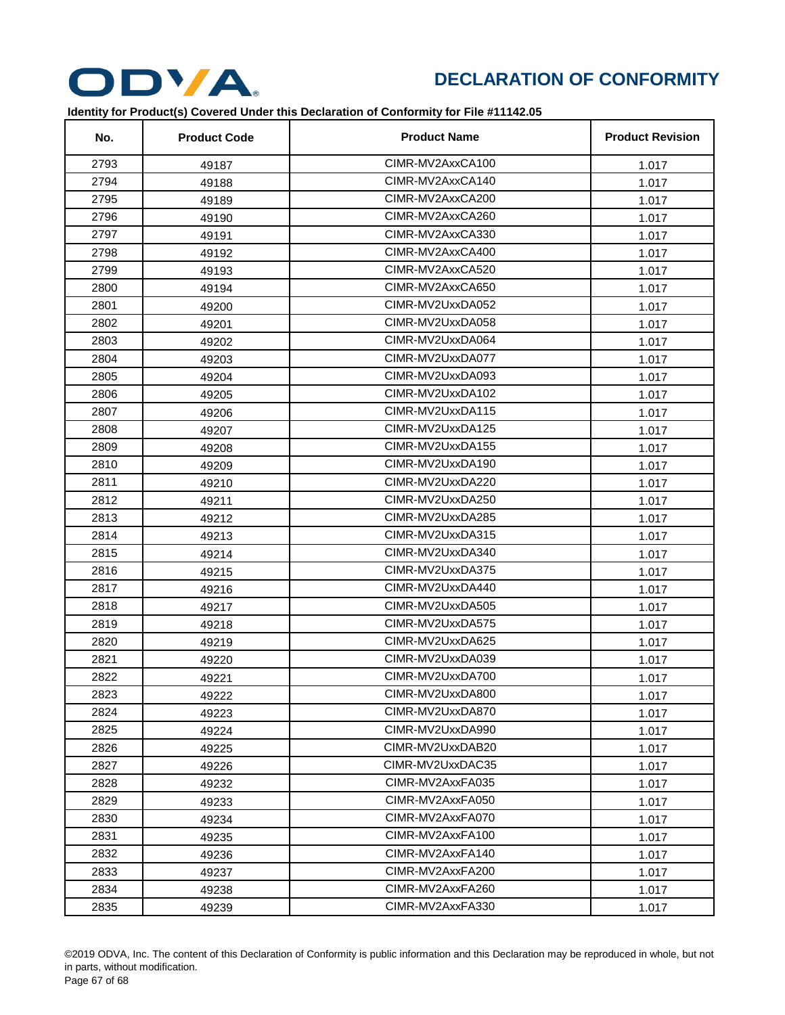

| No.  | <b>Product Code</b> | <b>Product Name</b> | <b>Product Revision</b> |
|------|---------------------|---------------------|-------------------------|
| 2793 | 49187               | CIMR-MV2AxxCA100    | 1.017                   |
| 2794 | 49188               | CIMR-MV2AxxCA140    | 1.017                   |
| 2795 | 49189               | CIMR-MV2AxxCA200    | 1.017                   |
| 2796 | 49190               | CIMR-MV2AxxCA260    | 1.017                   |
| 2797 | 49191               | CIMR-MV2AxxCA330    | 1.017                   |
| 2798 | 49192               | CIMR-MV2AxxCA400    | 1.017                   |
| 2799 | 49193               | CIMR-MV2AxxCA520    | 1.017                   |
| 2800 | 49194               | CIMR-MV2AxxCA650    | 1.017                   |
| 2801 | 49200               | CIMR-MV2UxxDA052    | 1.017                   |
| 2802 | 49201               | CIMR-MV2UxxDA058    | 1.017                   |
| 2803 | 49202               | CIMR-MV2UxxDA064    | 1.017                   |
| 2804 | 49203               | CIMR-MV2UxxDA077    | 1.017                   |
| 2805 | 49204               | CIMR-MV2UxxDA093    | 1.017                   |
| 2806 | 49205               | CIMR-MV2UxxDA102    | 1.017                   |
| 2807 | 49206               | CIMR-MV2UxxDA115    | 1.017                   |
| 2808 | 49207               | CIMR-MV2UxxDA125    | 1.017                   |
| 2809 | 49208               | CIMR-MV2UxxDA155    | 1.017                   |
| 2810 | 49209               | CIMR-MV2UxxDA190    | 1.017                   |
| 2811 | 49210               | CIMR-MV2UxxDA220    | 1.017                   |
| 2812 | 49211               | CIMR-MV2UxxDA250    | 1.017                   |
| 2813 | 49212               | CIMR-MV2UxxDA285    | 1.017                   |
| 2814 | 49213               | CIMR-MV2UxxDA315    | 1.017                   |
| 2815 | 49214               | CIMR-MV2UxxDA340    | 1.017                   |
| 2816 | 49215               | CIMR-MV2UxxDA375    | 1.017                   |
| 2817 | 49216               | CIMR-MV2UxxDA440    | 1.017                   |
| 2818 | 49217               | CIMR-MV2UxxDA505    | 1.017                   |
| 2819 | 49218               | CIMR-MV2UxxDA575    | 1.017                   |
| 2820 | 49219               | CIMR-MV2UxxDA625    | 1.017                   |
| 2821 | 49220               | CIMR-MV2UxxDA039    | 1.017                   |
| 2822 | 49221               | CIMR-MV2UxxDA700    | 1.017                   |
| 2823 | 49222               | CIMR-MV2UxxDA800    | 1.017                   |
| 2824 | 49223               | CIMR-MV2UxxDA870    | 1.017                   |
| 2825 | 49224               | CIMR-MV2UxxDA990    | 1.017                   |
| 2826 | 49225               | CIMR-MV2UxxDAB20    | 1.017                   |
| 2827 | 49226               | CIMR-MV2UxxDAC35    | 1.017                   |
| 2828 | 49232               | CIMR-MV2AxxFA035    | 1.017                   |
| 2829 | 49233               | CIMR-MV2AxxFA050    | 1.017                   |
| 2830 | 49234               | CIMR-MV2AxxFA070    | 1.017                   |
| 2831 | 49235               | CIMR-MV2AxxFA100    | 1.017                   |
| 2832 | 49236               | CIMR-MV2AxxFA140    | 1.017                   |
| 2833 | 49237               | CIMR-MV2AxxFA200    | 1.017                   |
| 2834 | 49238               | CIMR-MV2AxxFA260    | 1.017                   |
| 2835 | 49239               | CIMR-MV2AxxFA330    | 1.017                   |